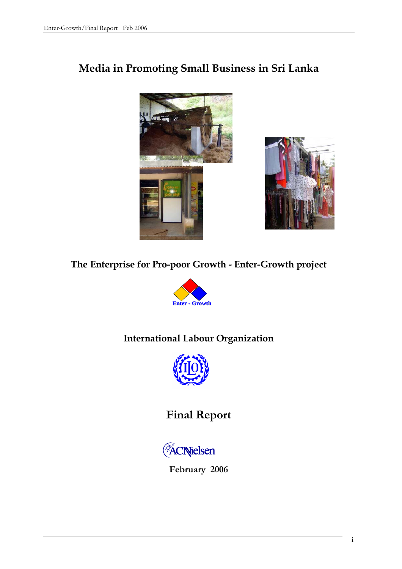# **Media in Promoting Small Business in Sri Lanka**





# **The Enterprise for Pro-poor Growth - Enter-Growth project**



# **International Labour Organization**



# **Final Report**



**February 2006**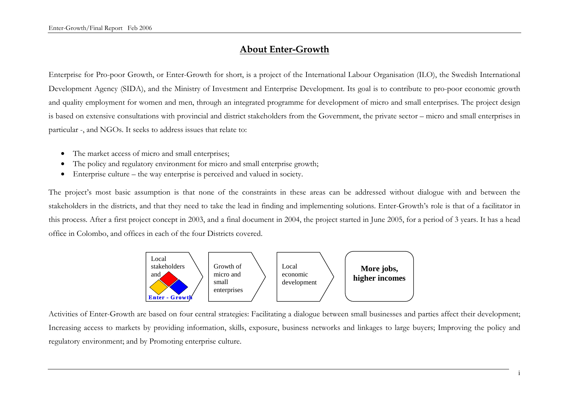# **About Enter-Growth**

Enterprise for Pro-poor Growth, or Enter-Growth for short, is a project of the International Labour Organisation (ILO), the Swedish International Development Agency (SIDA), and the Ministry of Investment and Enterprise Development. Its goal is to contribute to pro-poor economic growth and quality employment for women and men, through an integrated programme for development of micro and small enterprises. The project design is based on extensive consultations with provincial and district stakeholders from the Government, the private sector – micro and small enterprises in particular -, and NGOs. It seeks to address issues that relate to:

- The market access of micro and small enterprises;
- The policy and regulatory environment for micro and small enterprise growth;
- Enterprise culture the way enterprise is perceived and valued in society.

The project's most basic assumption is that none of the constraints in these areas can be addressed without dialogue with and between the stakeholders in the districts, and that they need to take the lead in finding and implementing solutions. Enter-Growth's role is that of a facilitator in this process. After a first project concept in 2003, and a final document in 2004, the project started in June 2005, for a period of 3 years. It has a head office in Colombo, and offices in each of the four Districts covered.



Activities of Enter-Growth are based on four central strategies: Facilitating a dialogue between small businesses and parties affect their development; Increasing access to markets by providing information, skills, exposure, business networks and linkages to large buyers; Improving the policy and regulatory environment; and by Promoting enterprise culture.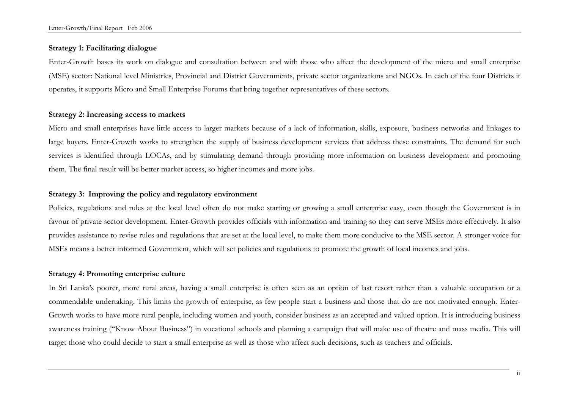# **Strategy 1: Facilitating dialogue**

Enter-Growth bases its work on dialogue and consultation between and with those who affect the development of the micro and small enterprise (MSE) sector: National level Ministries, Provincial and District Governments, private sector organizations and NGOs. In each of the four Districts it operates, it supports Micro and Small Enterprise Forums that bring together representatives of these sectors.

### **Strategy 2: Increasing access to markets**

Micro and small enterprises have little access to larger markets because of a lack of information, skills, exposure, business networks and linkages to large buyers. Enter-Growth works to strengthen the supply of business development services that address these constraints. The demand for such services is identified through LOCAs, and by stimulating demand through providing more information on business development and promoting them. The final result will be better market access, so higher incomes and more jobs.

# **Strategy 3: Improving the policy and regulatory environment**

Policies, regulations and rules at the local level often do not make starting or growing a small enterprise easy, even though the Government is in favour of private sector development. Enter-Growth provides officials with information and training so they can serve MSEs more effectively. It also provides assistance to revise rules and regulations that are set at the local level, to make them more conducive to the MSE sector. A stronger voice for MSEs means a better informed Government, which will set policies and regulations to promote the growth of local incomes and jobs.

### **Strategy 4: Promoting enterprise culture**

In Sri Lanka's poorer, more rural areas, having a small enterprise is often seen as an option of last resort rather than a valuable occupation or a commendable undertaking. This limits the growth of enterprise, as few people start a business and those that do are not motivated enough. Enter-Growth works to have more rural people, including women and youth, consider business as an accepted and valued option. It is introducing business awareness training ("Know About Business") in vocational schools and planning a campaign that will make use of theatre and mass media. This will target those who could decide to start a small enterprise as well as those who affect such decisions, such as teachers and officials.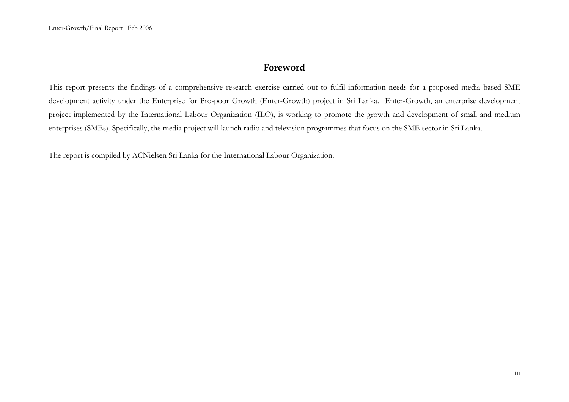# **Foreword**

This report presents the findings of a comprehensive research exercise carried out to fulfil information needs for a proposed media based SME development activity under the Enterprise for Pro-poor Growth (Enter-Growth) project in Sri Lanka. Enter-Growth, an enterprise development project implemented by the International Labour Organization (ILO), is working to promote the growth and development of small and medium enterprises (SMEs). Specifically, the media project will launch radio and television programmes that focus on the SME sector in Sri Lanka.

The report is compiled by ACNielsen Sri Lanka for the International Labour Organization.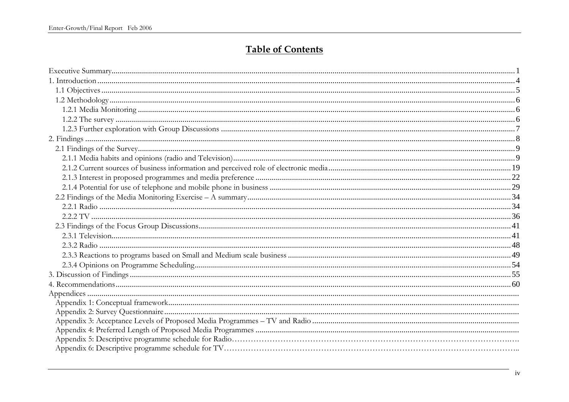# **Table of Contents**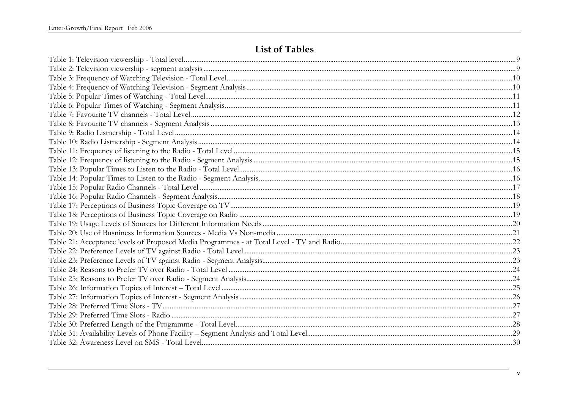# **List of Tables**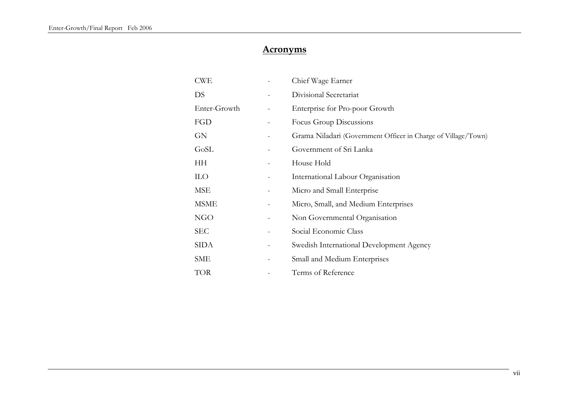# **Acronyms**

| CWE          |   | Chief Wage Earner                                             |
|--------------|---|---------------------------------------------------------------|
| DS           |   | Divisional Secretariat                                        |
| Enter-Growth |   | Enterprise for Pro-poor Growth                                |
| <b>FGD</b>   |   | Focus Group Discussions                                       |
| GN           |   | Grama Niladari (Government Officer in Charge of Village/Town) |
| GoSL         |   | Government of Sri Lanka                                       |
| HH           |   | House Hold                                                    |
| <b>ILO</b>   |   | International Labour Organisation                             |
| MSE          |   | Micro and Small Enterprise                                    |
| <b>MSME</b>  |   | Micro, Small, and Medium Enterprises                          |
| NGO          |   | Non Governmental Organisation                                 |
| <b>SEC</b>   |   | Social Economic Class                                         |
| SIDA         | - | Swedish International Development Agency                      |
| SME          |   | Small and Medium Enterprises                                  |
| TOR          |   | Terms of Reference                                            |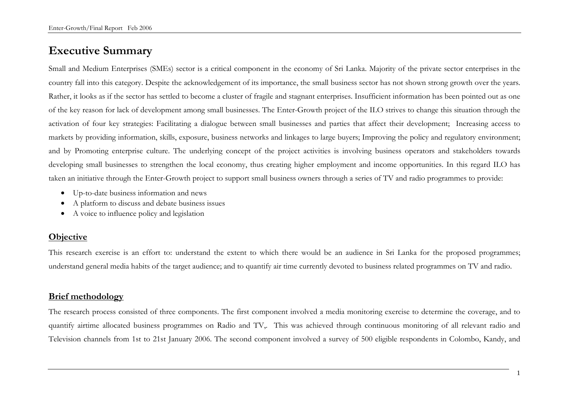# **Executive Summary**

Small and Medium Enterprises (SMEs) sector is a critical component in the economy of Sri Lanka. Majority of the private sector enterprises in the country fall into this category. Despite the acknowledgement of its importance, the small business sector has not shown strong growth over the years. Rather, it looks as if the sector has settled to become a cluster of fragile and stagnant enterprises. Insufficient information has been pointed out as one of the key reason for lack of development among small businesses. The Enter-Growth project of the ILO strives to change this situation through the activation of four key strategies: Facilitating a dialogue between small businesses and parties that affect their development; Increasing access to markets by providing information, skills, exposure, business networks and linkages to large buyers; Improving the policy and regulatory environment; and by Promoting enterprise culture. The underlying concept of the project activities is involving business operators and stakeholders towards developing small businesses to strengthen the local economy, thus creating higher employment and income opportunities. In this regard ILO has taken an initiative through the Enter-Growth project to support small business owners through a series of TV and radio programmes to provide:

- Up-to-date business information and news
- A platform to discuss and debate business issues
- A voice to influence policy and legislation

# **Objective**

This research exercise is an effort to: understand the extent to which there would be an audience in Sri Lanka for the proposed programmes; understand general media habits of the target audience; and to quantify air time currently devoted to business related programmes on TV and radio.

# **Brief methodology**

The research process consisted of three components. The first component involved a media monitoring exercise to determine the coverage, and to quantify airtime allocated business programmes on Radio and TV,. This was achieved through continuous monitoring of all relevant radio and Television channels from 1st to 21st January 2006. The second component involved a survey of 500 eligible respondents in Colombo, Kandy, and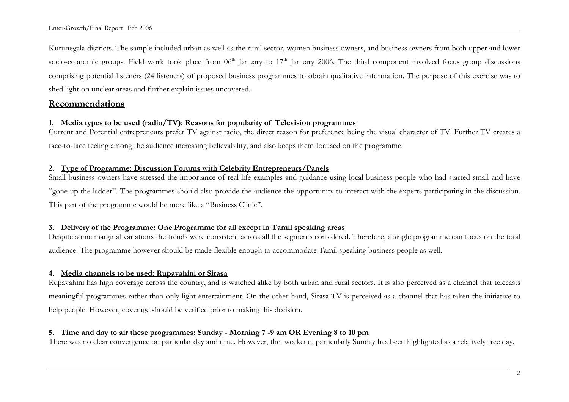Kurunegala districts. The sample included urban as well as the rural sector, women business owners, and business owners from both upper and lower socio-economic groups. Field work took place from  $06<sup>th</sup>$  January to  $17<sup>th</sup>$  January 2006. The third component involved focus group discussions comprising potential listeners (24 listeners) of proposed business programmes to obtain qualitative information. The purpose of this exercise was to shed light on unclear areas and further explain issues uncovered.

# **Recommendations**

# **1. Media types to be used (radio/TV): Reasons for popularity of Television programmes**

Current and Potential entrepreneurs prefer TV against radio, the direct reason for preference being the visual character of TV. Further TV creates a face-to-face feeling among the audience increasing believability, and also keeps them focused on the programme.

# **2. Type of Programme: Discussion Forums with Celebrity Entrepreneurs/Panels**

Small business owners have stressed the importance of real life examples and guidance using local business people who had started small and have "gone up the ladder". The programmes should also provide the audience the opportunity to interact with the experts participating in the discussion. This part of the programme would be more like a "Business Clinic".

# **3. Delivery of the Programme: One Programme for all except in Tamil speaking areas**

Despite some marginal variations the trends were consistent across all the segments considered. Therefore, a single programme can focus on the total audience. The programme however should be made flexible enough to accommodate Tamil speaking business people as well.

# **4. Media channels to be used: Rupavahini or Sirasa**

Rupavahini has high coverage across the country, and is watched alike by both urban and rural sectors. It is also perceived as a channel that telecasts meaningful programmes rather than only light entertainment. On the other hand, Sirasa TV is perceived as a channel that has taken the initiative to help people. However, coverage should be verified prior to making this decision.

# **5. Time and day to air these programmes: Sunday - Morning 7 -9 am OR Evening 8 to 10 pm**

There was no clear convergence on particular day and time. However, the weekend, particularly Sunday has been highlighted as a relatively free day.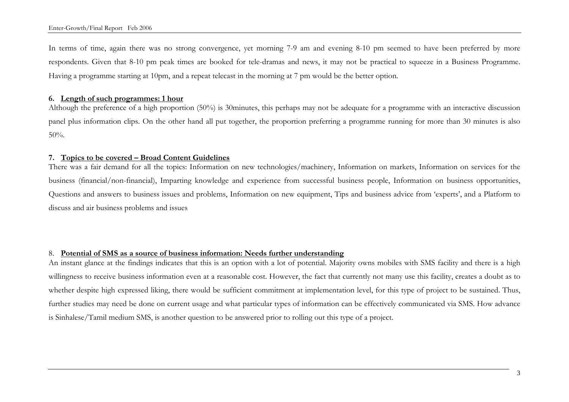In terms of time, again there was no strong convergence, yet morning 7-9 am and evening 8-10 pm seemed to have been preferred by more respondents. Given that 8-10 pm peak times are booked for tele-dramas and news, it may not be practical to squeeze in a Business Programme. Having a programme starting at 10pm, and a repeat telecast in the morning at 7 pm would be the better option.

#### **6. Length of such programmes: 1 hour**

Although the preference of a high proportion (50%) is 30minutes, this perhaps may not be adequate for a programme with an interactive discussion panel plus information clips. On the other hand all put together, the proportion preferring a programme running for more than 30 minutes is also 50%.

### **7. Topics to be covered – Broad Content Guidelines**

There was a fair demand for all the topics: Information on new technologies/machinery, Information on markets, Information on services for the business (financial/non-financial), Imparting knowledge and experience from successful business people, Information on business opportunities, Questions and answers to business issues and problems, Information on new equipment, Tips and business advice from 'experts', and a Platform to discuss and air business problems and issues

# 8. **Potential of SMS as a source of business information: Needs further understanding**

An instant glance at the findings indicates that this is an option with a lot of potential. Majority owns mobiles with SMS facility and there is a high willingness to receive business information even at a reasonable cost. However, the fact that currently not many use this facility, creates a doubt as to whether despite high expressed liking, there would be sufficient commitment at implementation level, for this type of project to be sustained. Thus, further studies may need be done on current usage and what particular types of information can be effectively communicated via SMS. How advance is Sinhalese/Tamil medium SMS, is another question to be answered prior to rolling out this type of a project.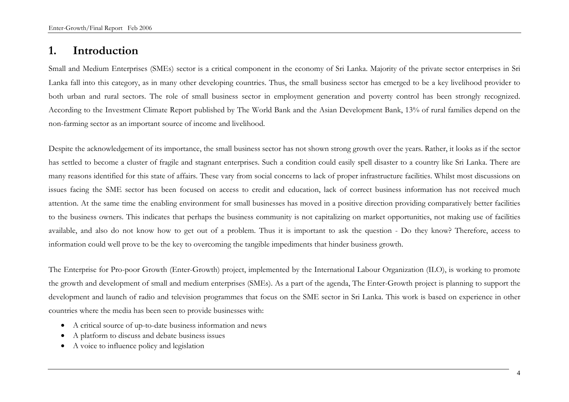# **1. Introduction**

Small and Medium Enterprises (SMEs) sector is a critical component in the economy of Sri Lanka. Majority of the private sector enterprises in Sri Lanka fall into this category, as in many other developing countries. Thus, the small business sector has emerged to be a key livelihood provider to both urban and rural sectors. The role of small business sector in employment generation and poverty control has been strongly recognized. According to the Investment Climate Report published by The World Bank and the Asian Development Bank, 13% of rural families depend on the non-farming sector as an important source of income and livelihood.

Despite the acknowledgement of its importance, the small business sector has not shown strong growth over the years. Rather, it looks as if the sector has settled to become a cluster of fragile and stagnant enterprises. Such a condition could easily spell disaster to a country like Sri Lanka. There are many reasons identified for this state of affairs. These vary from social concerns to lack of proper infrastructure facilities. Whilst most discussions on issues facing the SME sector has been focused on access to credit and education, lack of correct business information has not received much attention. At the same time the enabling environment for small businesses has moved in a positive direction providing comparatively better facilities to the business owners. This indicates that perhaps the business community is not capitalizing on market opportunities, not making use of facilities available, and also do not know how to get out of a problem. Thus it is important to ask the question - Do they know? Therefore, access to information could well prove to be the key to overcoming the tangible impediments that hinder business growth.

The Enterprise for Pro-poor Growth (Enter-Growth) project, implemented by the International Labour Organization (ILO), is working to promote the growth and development of small and medium enterprises (SMEs). As a part of the agenda, The Enter-Growth project is planning to support the development and launch of radio and television programmes that focus on the SME sector in Sri Lanka. This work is based on experience in other countries where the media has been seen to provide businesses with:

- A critical source of up-to-date business information and news
- A platform to discuss and debate business issues
- A voice to influence policy and legislation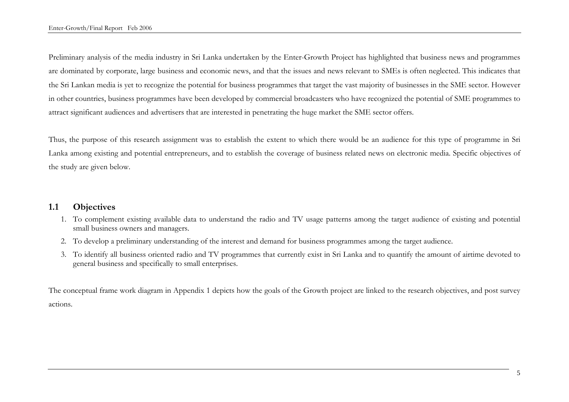Preliminary analysis of the media industry in Sri Lanka undertaken by the Enter-Growth Project has highlighted that business news and programmes are dominated by corporate, large business and economic news, and that the issues and news relevant to SMEs is often neglected. This indicates that the Sri Lankan media is yet to recognize the potential for business programmes that target the vast majority of businesses in the SME sector. However in other countries, business programmes have been developed by commercial broadcasters who have recognized the potential of SME programmes to attract significant audiences and advertisers that are interested in penetrating the huge market the SME sector offers.

Thus, the purpose of this research assignment was to establish the extent to which there would be an audience for this type of programme in Sri Lanka among existing and potential entrepreneurs, and to establish the coverage of business related news on electronic media. Specific objectives of the study are given below.

# **1.1 Objectives**

- 1. To complement existing available data to understand the radio and TV usage patterns among the target audience of existing and potential small business owners and managers.
- 2. To develop a preliminary understanding of the interest and demand for business programmes among the target audience.
- 3. To identify all business oriented radio and TV programmes that currently exist in Sri Lanka and to quantify the amount of airtime devoted to general business and specifically to small enterprises.

The conceptual frame work diagram in Appendix 1 depicts how the goals of the Growth project are linked to the research objectives, and post survey actions.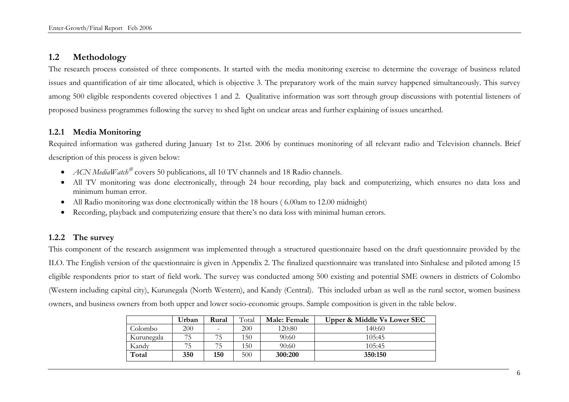# **1.2 Methodology**

The research process consisted of three components. It started with the media monitoring exercise to determine the coverage of business related issues and quantification of air time allocated, which is objective 3. The preparatory work of the main survey happened simultaneously. This survey among 500 eligible respondents covered objectives 1 and 2. Qualitative information was sort through group discussions with potential listeners of proposed business programmes following the survey to shed light on unclear areas and further explaining of issues unearthed.

# **1.2.1 Media Monitoring**

Required information was gathered during January 1st to 21st. 2006 by continues monitoring of all relevant radio and Television channels. Brief description of this process is given below:

- *ACN MediaWatch*<sup>®</sup> covers 50 publications, all 10 TV channels and 18 Radio channels.
- All TV monitoring was done electronically, through 24 hour recording, play back and computerizing, which ensures no data loss and minimum human error.
- All Radio monitoring was done electronically within the 18 hours (6.00am to 12.00 midnight)
- Recording, playback and computerizing ensure that there's no data loss with minimal human errors.

# **1.2.2 The survey**

This component of the research assignment was implemented through a structured questionnaire based on the draft questionnaire provided by the ILO. The English version of the questionnaire is given in Appendix 2. The finalized questionnaire was translated into Sinhalese and piloted among 15 eligible respondents prior to start of field work. The survey was conducted among 500 existing and potential SME owners in districts of Colombo (Western including capital city), Kurunegala (North Western), and Kandy (Central). This included urban as well as the rural sector, women business owners, and business owners from both upper and lower socio-economic groups. Sample composition is given in the table below.

|            | Urban | Rural                    | Total | Male: Female | Upper & Middle Vs Lower SEC |
|------------|-------|--------------------------|-------|--------------|-----------------------------|
| Colombo    | 200   | $\overline{\phantom{0}}$ | 200   | 120:80       | 140:60                      |
| Kurunegala | 75    |                          | 150   | 90:60        | 105:45                      |
| Kandy      | 75    | 75                       | 150   | 90:60        | 105:45                      |
| Total      | 350   | 150                      | 500   | 300:200      | 350:150                     |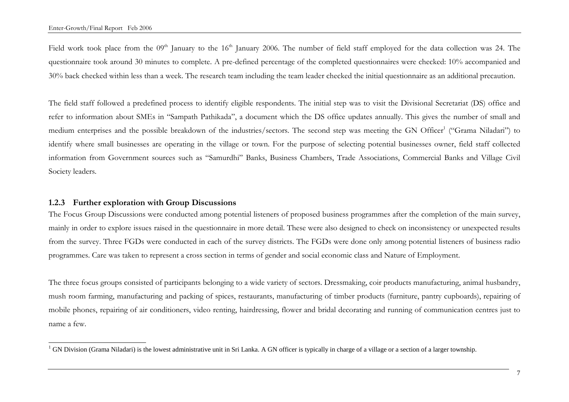Field work took place from the 09<sup>th</sup> January to the 16<sup>th</sup> January 2006. The number of field staff employed for the data collection was 24. The questionnaire took around 30 minutes to complete. A pre-defined percentage of the completed questionnaires were checked: 10% accompanied and 30% back checked within less than a week. The research team including the team leader checked the initial questionnaire as an additional precaution.

The field staff followed a predefined process to identify eligible respondents. The initial step was to visit the Divisional Secretariat (DS) office and refer to information about SMEs in "Sampath Pathikada", a document which the DS office updates annually. This gives the number of small and medium enterprises and the possible breakdown of the industries/sectors. The second step was meeting the GN Officer<sup>1</sup> ("Grama Niladari") to identify where small businesses are operating in the village or town. For the purpose of selecting potential businesses owner, field staff collected information from Government sources such as "Samurdhi" Banks, Business Chambers, Trade Associations, Commercial Banks and Village Civil Society leaders.

# **1.2.3 Further exploration with Group Discussions**

The Focus Group Discussions were conducted among potential listeners of proposed business programmes after the completion of the main survey, mainly in order to explore issues raised in the questionnaire in more detail. These were also designed to check on inconsistency or unexpected results from the survey. Three FGDs were conducted in each of the survey districts. The FGDs were done only among potential listeners of business radio programmes. Care was taken to represent a cross section in terms of gender and social economic class and Nature of Employment.

The three focus groups consisted of participants belonging to a wide variety of sectors. Dressmaking, coir products manufacturing, animal husbandry, mush room farming, manufacturing and packing of spices, restaurants, manufacturing of timber products (furniture, pantry cupboards), repairing of mobile phones, repairing of air conditioners, video renting, hairdressing, flower and bridal decorating and running of communication centres just to name a few.

 $1$  GN Division (Grama Niladari) is the lowest administrative unit in Sri Lanka. A GN officer is typically in charge of a village or a section of a larger township.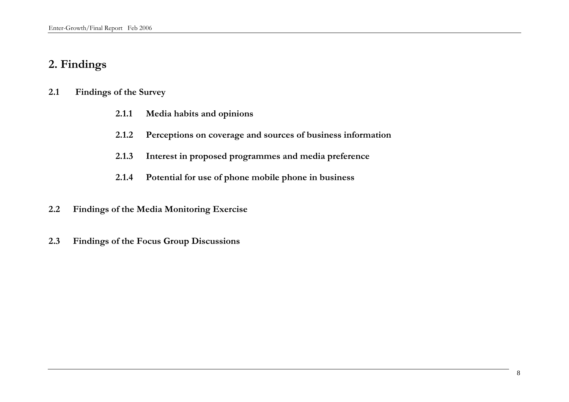# **2. Findings**

# **2.1 Findings of the Survey**

- **2.1.1 Media habits and opinions**
- **2.1.2 Perceptions on coverage and sources of business information**
- **2.1.3 Interest in proposed programmes and media preference**
- **2.1.4 Potential for use of phone mobile phone in business**
- **2.2 Findings of the Media Monitoring Exercise**
- **2.3 Findings of the Focus Group Discussions**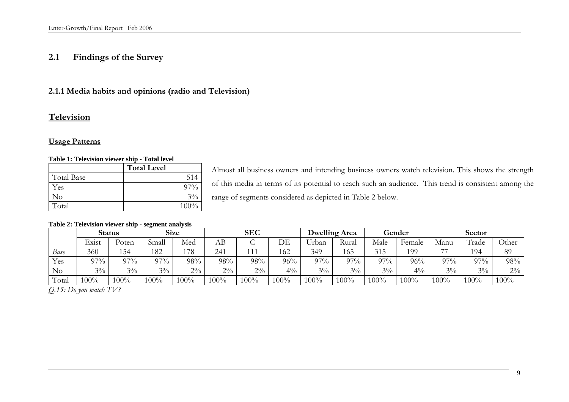# **2.1 Findings of the Survey**

# **2.1.1 Media habits and opinions (radio and Television)**

# **Television**

# **Usage Patterns**

### **Table 1: Television viewer ship - Total level**

|                   | <b>Total Level</b> |
|-------------------|--------------------|
| <b>Total Base</b> | 514                |
| Yes               | $97\%$             |
| No                | $3\%$              |
| Total             | $100\%$            |

Almost all business owners and intending business owners watch television. This shows the strength of this media in terms of its potential to reach such an audience. This trend is consistent among the range of segments considered as depicted in Table 2 below.

|       |       | <b>Status</b>                |             | <b>Size</b> | <b>SEC</b> |            | Dwelling Area |                      | Gender |       | <b>Sector</b> |        |                     |         |
|-------|-------|------------------------------|-------------|-------------|------------|------------|---------------|----------------------|--------|-------|---------------|--------|---------------------|---------|
|       | Exist | $\mathrm{b}_{\mathrm{oten}}$ | 11<br>Small | Med         | AВ         | ◡          | DE            | <b>TT 1</b><br>Jrban | Rural  | Male  | Female        | Manu   | $\sqrt{ }$<br>Frade | Other   |
| Base  | 360   | 154                          | 182         | 178         | 241        | <b>ALL</b> | 162           | 349                  | 165    | 315   | 199           | $-1$   | 194                 | 89      |
| Yes   | 97%   | $27\%$                       | $97\%$      | 98%         | 98%        | 98%        | 96%           | 97%                  | $97\%$ | 070/  | 96%           | $97\%$ | 97%                 | 98%     |
| No    | $3\%$ | $3\%$                        | $3\%$       | $2\%$       | $2\%$      | $2\%$      | $4\%$         | $3\%$                | $3\%$  | $3\%$ | $4\%$         | $3\%$  | $3\%$               | $2\%$   |
| Total | 00%   | 100%                         | $100\%$     | $100\%$     | $100\%$    | 100%       | 100%          | 100%                 | 100%   | 100%  | 100%          | 100%   | 100%                | $100\%$ |

#### **Table 2: Television viewer ship - segment analysis**

*Q.15: Do you watch TV?*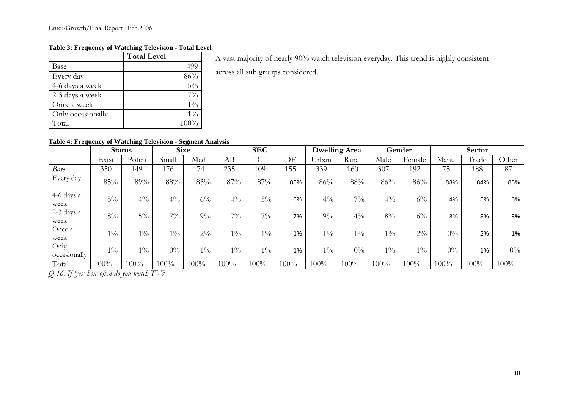# **Table 3: Frequency of Watching Television - Total Level**

|                   | <b>Total Level</b> |
|-------------------|--------------------|
| Base              | 499                |
| Every day         | 86%                |
| 4-6 days a week   | $5\%$              |
| 2-3 days a week   | $7\%$              |
| Once a week       | $1\%$              |
| Only occasionally | $1\%$              |
| Total             | 100%               |

A vast majority of nearly 90% watch television everyday. This trend is highly consistent

across all sub groups considered.

# **Table 4: Frequency of Watching Television - Segment Analysis**

|                      |       | <b>Status</b> |       | <b>Size</b> |                | <b>SEC</b> |      | <b>Dwelling Area</b> |       | Gender         |        | Sector |         |       |
|----------------------|-------|---------------|-------|-------------|----------------|------------|------|----------------------|-------|----------------|--------|--------|---------|-------|
|                      | Exist | Poten         | Small | Med         | AВ             | C          | DE   | Urban                | Rural | Male           | Female | Manu   | Trade   | Other |
| Base                 | 350   | 149           | 176   | 174         | 235            | 109        | 155  | 339                  | 160   | 307            | 192    | 75     | 188     | 87    |
| Every day            | 85%   | 89%           | 88%   | 83%         | 87%            | 87%        | 85%  | 86%                  | 88%   | 86%            | 86%    | 88%    | 84%     | 85%   |
| 4-6 days a<br>week   | $5\%$ | $4\%$         | $4\%$ | $6\%$       | $4\frac{0}{0}$ | $5\%$      | 6%   | $4\frac{0}{0}$       | $7\%$ | $4\frac{0}{0}$ | $6\%$  | 4%     | 5%      | 6%    |
| 2-3 days a<br>week   | $8\%$ | $5\%$         | $7\%$ | $9\%$       | $7\%$          | $7\%$      | 7%   | $9\%$                | $4\%$ | $8\%$          | $6\%$  | 8%     | 8%      | 8%    |
| Once a<br>week       | $1\%$ | $1\%$         | $1\%$ | $2\%$       | $1\%$          | $1\%$      | 1%   | $1\%$                | $1\%$ | $1\%$          | $2\%$  | $0\%$  | 2%      | $1\%$ |
| Only<br>occasionally | $1\%$ | $1\%$         | $0\%$ | $1\%$       | $1\%$          | $1\%$      | 1%   | $1\%$                | $0\%$ | $1\%$          | $1\%$  | $0\%$  | 1%      | $0\%$ |
| Total                | 100%  | 100%          | 100%  | 100%        | 100%           | $100\%$    | 100% | 100%                 | 100%  | 100%           | 100%   | 100%   | $100\%$ | 100%  |

*Q.16: If 'yes' how often do you watch TV?*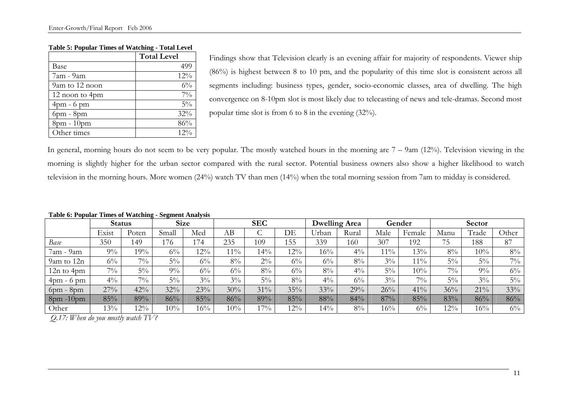|                 | <b>Total Level</b> |
|-----------------|--------------------|
| Base            | 499                |
| 7am - 9am       | 12%                |
| 9am to 12 noon  | $6\%$              |
| 12 noon to 4pm  | $7\%$              |
| $4$ pm - 6 pm   | $5\%$              |
| $6$ pm - $8$ pm | 32%                |
| 8pm - 10pm      | 86%                |
| Other times     | 12%                |

#### **Table 5: Popular Times of Watching - Total Level**

Findings show that Television clearly is an evening affair for majority of respondents. Viewer ship (86%) is highest between 8 to 10 pm, and the popularity of this time slot is consistent across all segments including: business types, gender, socio-economic classes, area of dwelling. The high convergence on 8-10pm slot is most likely due to telecasting of news and tele-dramas. Second most popular time slot is from 6 to 8 in the evening (32%).

In general, morning hours do not seem to be very popular. The mostly watched hours in the morning are 7 – 9am (12%). Television viewing in the morning is slightly higher for the urban sector compared with the rural sector. Potential business owners also show a higher likelihood to watch television in the morning hours. More women (24%) watch TV than men (14%) when the total morning session from 7am to midday is considered.

|                  |       | <b>Status</b> | <u>- 0</u> | <b>Size</b> |        | <b>SEC</b> |        |       | <b>Dwelling Area</b> |        | Gender |        | Sector |       |
|------------------|-------|---------------|------------|-------------|--------|------------|--------|-------|----------------------|--------|--------|--------|--------|-------|
|                  | Exist | Poten         | Small      | Med         | AВ     |            | DE     | Urban | Rural                | Male   | Female | Manu   | Trade  | Other |
| Base             | 350   | 149           | 176        | 174         | 235    | 109        | 155    | 339   | 160                  | 307    | 192    | 75     | 188    | 87    |
| 7am - 9am        | $9\%$ | 19%           | $6\%$      | 12%         | $11\%$ | $14\%$     | 12%    | 16%   | $4\%$                | $11\%$ | 13%    | $8\%$  | 10%    | $8\%$ |
| 9am to 12n       | $6\%$ | $7\%$         | $5\%$      | $6\%$       | 8%     | $2\%$      | $6\%$  | $6\%$ | 8%                   | $3\%$  | $11\%$ | $5\%$  | $5\%$  | $7\%$ |
| $12n$ to $4pm$   | $7\%$ | $5\%$         | $9\%$      | $6\%$       | $6\%$  | $8\%$      | $6\%$  | $8\%$ | $4\%$                | $5\%$  | 10%    | $7\%$  | $9\%$  | $6\%$ |
| $4$ pm - $6$ pm  | $4\%$ | $7\%$         | $5\%$      | $3\%$       | $3\%$  | $5\%$      | $8\%$  | $4\%$ | $6\%$                | $3\%$  | $7\%$  | $5\%$  | $3\%$  | $5\%$ |
| $6$ pm - $8$ pm  | 27%   | 42%           | 32%        | 23%         | 30%    | 31%        | 35%    | 33%   | 29%                  | 26%    | 41%    | 36%    | 21%    | 33%   |
| $8$ pm - $10$ pm | 85%   | 89%           | 86%        | 85%         | 86%    | 89%        | 85%    | 88%   | 84%                  | 87%    | 85%    | 83%    | 86%    | 86%   |
| Other            | $3\%$ | $12\%$        | 10%        | 16%         | 10%    | 17%        | $12\%$ | 14%   | 8%                   | 16%    | $6\%$  | $12\%$ | 16%    | $6\%$ |

#### **Table 6: Popular Times of Watching - Segment Analysis**

 *Q.17: When do you mostly watch TV?*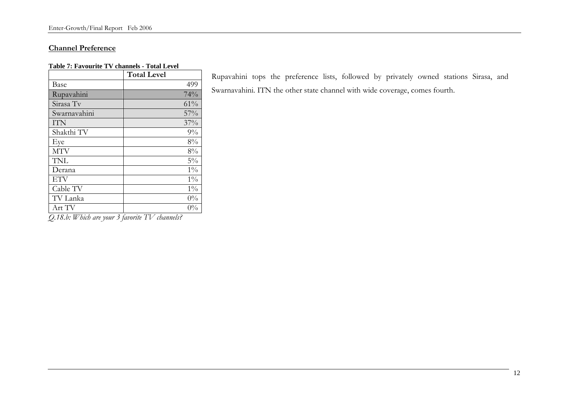### **Channel Preference**

#### **Table 7: Favourite TV channels - Total Level**

|              | <b>Total Level</b> |
|--------------|--------------------|
| Base         | 499                |
| Rupavahini   | 74%                |
| Sirasa Tv    | 61%                |
| Swarnavahini | 57%                |
| <b>ITN</b>   | 37%                |
| Shakthi TV   | 9%                 |
| Eye          | 8%                 |
| <b>MTV</b>   | 8%                 |
| <b>TNL</b>   | $5\%$              |
| Derana       | $1\%$              |
| <b>ETV</b>   | $1\%$              |
| Cable TV     | $1\%$              |
| TV Lanka     | $0\%$              |
| Art TV       | $0\%$              |

*Q.18.b: Which are your 3 favorite TV channels?* 

Rupavahini tops the preference lists, followed by privately owned stations Sirasa, and Swarnavahini. ITN the other state channel with wide coverage, comes fourth.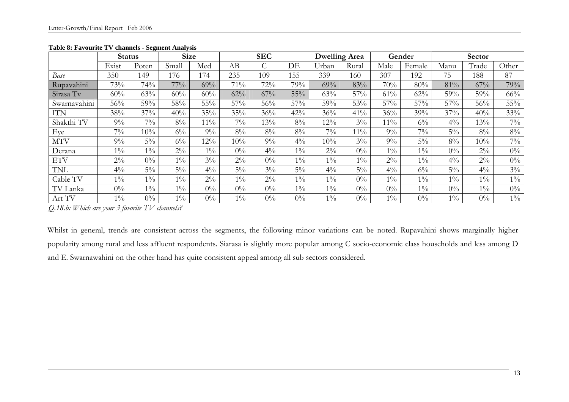|              | <b>Status</b> |        | <b>Size</b> |        |       | <b>SEC</b> |       | <b>Dwelling Area</b> |        |        | Gender | Sector |       |       |
|--------------|---------------|--------|-------------|--------|-------|------------|-------|----------------------|--------|--------|--------|--------|-------|-------|
|              | Exist         | Poten  | Small       | Med    | AB    |            | DE    | Urban                | Rural  | Male   | Female | Manu   | Trade | Other |
| Base         | 350           | 149    | 176         | 174    | 235   | 109        | 155   | 339                  | 160    | 307    | 192    | 75     | 188   | 87    |
| Rupavahini   | 73%           | 74%    | $77\%$      | 69%    | 71%   | 72%        | 79%   | 69%                  | 83%    | 70%    | 80%    | 81%    | 67%   | 79%   |
| Sirasa Tv    | 60%           | 63%    | 60%         | 60%    | 62%   | 67%        | 55%   | 63%                  | 57%    | 61%    | 62%    | 59%    | 59%   | 66%   |
| Swarnavahini | 56%           | 59%    | 58%         | 55%    | 57%   | 56%        | 57%   | 59%                  | 53%    | 57%    | 57%    | 57%    | 56%   | 55%   |
| ITN          | 38%           | 37%    | 40%         | 35%    | 35%   | 36%        | 42%   | 36%                  | 41%    | 36%    | 39%    | 37%    | 40%   | 33%   |
| Shakthi TV   | $9\%$         | $7\%$  | $8\%$       | $11\%$ | $7\%$ | 13%        | $8\%$ | 12%                  | $3\%$  | $11\%$ | $6\%$  | $4\%$  | 13%   | $7\%$ |
| Eye          | $7\%$         | $10\%$ | $6\%$       | $9\%$  | $8\%$ | $8\%$      | $8\%$ | $7\%$                | $11\%$ | $9\%$  | $7\%$  | $5\%$  | $8\%$ | $8\%$ |
| <b>MTV</b>   | $9\%$         | $5\%$  | $6\%$       | $12\%$ | 10%   | $9\%$      | $4\%$ | 10%                  | $3\%$  | $9\%$  | $5\%$  | $8\%$  | 10%   | $7\%$ |
| Derana       | $1\%$         | $1\%$  | $2\%$       | $1\%$  | $0\%$ | $4\%$      | $1\%$ | $2\%$                | $0\%$  | $1\%$  | $1\%$  | $0\%$  | $2\%$ | $0\%$ |
| ETV          | $2\%$         | $0\%$  | $1\%$       | $3\%$  | $2\%$ | $0\%$      | $1\%$ | $1\%$                | $1\%$  | $2\%$  | $1\%$  | $4\%$  | $2\%$ | $0\%$ |
| TNL          | $4\%$         | $5\%$  | $5\%$       | $4\%$  | $5\%$ | $3\%$      | $5\%$ | $4\%$                | $5\%$  | $4\%$  | $6\%$  | $5\%$  | $4\%$ | $3\%$ |
| Cable TV     | $1\%$         | $1\%$  | $1\%$       | $2\%$  | $1\%$ | $2\%$      | $1\%$ | $1\%$                | $0\%$  | $1\%$  | $1\%$  | $1\%$  | $1\%$ | $1\%$ |
| TV Lanka     | $0\%$         | $1\%$  | $1\%$       | $0\%$  | $0\%$ | $0\%$      | $1\%$ | $1\%$                | $0\%$  | $0\%$  | $1\%$  | $0\%$  | $1\%$ | $0\%$ |
| Art TV       | $1\%$         | $0\%$  | $1\%$       | $0\%$  | $1\%$ | $0\%$      | $0\%$ | $1\%$                | $0\%$  | $1\%$  | $0\%$  | $1\%$  | $0\%$ | $1\%$ |

### **Table 8: Favourite TV channels - Segment Analysis**

*Q.18.b: Which are your 3 favorite TV channels?* 

Whilst in general, trends are consistent across the segments, the following minor variations can be noted. Rupavahini shows marginally higher popularity among rural and less affluent respondents. Siarasa is slightly more popular among C socio-economic class households and less among D and E. Swarnawahini on the other hand has quite consistent appeal among all sub sectors considered.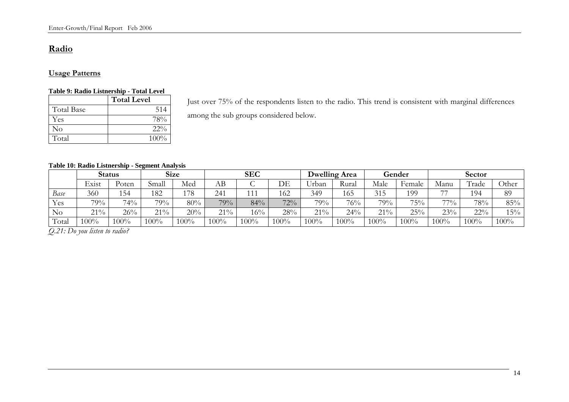# **Radio**

# **Usage Patterns**

#### **Table 9: Radio Listnership - Total Level**

|                   | <b>Total Level</b> |
|-------------------|--------------------|
| <b>Total Base</b> | 514                |
| Yes               | 78%                |
| No                | $22\%$             |
| Total             | $100\%$            |

Just over 75% of the respondents listen to the radio. This trend is consistent with marginal differences among the sub groups considered below.

#### **Table 10: Radio Listnership - Segment Analysis**

|          | <b>Status</b> |       | <b>Size</b> |     | <b>SEC</b> |        |        | Dwelling Area |       | Gender  |         | Sector     |       |       |
|----------|---------------|-------|-------------|-----|------------|--------|--------|---------------|-------|---------|---------|------------|-------|-------|
|          | Exist         | Poten | Small       | Med | AВ         | ◡      | DE     | Jrban         | Rural | Male    | Female  | Manu       | Trade | Other |
| Base     | 360           | 154   | 182         | 178 | 241        | 111    | 162    | 349           | 165   | 315     | 199     | $-1$       | 194   | 89    |
| Yes      | 79%           | 74%   | 79%         | 80% | 79%        | 84%    | 72%    | 79%           | 76%   | 79%     | 75%     | 770/<br>70 | 78%   | 85%   |
| $\rm No$ | $21\%$        | 26%   | $21\%$      | 20% | 21%        | 16%    | 28%    | 21%           | 24%   | 21%     | 25%     | 23%        | 22%   | 15%   |
| Total    | 00%           | .00%  | 00%         | 00% | $00\%$     | $00\%$ | $00\%$ | 100%          | 100%  | $100\%$ | $100\%$ | 100%       | 100%  | 100%  |

*Q.21: Do you listen to radio?*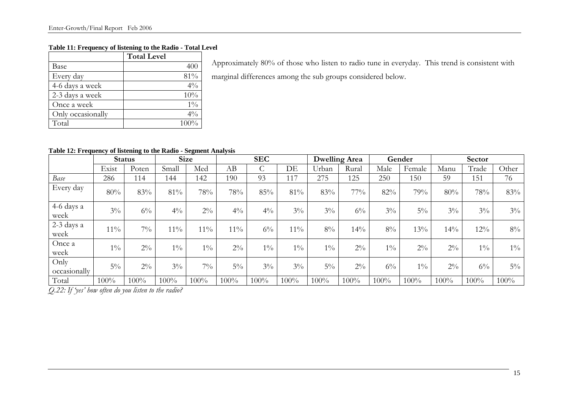### **Table 11: Frequency of listening to the Radio - Total Level**

|                   | <b>Total Level</b> |
|-------------------|--------------------|
| Base              | 400                |
| Every day         | 81%                |
| 4-6 days a week   | $4\%$              |
| 2-3 days a week   | 10%                |
| Once a week       | $1\%$              |
| Only occasionally | $4\%$              |
| Total             | 100%               |

Approximately 80% of those who listen to radio tune in everyday. This trend is consistent with marginal differences among the sub groups considered below.

### **Table 12: Frequency of listening to the Radio - Segment Analysis**

|                      | <b>Status</b> |       | <b>Size</b> |        | <b>SEC</b>     |       | Dwelling Area |       | Gender  |       | Sector |        |       |         |
|----------------------|---------------|-------|-------------|--------|----------------|-------|---------------|-------|---------|-------|--------|--------|-------|---------|
|                      | Exist         | Poten | Small       | Med    | AB             | Ċ     | DE            | Urban | Rural   | Male  | Female | Manu   | Trade | Other   |
| Base                 | 286           | 114   | 144         | 142    | 190            | 93    | 117           | 275   | 125     | 250   | 150    | 59     | 151   | 76      |
| Every day            | 80%           | 83%   | 81%         | 78%    | 78%            | 85%   | 81%           | 83%   | 77%     | 82%   | 79%    | 80%    | 78%   | 83%     |
| 4-6 days a<br>week   | $3\%$         | $6\%$ | $4\%$       | $2\%$  | $4\frac{0}{0}$ | $4\%$ | $3\%$         | $3\%$ | $6\%$   | $3\%$ | $5\%$  | $3\%$  | $3\%$ | $3\%$   |
| 2-3 days a<br>week   | $11\%$        | $7\%$ | $11\%$      | $11\%$ | $11\%$         | $6\%$ | $11\%$        | $8\%$ | 14%     | $8\%$ | 13%    | $14\%$ | 12%   | $8\%$   |
| Once a<br>week       | $1\%$         | $2\%$ | $1\%$       | $1\%$  | $2\%$          | $1\%$ | $1\%$         | $1\%$ | $2\%$   | $1\%$ | $2\%$  | $2\%$  | $1\%$ | $1\%$   |
| Only<br>occasionally | $5\%$         | $2\%$ | $3\%$       | $7\%$  | $5\%$          | $3\%$ | $3\%$         | $5\%$ | $2\%$   | $6\%$ | $1\%$  | $2\%$  | $6\%$ | $5\%$   |
| Total                | 100%          | 100%  | 100%        | 100%   | 100%           | 100%  | 100%          | 100%  | $100\%$ | 100%  | 100%   | 100%   | 100%  | $100\%$ |

*Q.22: If 'yes' how often do you listen to the radio?*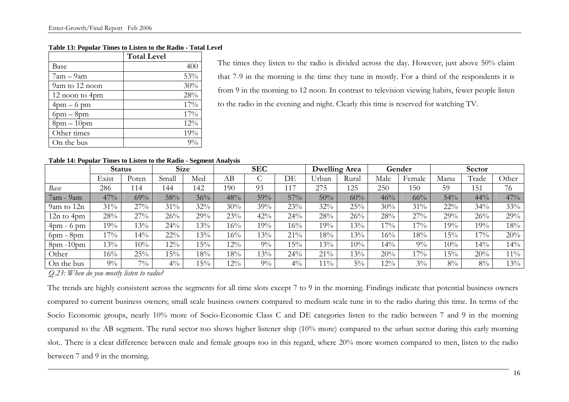#### **Table 13: Popular Times to Listen to the Radio - Total Level**

|                | <b>Total Level</b> |
|----------------|--------------------|
| Base           | 400                |
| $7am - 9am$    | 53%                |
| 9am to 12 noon | 30%                |
| 12 noon to 4pm | 28%                |
| $4$ pm $-6$ pm | 17%                |
| $6pm - 8pm$    | 17%                |
| $8pm-10pm$     | 12%                |
| Other times    | 19%                |
| On the bus     | $9\%$              |

The times they listen to the radio is divided across the day. However, just above 50% claim that 7-9 in the morning is the time they tune in mostly. For a third of the respondents it is from 9 in the morning to 12 noon. In contrast to television viewing habits, fewer people listen to the radio in the evening and night. Clearly this time is reserved for watching TV.

#### **Table 14: Popular Times to Listen to the Radio - Segment Analysis**

|                               | <b>Status</b> |        | <b>Size</b> |     | <b>SEC</b> |       | <b>Dwelling Area</b> |        | Gender |        | Sector |        |       |        |
|-------------------------------|---------------|--------|-------------|-----|------------|-------|----------------------|--------|--------|--------|--------|--------|-------|--------|
|                               | Exist         | Poten  | Small       | Med | AB         |       | DE                   | Urban  | Rural  | Male   | Female | Manu   | Trade | Other  |
| Base                          | 286           | 114    | 44          | 142 | 190        | 93    | 117                  | 275    | 125    | 250    | 150    | 59     | 151   | 76     |
| 7am - 9am                     | 47%           | 69%    | 58%         | 36% | 48%        | 59%   | 57%                  | 50%    | 60%    | 46%    | 66%    | 54%    | 44%   | 47%    |
| 9am to 12n                    | $31\%$        | 27%    | 31%         | 32% | 30%        | 39%   | 23%                  | 32%    | 25%    | 30%    | $31\%$ | $22\%$ | 34%   | 33%    |
| $12n$ to $4pm$                | 28%           | 27%    | 26%         | 29% | 23%        | 42%   | 24%                  | 28%    | 26%    | 28%    | 27%    | 29%    | 26%   | 29%    |
| $4 \text{pm}$ - 6 $\text{pm}$ | 19%           | 13%    | 24%         | 13% | 16%        | 19%   | 16%                  | 19%    | 13%    | $17\%$ | 17%    | 19%    | 19%   | 18%    |
| $6$ pm - $8$ pm               | $7\%$         | $14\%$ | $22\%$      | 13% | 16%        | 13%   | 21%                  | 18%    | 13%    | 16%    | $18\%$ | 15%    | $7\%$ | 20%    |
| $8$ pm $-10$ pm               | $3\%$         | 10%    | $12\%$      | 15% | $12\%$     | 9%    | 15%                  | 13%    | 10%    | $14\%$ | $9\%$  | 10%    | 14%   | 14%    |
| Other                         | $16\%$        | 25%    | 15%         | 18% | 18%        | 13%   | 24%                  | $21\%$ | 13%    | 20%    | 17%    | 15%    | 20%   | $11\%$ |
| On the bus                    | $9\%$         | $7\%$  | $4\%$       | 15% | $12\%$     | $9\%$ | $4\%$                | $11\%$ | $5\%$  | $12\%$ | $3\%$  | 8%     | 8%    | 13%    |

*Q.23: When do you mostly listen to radio?* 

The trends are highly consistent across the segments for all time slots except 7 to 9 in the morning. Findings indicate that potential business owners compared to current business owners; small scale business owners compared to medium scale tune in to the radio during this time. In terms of the Socio Economic groups, nearly 10% more of Socio-Economic Class C and DE categories listen to the radio between 7 and 9 in the morning compared to the AB segment. The rural sector too shows higher listener ship (10% more) compared to the urban sector during this early morning slot.. There is a clear difference between male and female groups too in this regard, where 20% more women compared to men, listen to the radio between 7 and 9 in the morning.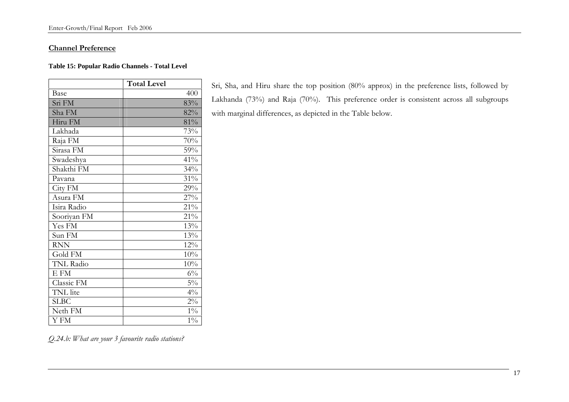#### **Channel Preference**

#### **Table 15: Popular Radio Channels - Total Level**

|                  | <b>Total Level</b> |
|------------------|--------------------|
| Base             | 400                |
| Sri FM           | 83%                |
| Sha FM           | 82%                |
| Hiru FM          | 81%                |
| Lakhada          | 73%                |
| Raja FM          | 70%                |
| Sirasa FM        | 59%                |
| Swadeshya        | 41%                |
| Shakthi FM       | 34%                |
| Pavana           | 31%                |
| City FM          | 29%                |
| Asura FM         | 27%                |
| Isira Radio      | 21%                |
| Sooriyan FM      | 21%                |
| Yes FM           | 13%                |
| Sun FM           | 13%                |
| <b>RNN</b>       | 12%                |
| Gold FM          | 10%                |
| <b>TNL Radio</b> | 10%                |
| E FM             | $6\%$              |
| Classic FM       | $5\%$              |
| TNL lite         | $4\%$              |
| <b>SLBC</b>      | $2\%$              |
| Neth FM          | $1\%$              |
| Y FM             | $1\%$              |

Sri, Sha, and Hiru share the top position (80% approx) in the preference lists, followed by Lakhanda (73%) and Raja (70%). This preference order is consistent across all subgroups with marginal differences, as depicted in the Table below.

*Q.24.b: What are your 3 favourite radio stations?*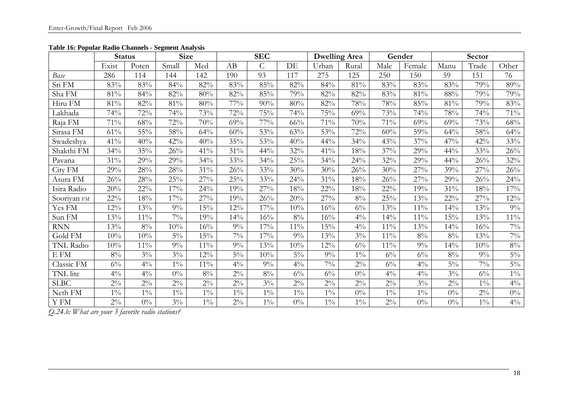|                  | <b>Status</b> |        | <b>Size</b> |        |        | <b>SEC</b>     |        | <b>Dwelling Area</b> |       |        | Gender | Sector |       |        |
|------------------|---------------|--------|-------------|--------|--------|----------------|--------|----------------------|-------|--------|--------|--------|-------|--------|
|                  | Exist         | Poten  | Small       | Med    | AB     | $\overline{C}$ | DE     | Urban                | Rural | Male   | Female | Manu   | Trade | Other  |
| Base             | 286           | 114    | 144         | 142    | 190    | 93             | 117    | 275                  | 125   | 250    | 150    | 59     | 151   | 76     |
| Sri FM           | 83%           | 83%    | 84%         | 82%    | 83%    | 85%            | 82%    | 84%                  | 81%   | 83%    | 83%    | 83%    | 79%   | 89%    |
| Sha FM           | 81%           | 84%    | 82%         | 80%    | 82%    | 85%            | 79%    | 82%                  | 82%   | 83%    | 81%    | $88\%$ | 79%   | 79%    |
| Hiru FM          | $81\%$        | 82%    | $81\%$      | $80\%$ | $77\%$ | 90%            | $80\%$ | 82%                  | 78%   | $78\%$ | 85%    | $81\%$ | 79%   | $83\%$ |
| Lakhada          | 74%           | 72%    | 74%         | 73%    | 72%    | $75\%$         | 74%    | 75%                  | 69%   | 73%    | 74%    | 78%    | 74%   | $71\%$ |
| Raja FM          | 71%           | 68%    | 72%         | 70%    | 69%    | 77%            | 66%    | 71%                  | 70%   | 71%    | 69%    | 69%    | 73%   | 68%    |
| Sirasa FM        | 61%           | 55%    | 58%         | 64%    | 60%    | 53%            | 63%    | 53%                  | 72%   | 60%    | 59%    | 64%    | 58%   | 64%    |
| Swadeshya        | 41%           | 40%    | 42%         | 40%    | 35%    | 53%            | 40%    | 44%                  | 34%   | 43%    | 37%    | 47%    | 42%   | 33%    |
| Shakthi FM       | 34%           | $35\%$ | 26%         | $41\%$ | $31\%$ | 44%            | $32\%$ | 41%                  | 18%   | 37%    | 29%    | 44%    | 33%   | $26\%$ |
| Pavana           | 31%           | 29%    | 29%         | 34%    | 33%    | 34%            | 25%    | 34%                  | 24%   | 32%    | 29%    | 44%    | 26%   | $32\%$ |
| City FM          | 29%           | 28%    | 28%         | 31%    | 26%    | 33%            | 30%    | 30%                  | 26%   | 30%    | 27%    | 39%    | 27%   | 26%    |
| Asura FM         | 26%           | 28%    | 25%         | 27%    | 25%    | 33%            | 24%    | 31%                  | 18%   | 26%    | 27%    | 29%    | 26%   | 24%    |
| Isira Radio      | 20%           | $22\%$ | 17%         | 24%    | 19%    | 27%            | $18\%$ | $22\%$               | 18%   | $22\%$ | 19%    | $31\%$ | 18%   | 17%    |
| Sooriyan FM      | $22\%$        | $18\%$ | 17%         | 27%    | 19%    | 26%            | 20%    | 27%                  | $8\%$ | 25%    | 13%    | $22\%$ | 27%   | $12\%$ |
| Yes FM           | 12%           | 13%    | 9%          | 15%    | $12\%$ | 17%            | 10%    | 16%                  | $6\%$ | 13%    | 11%    | 14%    | 13%   | $9\%$  |
| Sun FM           | 13%           | $11\%$ | $7\%$       | 19%    | 14%    | 16%            | $8\%$  | 16%                  | $4\%$ | 14%    | $11\%$ | 15%    | 13%   | $11\%$ |
| <b>RNN</b>       | 13%           | $8\%$  | 10%         | 16%    | $9\%$  | 17%            | $11\%$ | 15%                  | $4\%$ | $11\%$ | 13%    | 14%    | 16%   | $7\%$  |
| Gold FM          | 10%           | 10%    | $5\%$       | 15%    | $7\%$  | 17%            | $9\%$  | 13%                  | $3\%$ | $11\%$ | $8\%$  | $8\%$  | 13%   | $7\%$  |
| <b>TNL Radio</b> | 10%           | 11%    | 9%          | 11%    | 9%     | 13%            | 10%    | 12%                  | $6\%$ | 11%    | $9\%$  | 14%    | 10%   | $8\%$  |
| EFM              | $8\%$         | $3\%$  | $3\%$       | 12%    | $5\%$  | 10%            | $5\%$  | $9\%$                | $1\%$ | $6\%$  | $6\%$  | $8\%$  | $9\%$ | $5\%$  |
| Classic FM       | $6\%$         | $4\%$  | $1\%$       | $11\%$ | $4\%$  | 9%             | $4\%$  | $7\%$                | $2\%$ | $6\%$  | $4\%$  | $5\%$  | $7\%$ | $5\%$  |
| TNL lite         | $4\%$         | $4\%$  | $0\%$       | $8\%$  | $2\%$  | $8\%$          | $6\%$  | $6\%$                | $0\%$ | $4\%$  | $4\%$  | $3\%$  | $6\%$ | $1\%$  |
| <b>SLBC</b>      | $2\%$         | $2\%$  | $2\%$       | $2\%$  | $2\%$  | $3\%$          | $2\%$  | $2\%$                | $2\%$ | $2\%$  | $3\%$  | $2\%$  | $1\%$ | $4\%$  |
| Neth FM          | $1\%$         | $1\%$  | $1\%$       | $1\%$  | $1\%$  | $1\%$          | $1\%$  | $1\%$                | $0\%$ | $1\%$  | $1\%$  | $0\%$  | $2\%$ | $0\%$  |
| Y FM             | $2\%$         | $0\%$  | $3\%$       | $1\%$  | $2\%$  | $1\%$          | $0\%$  | $1\%$                | $1\%$ | $2\%$  | $0\%$  | $0\%$  | $1\%$ | $4\%$  |

**Table 16: Popular Radio Channels - Segment Analysis**

*Q.24.b: What are your 3 favorite radio stations?*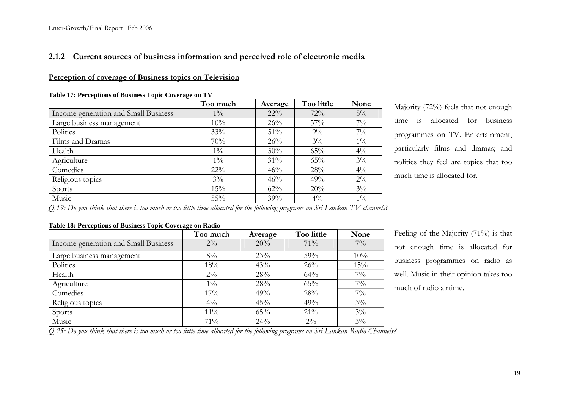# **2.1.2 Current sources of business information and perceived role of electronic media**

#### **Perception of coverage of Business topics on Television**

|                                      | Too much | Average | Too little | None  |
|--------------------------------------|----------|---------|------------|-------|
| Income generation and Small Business | $1\%$    | $22\%$  | 72%        | $5\%$ |
| Large business management            | 10%      | 26%     | 57%        | $7\%$ |
| Politics                             | 33%      | 51%     | $9\%$      | $7\%$ |
| Films and Dramas                     | 70%      | 26%     | $3\%$      | $1\%$ |
| Health                               | $1\%$    | 30%     | 65%        | $4\%$ |
| Agriculture                          | $1\%$    | 31%     | 65%        | $3\%$ |
| Comedies                             | $22\%$   | 46%     | 28%        | $4\%$ |
| Religious topics                     | $3\%$    | 46%     | 49%        | $2\%$ |
| Sports                               | 15%      | 62%     | 20%        | $3\%$ |
| Music                                | 55%      | 39%     | $4\%$      | $1\%$ |

**Table 17: Perceptions of Business Topic Coverage on TV**

Majority (72%) feels that not enough time is allocated for business programmes on TV. Entertainment, particularly films and dramas; and politics they feel are topics that too much time is allocated for.

*Q.19: Do you think that there is too much or too little time allocated for the following programs on Sri Lankan TV channels?* 

## **Table 18: Perceptions of Business Topic Coverage on Radio**

|                                      | Too much       | Average | Too little | None  |
|--------------------------------------|----------------|---------|------------|-------|
| Income generation and Small Business | $2\%$          | 20%     | $71\%$     | $7\%$ |
| Large business management            | 8%             | 23%     | 59%        | 10%   |
| Politics                             | 18%            | 43%     | 26%        | 15%   |
| Health                               | $2\%$          | 28%     | 64%        | $7\%$ |
| Agriculture                          | $1\%$          | 28%     | 65%        | $7\%$ |
| Comedies                             | 17%            | 49%     | 28%        | $7\%$ |
| Religious topics                     | $4\frac{0}{0}$ | 45%     | 49%        | $3\%$ |
| Sports                               | $11\%$         | 65%     | 21%        | $3\%$ |
| Music                                | 71%            | 24%     | $2\%$      | $3\%$ |

Feeling of the Majority (71%) is that not enough time is allocated for business programmes on radio as well. Music in their opinion takes too much of radio airtime.

*Q.25: Do you think that there is too much or too little time allocated for the following programs on Sri Lankan Radio Channels?*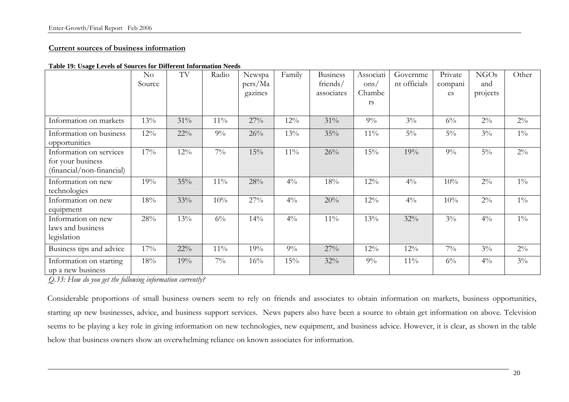# **Current sources of business information**

|                                                                           | $\rm No$<br>Source | TV     | Radio  | Newspa<br>pers/Ma<br>gazines | Family         | <b>Business</b><br>friends/<br>associates | Associati<br>ons/<br>Chambe<br><b>rs</b> | Governme<br>nt officials | Private<br>compani<br>es | <b>NGOs</b><br>and<br>projects | Other |
|---------------------------------------------------------------------------|--------------------|--------|--------|------------------------------|----------------|-------------------------------------------|------------------------------------------|--------------------------|--------------------------|--------------------------------|-------|
| Information on markets                                                    | 13%                | 31%    | $11\%$ | 27%                          | $12\%$         | 31%                                       | $9\%$                                    | $3\%$                    | $6\%$                    | $2\%$                          | $2\%$ |
| Information on business<br>opportunities                                  | $12\%$             | $22\%$ | $9\%$  | 26%                          | 13%            | 35%                                       | $11\%$                                   | $5\%$                    | $5\%$                    | $3\%$                          | $1\%$ |
| Information on services<br>for your business<br>(financial/non-financial) | 17%                | 12%    | $7\%$  | 15%                          | $11\%$         | 26%                                       | 15%                                      | 19%                      | $9\%$                    | $5\%$                          | $2\%$ |
| Information on new<br>technologies                                        | 19%                | 35%    | $11\%$ | 28%                          | $4\%$          | 18%                                       | 12%                                      | $4\%$                    | 10%                      | $2\%$                          | $1\%$ |
| Information on new<br>equipment                                           | 18%                | 33%    | 10%    | 27%                          | $4\frac{0}{0}$ | 20%                                       | 12%                                      | $4\%$                    | 10%                      | $2\%$                          | $1\%$ |
| Information on new<br>laws and business<br>legislation                    | 28%                | 13%    | $6\%$  | 14%                          | $4\%$          | $11\%$                                    | 13%                                      | 32%                      | $3\%$                    | $4\%$                          | $1\%$ |
| Business tips and advice                                                  | 17%                | $22\%$ | $11\%$ | 19%                          | $9\%$          | 27%                                       | 12%                                      | $12\%$                   | $7\%$                    | $3\%$                          | $2\%$ |
| Information on starting<br>up a new business                              | 18%                | 19%    | $7\%$  | 16%                          | 15%            | 32%                                       | $9\%$                                    | $11\%$                   | $6\%$                    | $4\%$                          | $3\%$ |

*Q.33: How do you get the following information currently?* 

Considerable proportions of small business owners seem to rely on friends and associates to obtain information on markets, business opportunities, starting up new businesses, advice, and business support services. News papers also have been a source to obtain get information on above. Television seems to be playing a key role in giving information on new technologies, new equipment, and business advice. However, it is clear, as shown in the table below that business owners show an overwhelming reliance on known associates for information.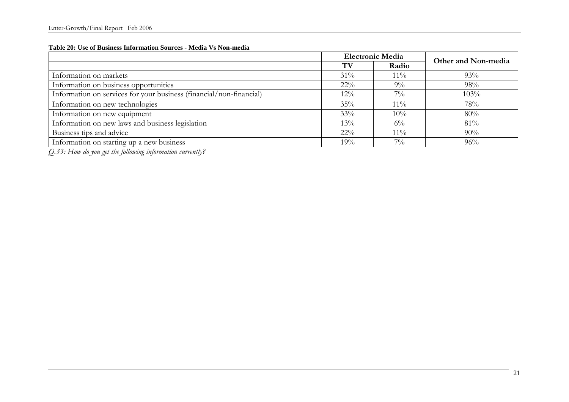#### **Table 20: Use of Business Information Sources - Media Vs Non-media**

|                                                                     |        | <b>Electronic Media</b> | Other and Non-media |  |
|---------------------------------------------------------------------|--------|-------------------------|---------------------|--|
|                                                                     | TV     | Radio                   |                     |  |
| Information on markets                                              | 31%    | $11\%$                  | 93%                 |  |
| Information on business opportunities                               | $22\%$ | $9\%$                   | 98%                 |  |
| Information on services for your business (financial/non-financial) | $12\%$ | $7\%$                   | 103%                |  |
| Information on new technologies                                     | 35%    | $11\%$                  | 78%                 |  |
| Information on new equipment                                        | 33%    | 10%                     | 80%                 |  |
| Information on new laws and business legislation                    | $13\%$ | $6\%$                   | 81%                 |  |
| Business tips and advice                                            | $22\%$ | $11\%$                  | 90%                 |  |
| Information on starting up a new business                           | 19%    | $7\%$                   | 96%                 |  |

*Q.33: How do you get the following information currently?*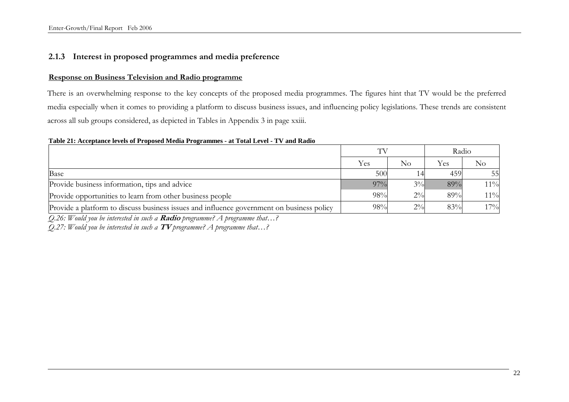# **2.1.3 Interest in proposed programmes and media preference**

### **Response on Business Television and Radio programme**

There is an overwhelming response to the key concepts of the proposed media programmes. The figures hint that TV would be the preferred media especially when it comes to providing a platform to discuss business issues, and influencing policy legislations. These trends are consistent across all sub groups considered, as depicted in Tables in Appendix 3 in page xxiii.

#### **Table 21: Acceptance levels of Proposed Media Programmes - at Total Level - TV and Radio**

|                                                                                           | TV     |       | Radio |        |  |
|-------------------------------------------------------------------------------------------|--------|-------|-------|--------|--|
|                                                                                           | Yes    | No    | Yes   | No     |  |
| Base                                                                                      | 500    |       | 459   | 55     |  |
| Provide business information, tips and advice                                             | $97\%$ | $3\%$ | 89%   | $11\%$ |  |
| Provide opportunities to learn from other business people                                 | 98%    | $2\%$ | 89%   | $11\%$ |  |
| Provide a platform to discuss business issues and influence government on business policy | 98%    | $2\%$ | 83%   | 17%    |  |

*Q.26: Would you be interested in such a* **Radio** *programme? A programme that…?* 

*Q.27: Would you be interested in such a* **TV** *programme? A programme that…?*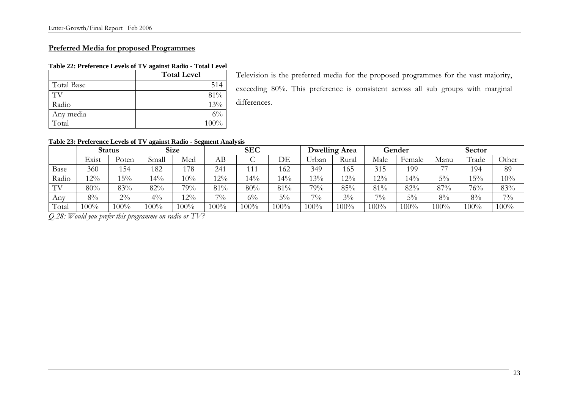# **Preferred Media for proposed Programmes**

### **Table 22: Preference Levels of TV against Radio - Total Level**

|            | <b>Total Level</b> |
|------------|--------------------|
| Total Base | 514                |
| TV         | $81\%$             |
| Radio      | $13\%$             |
| Any media  | 6%                 |
| Total      | 100%               |

Television is the preferred media for the proposed programmes for the vast majority, exceeding 80%. This preference is consistent across all sub groups with marginal differences.

#### **Table 23: Preference Levels of TV against Radio - Segment Analysis**

|       |        | <b>Status</b> |       | <b>Size</b> |         | <b>SEC</b> |       | <b>Dwelling Area</b> |         | Gender  |        | Sector                   |       |       |
|-------|--------|---------------|-------|-------------|---------|------------|-------|----------------------|---------|---------|--------|--------------------------|-------|-------|
|       | Exist  | Poten         | Small | Med         | AB      | ◡          | DE    | Urban                | Rural   | Male    | Female | Manu                     | Trade | Other |
| Base  | 360    | 154           | 182   | 178         | 241     | 111        | 162   | 349                  | 165     | 315     | 199    | $\overline{\phantom{a}}$ | 194   | 89    |
| Radio | 12%    | 15%           | $4\%$ | 10%         | $2\%$   | $4\%$      | $4\%$ | 13%                  | 12%     | $12\%$  | $14\%$ | $5\%$                    | $5\%$ | 10%   |
| TV    | 80%    | 83%           | 82%   | 79%         | 81%     | 80%        | 81%   | 79%                  | 85%     | 81%     | 82%    | 87%                      | 76%   | 83%   |
| Any   | $8\%$  | $2\%$         | $4\%$ | $12\%$      | $7\%$   | $6\%$      | $5\%$ | $7\%$                | $3\%$   | $7\%$   | $5\%$  | $8\%$                    | $8\%$ | $7\%$ |
| Total | $00\%$ | 100%          | 100%  | 100%        | $100\%$ | $100\%$    | 100%  | $100\%$              | $100\%$ | $100\%$ | 100%   | 100%                     | 100%  | 100%  |

*Q.28: Would you prefer this programme on radio or TV?*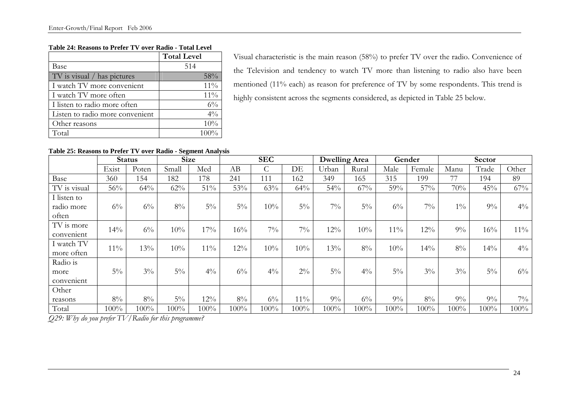#### **Table 24: Reasons to Prefer TV over Radio - Total Level**

|                                 | <b>Total Level</b> |
|---------------------------------|--------------------|
| Base                            | 514                |
| TV is visual / has pictures     | $58\%$             |
| I watch TV more convenient      | $11\%$             |
| I watch TV more often           | $11\%$             |
| I listen to radio more often    | $6\%$              |
| Listen to radio more convenient | $4\%$              |
| Other reasons                   | 10%                |
| Total                           | $100\%$            |

Visual characteristic is the main reason (58%) to prefer TV over the radio. Convenience of the Television and tendency to watch TV more than listening to radio also have been mentioned (11% each) as reason for preference of TV by some respondents. This trend is highly consistent across the segments considered, as depicted in Table 25 below.

# **Table 25: Reasons to Prefer TV over Radio - Segment Analysis**

|                                    | <b>Status</b> |       | <b>Size</b> |         | <b>SEC</b> |               |         | <b>Dwelling Area</b> |       | Gender |        | Sector |       |         |
|------------------------------------|---------------|-------|-------------|---------|------------|---------------|---------|----------------------|-------|--------|--------|--------|-------|---------|
|                                    | Exist         | Poten | Small       | Med     | AB         | $\mathcal{C}$ | DE      | Urban                | Rural | Male   | Female | Manu   | Trade | Other   |
| Base                               | 360           | 154   | 182         | 178     | 241        | 111           | 162     | 349                  | 165   | 315    | 199    | 77     | 194   | 89      |
| TV is visual                       | 56%           | 64%   | 62%         | $51\%$  | 53%        | 63%           | 64%     | 54%                  | 67%   | 59%    | 57%    | 70%    | 45%   | 67%     |
| I listen to<br>radio more<br>often | $6\%$         | $6\%$ | $8\%$       | $5\%$   | $5\%$      | 10%           | $5\%$   | $7\%$                | $5\%$ | $6\%$  | $7\%$  | $1\%$  | $9\%$ | $4\%$   |
| TV is more<br>convenient           | 14%           | $6\%$ | 10%         | 17%     | 16%        | $7\%$         | $7\%$   | 12%                  | 10%   | $11\%$ | 12%    | $9\%$  | 16%   | $11\%$  |
| I watch TV<br>more often           | $11\%$        | 13%   | 10%         | $11\%$  | 12%        | 10%           | 10%     | 13%                  | $8\%$ | 10%    | 14%    | $8\%$  | 14%   | $4\%$   |
| Radio is                           |               |       |             |         |            |               |         |                      |       |        |        |        |       |         |
| more<br>convenient                 | $5\%$         | $3\%$ | $5\%$       | $4\%$   | $6\%$      | $4\%$         | $2\%$   | $5\%$                | $4\%$ | $5\%$  | $3\%$  | $3\%$  | $5\%$ | $6\%$   |
| Other                              |               |       |             |         |            |               |         |                      |       |        |        |        |       |         |
| reasons                            | $8\%$         | $8\%$ | $5\%$       | $12\%$  | $8\%$      | $6\%$         | $11\%$  | $9\%$                | $6\%$ | $9\%$  | $8\%$  | $9\%$  | $9\%$ | $7\%$   |
| Total                              | 100%          | 100%  | 100%        | $100\%$ | 100%       | 100%          | $100\%$ | 100%                 | 100%  | 100%   | 100%   | 100%   | 100%  | $100\%$ |

*Q29: Why do you prefer TV/Radio for this programme?*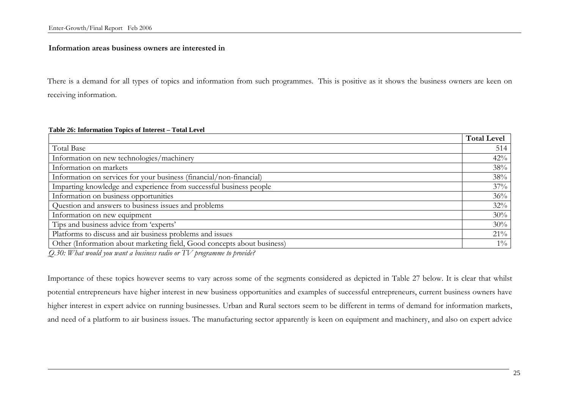#### **Information areas business owners are interested in**

There is a demand for all types of topics and information from such programmes. This is positive as it shows the business owners are keen on receiving information.

#### **Table 26: Information Topics of Interest – Total Level**

|                                                                         | <b>Total Level</b> |  |  |  |  |  |
|-------------------------------------------------------------------------|--------------------|--|--|--|--|--|
| Total Base                                                              | 514                |  |  |  |  |  |
| Information on new technologies/machinery                               |                    |  |  |  |  |  |
| Information on markets                                                  | 38%                |  |  |  |  |  |
| Information on services for your business (financial/non-financial)     | 38%                |  |  |  |  |  |
| Imparting knowledge and experience from successful business people      |                    |  |  |  |  |  |
| Information on business opportunities                                   |                    |  |  |  |  |  |
| Question and answers to business issues and problems                    | 32%                |  |  |  |  |  |
| Information on new equipment                                            | 30%                |  |  |  |  |  |
| Tips and business advice from 'experts'                                 |                    |  |  |  |  |  |
| Platforms to discuss and air business problems and issues               | $21\%$             |  |  |  |  |  |
| Other (Information about marketing field, Good concepts about business) | $1\%$              |  |  |  |  |  |

*Q.30: What would you want a business radio or TV programme to provide?* 

Importance of these topics however seems to vary across some of the segments considered as depicted in Table 27 below. It is clear that whilst potential entrepreneurs have higher interest in new business opportunities and examples of successful entrepreneurs, current business owners have higher interest in expert advice on running businesses. Urban and Rural sectors seem to be different in terms of demand for information markets, and need of a platform to air business issues. The manufacturing sector apparently is keen on equipment and machinery, and also on expert advice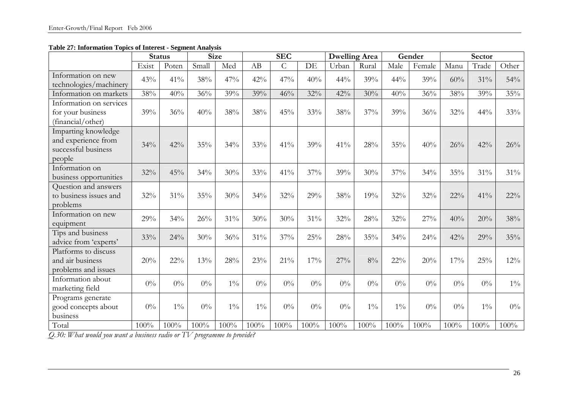**Table 27: Information Topics of Interest - Segment Analysis** 

|                                                                             | <b>Status</b> |            | <b>Size</b> |       |       | <b>SEC</b>     |         | Dwelling Area |         | Gender |        | <b>Sector</b> |        |        |
|-----------------------------------------------------------------------------|---------------|------------|-------------|-------|-------|----------------|---------|---------------|---------|--------|--------|---------------|--------|--------|
|                                                                             | Exist         | Poten      | Small       | Med   | AB    | $\overline{C}$ | DE      | Urban         | Rural   | Male   | Female | Manu          | Trade  | Other  |
| Information on new<br>technologies/machinery                                | 43%           | 41%        | 38%         | 47%   | 42%   | 47%            | 40%     | 44%           | 39%     | 44%    | 39%    | 60%           | 31%    | 54%    |
| Information on markets                                                      | 38%           | 40%        | 36%         | 39%   | 39%   | 46%            | 32%     | 42%           | 30%     | 40%    | 36%    | 38%           | 39%    | 35%    |
| Information on services<br>for your business<br>(financial/other)           | 39%           | 36%        | 40%         | 38%   | 38%   | 45%            | 33%     | 38%           | 37%     | 39%    | 36%    | 32%           | 44%    | 33%    |
| Imparting knowledge<br>and experience from<br>successful business<br>people | 34%           | 42%        | 35%         | 34%   | 33%   | 41%            | 39%     | 41%           | 28%     | 35%    | 40%    | 26%           | 42%    | 26%    |
| Information on<br>business opportunities                                    | 32%           | 45%        | 34%         | 30%   | 33%   | 41%            | 37%     | 39%           | 30%     | 37%    | 34%    | 35%           | $31\%$ | 31%    |
| Question and answers<br>to business issues and<br>problems                  | 32%           | 31%        | 35%         | 30%   | 34%   | 32%            | 29%     | 38%           | 19%     | 32%    | 32%    | $22\%$        | 41%    | $22\%$ |
| Information on new<br>equipment                                             | 29%           | 34%        | 26%         | 31%   | 30%   | 30%            | 31%     | 32%           | 28%     | 32%    | 27%    | 40%           | 20%    | 38%    |
| Tips and business<br>advice from 'experts'                                  | 33%           | 24%        | 30%         | 36%   | 31%   | 37%            | 25%     | 28%           | 35%     | 34%    | 24%    | 42%           | 29%    | 35%    |
| Platforms to discuss<br>and air business<br>problems and issues             | 20%           | $22\%$     | 13%         | 28%   | 23%   | 21%            | 17%     | 27%           | 8%      | $22\%$ | 20%    | 17%           | 25%    | 12%    |
| Information about<br>marketing field                                        | $0\%$         | $0\%$      | $0\%$       | $1\%$ | $0\%$ | $0\%$          | $0\%$   | $0\%$         | $0\%$   | $0\%$  | $0\%$  | $0\%$         | $0\%$  | $1\%$  |
| Programs generate<br>good concepts about<br>business                        | $0\%$         | $1\%$      | $0\%$       | $1\%$ | $1\%$ | $0\%$          | $0\%$   | $0\%$         | $1\%$   | $1\%$  | $0\%$  | $0\%$         | $1\%$  | $0\%$  |
| Total<br>$20$ IIII<br>7.7                                                   | 100%          | 100%<br>TT | 100%        | 100%  | 100%  | 100%           | $100\%$ | 100%          | $100\%$ | 100%   | 100%   | 100%          | 100%   | 100%   |

*Q.30: What would you want a business radio or TV programme to provide?*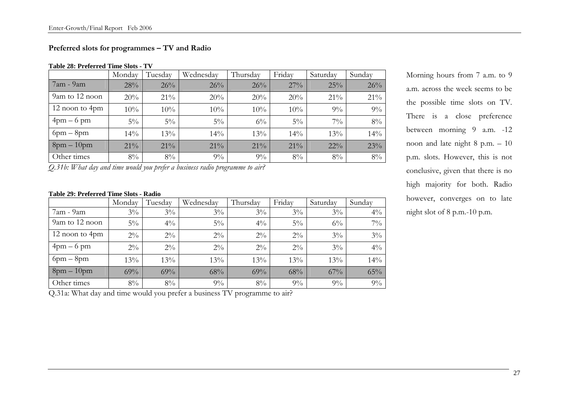# **Preferred slots for programmes – TV and Radio**

#### **Table 28: Preferred Time Slots - TV**

|                | Monday | Tuesday | Wednesday | Thursday | Friday | Saturday | Sunday |
|----------------|--------|---------|-----------|----------|--------|----------|--------|
| $7am - 9am$    | 28%    | 26%     | 26%       | 26%      | $27\%$ | 25%      | 26%    |
| 9am to 12 noon | 20%    | $21\%$  | 20%       | 20%      | 20%    | $21\%$   | 21%    |
| 12 noon to 4pm | 10%    | 10%     | 10%       | 10%      | 10%    | $9\%$    | 9%     |
| $4pm-6$ pm     | $5\%$  | $5\%$   | $5\%$     | $6\%$    | $5\%$  | $7\%$    | $8\%$  |
| $6pm - 8pm$    | $14\%$ | 13%     | $14\%$    | 13%      | 14%    | 13%      | 14%    |
| $8pm-10pm$     | $21\%$ | $21\%$  | $21\%$    | 21%      | $21\%$ | $22\%$   | 23%    |
| Other times    | $8\%$  | $8\%$   | $9\%$     | $9\%$    | $8\%$  | 8%       | 8%     |

*Q.31b: What day and time would you prefer a business radio programme to air?* 

#### **Table 29: Preferred Time Slots - Radio**

|                | Monday | Tuesday | Wednesday | Thursday | Friday | Saturday | Sunday         |
|----------------|--------|---------|-----------|----------|--------|----------|----------------|
| 7am - 9am      | $3\%$  | $3\%$   | $3\%$     | $3\%$    | $3\%$  | $3\%$    | $4\%$          |
| 9am to 12 noon | $5\%$  | $4\%$   | $5\%$     | $4\%$    | $5\%$  | $6\%$    | $7\frac{0}{0}$ |
| 12 noon to 4pm | $2\%$  | $2\%$   | $2\%$     | $2\%$    | $2\%$  | $3\%$    | $3\%$          |
| $4pm-6$ pm     | $2\%$  | $2\%$   | $2\%$     | $2\%$    | $2\%$  | $3\%$    | $4\frac{0}{0}$ |
| $6pm - 8pm$    | 13%    | 13%     | 13%       | 13%      | 13%    | 13%      | 14%            |
| $8pm-10pm$     | 69%    | 69%     | 68%       | 69%      | 68%    | $67\%$   | 65%            |
| Other times    | $8\%$  | $8\%$   | $9\%$     | $8\%$    | $9\%$  | 9%       | 9%             |

Q.31a: What day and time would you prefer a business TV programme to air?

Morning hours from 7 a.m. to 9 a.m. across the week seems to be the possible time slots on TV. There is a close preference between morning 9 a.m. -12 noon and late night 8 p.m. – 10 p.m. slots. However, this is not conclusive, given that there is no high majority for both. Radio however, converges on to late night slot of 8 p.m.-10 p.m.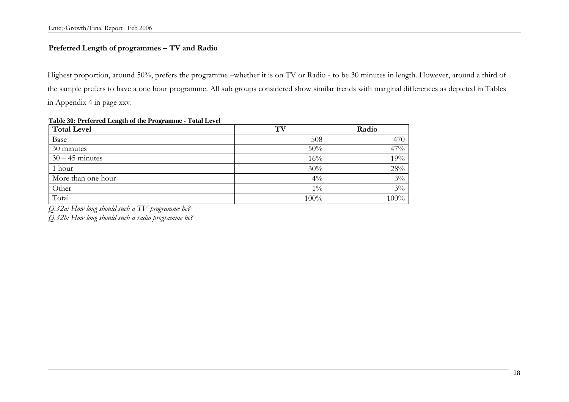# **Preferred Length of programmes – TV and Radio**

Highest proportion, around 50%, prefers the programme –whether it is on TV or Radio - to be 30 minutes in length. However, around a third of the sample prefers to have a one hour programme. All sub groups considered show similar trends with marginal differences as depicted in Tables in Appendix 4 in page xxv.

| $\frac{1}{2}$ and $\frac{1}{2}$ . The contract of the $\frac{1}{2}$ and $\frac{1}{2}$ and $\frac{1}{2}$ and $\frac{1}{2}$ and $\frac{1}{2}$ and $\frac{1}{2}$ and $\frac{1}{2}$ and $\frac{1}{2}$ and $\frac{1}{2}$ and $\frac{1}{2}$ and $\frac{1}{2}$ and $\frac{1}{2}$ and $\frac{1}{2$<br><b>Total Level</b> | TV    | Radio   |  |
|------------------------------------------------------------------------------------------------------------------------------------------------------------------------------------------------------------------------------------------------------------------------------------------------------------------|-------|---------|--|
| Base                                                                                                                                                                                                                                                                                                             | 508   | 470     |  |
| 30 minutes                                                                                                                                                                                                                                                                                                       | 50%   | 47%     |  |
| $30 - 45$ minutes                                                                                                                                                                                                                                                                                                | 16%   | 19%     |  |
| 1 hour                                                                                                                                                                                                                                                                                                           | 30%   | 28%     |  |
| More than one hour                                                                                                                                                                                                                                                                                               | $4\%$ | $3\%$   |  |
| Other                                                                                                                                                                                                                                                                                                            | $1\%$ | $3\%$   |  |
| Total                                                                                                                                                                                                                                                                                                            | 100%  | $100\%$ |  |

#### **Table 30: Preferred Length of the Programme - Total Level**

*Q.32a: How long should such a TV programme be?* 

*Q.32b: How long should such a radio programme be?*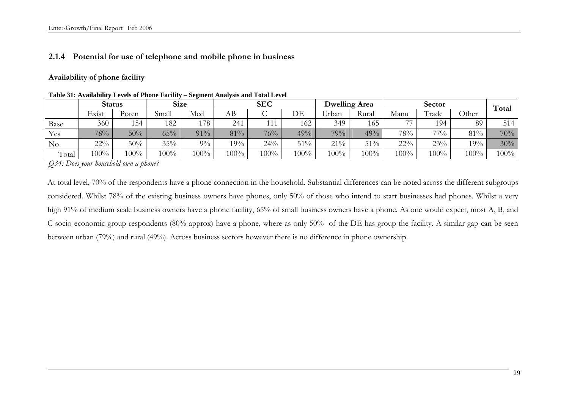#### **2.1.4 Potential for use of telephone and mobile phone in business**

**Availability of phone facility** 

|          |         | Status |       | <b>Size</b> | SEC  |      |      |       | <b>Dwelling Area</b> |        | Total  |              |         |
|----------|---------|--------|-------|-------------|------|------|------|-------|----------------------|--------|--------|--------------|---------|
|          | Exist   | Poten  | Small | Med         | AВ   |      | DE   | Urban | Kural                | Manu   | Trade  | <b>Other</b> |         |
| Base     | 360     | 154    | 182   | l 78        | 241  | 111  | 162  | 349   | 165                  | $-1$   | 194    | 89           | 514     |
| Yes      | 78%     | 50%    | 65%   | 91%         | 81%  | 76%  | 49%  | 79%   | 49%                  | 78%    | $77\%$ | 81%          | 70%     |
| $\rm No$ | $22\%$  | 50%    | 35%   | $9\%$       | 19%  | 24%  | 51%  | 21%   | 51%                  | $22\%$ | 23%    | 19%          | 30%     |
| Total    | $100\%$ | 100%   | 100%  | 100%        | 100% | 100% | 100% | 100%  | 100%                 | 100%   | 100%   | $100\%$      | $100\%$ |

**Table 31: Availability Levels of Phone Facility – Segment Analysis and Total Level**

*Q34: Does your household own a phone?* 

At total level, 70% of the respondents have a phone connection in the household. Substantial differences can be noted across the different subgroups considered. Whilst 78% of the existing business owners have phones, only 50% of those who intend to start businesses had phones. Whilst a very high 91% of medium scale business owners have a phone facility, 65% of small business owners have a phone. As one would expect, most A, B, and C socio economic group respondents (80% approx) have a phone, where as only 50% of the DE has group the facility. A similar gap can be seen between urban (79%) and rural (49%). Across business sectors however there is no difference in phone ownership.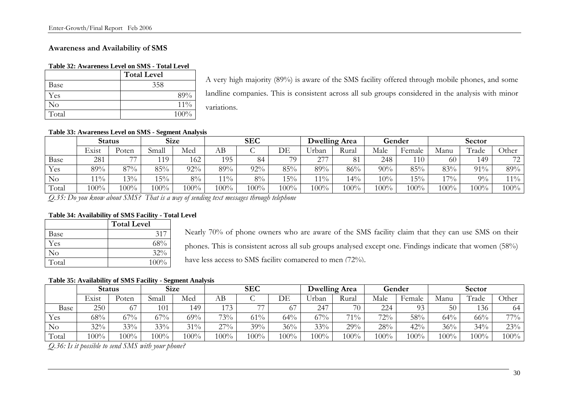#### **Awareness and Availability of SMS**

#### **Table 32: Awareness Level on SMS - Total Level**

|       | <b>Total Level</b> |
|-------|--------------------|
| Base  | 358                |
| Yes   | 89%                |
| No    | $11\%$             |
| Total | 100%               |

A very high majority (89%) is aware of the SMS facility offered through mobile phones, and some landline companies. This is consistent across all sub groups considered in the analysis with minor variations.

#### **Table 33: Awareness Level on SMS - Segment Analysis**

|       |        | <b>Status</b> | <b>Size</b> |         | <b>SEC</b>     |       |      | <b>Dwelling Area</b> |       | Gender  |         | <b>Sector</b> |       |                                |
|-------|--------|---------------|-------------|---------|----------------|-------|------|----------------------|-------|---------|---------|---------------|-------|--------------------------------|
|       | Exist  | Poten         | Small       | Med     | AВ             | ◡     | DE   | Urban                | Rural | Male    | Female  | Manu          | Trade | Other                          |
| Base  | 281    | $\rightarrow$ | $119 -$     | 162     | 195            | 84    | 70   | クフフ                  | 81    | 248     | 110     | 60            | 149   | 72<br>$\overline{\phantom{a}}$ |
| Yes   | 89%    | $97\%$        | 85%         | $92\%$  | 89%            | 92%   | 85%  | 89%                  | 86%   | 90%     | 85%     | 83%           | 91%   | 89%                            |
| No    | $11\%$ | $3\%$         | 15%         | $8\%$   | $1\frac{9}{6}$ | $8\%$ | 15%  | $1\%$                | $4\%$ | 10%     | 15%     | $17\%$        | $9\%$ | $11\%$                         |
| Total | 100%   | 100%          | $100\%$     | $100\%$ | 100%           | 100%  | 100% | 100%                 | 100%  | $100\%$ | $100\%$ | 100%          | 100%  | 100%                           |

*Q.35: Do you know about SMS? That is a way of sending text messages through telephone* 

#### **Table 34: Availability of SMS Facility - Total Level**

|       | <b>Total Level</b> |
|-------|--------------------|
| Base  | 317                |
| Yes   | 68%                |
| No    | $32\%$             |
| Total | 100%               |

Nearly 70% of phone owners who are aware of the SMS facility claim that they can use SMS on their phones. This is consistent across all sub groups analysed except one. Findings indicate that women (58%)

have less access to SMS facility comapered to men (72%).

#### **Table 35: Availability of SMS Facility - Segment Analysis**

|          |         | <b>Status</b> | <b>Size</b> |        |        | SEC  |         |         | <b>Dwelling Area</b> |      | Gender         | Sector |       |         |
|----------|---------|---------------|-------------|--------|--------|------|---------|---------|----------------------|------|----------------|--------|-------|---------|
|          | Exist   | Poten         | Small       | Med    | АB     | ີ    | DF      | Jrban   | Rural                | Male | Female         | Manu   | Trade | Other   |
| Base     | 250     |               | 101         | 149    | 172    |      | O.      | 247     | 70                   | 224  | 0 <sup>2</sup> | 50     | 136   | 64      |
| Yes      | 68%     | $67\%$        | 67%         | 69%    | 73%    | 61%  | 64%     | 67%     | $71\%$               | 72%  | 58%            | 64%    | 66%   | 770/0   |
| $\rm No$ | 32%     | 33%           | 33%         | $31\%$ | $27\%$ | 39%  | 36%     | 33%     | 29%                  | 28%  | 42%            | 36%    | 34%   | 23%     |
| Total    | $100\%$ | $100\%$       | $100\%$     | 100%   | 100%   | 100% | $100\%$ | $100\%$ | $100\%$              | 100% | 100%           | 100%   | 100%  | $100\%$ |

*Q.36: Is it possible to send SMS with your phone?*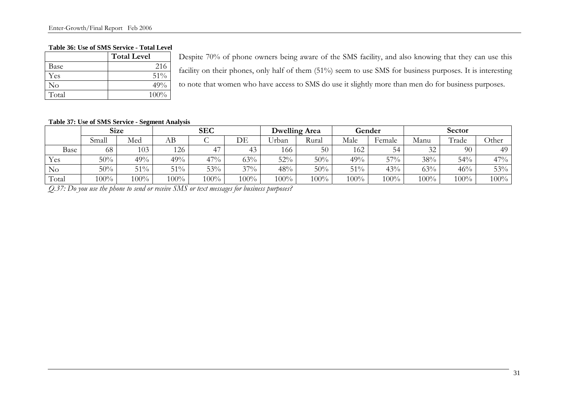#### **Table 36: Use of SMS Service - Total Level**

|          | <b>Total Level</b> |   |
|----------|--------------------|---|
| Base     | 216                | f |
| Yes      | 51%                |   |
| $\rm No$ | 49%                |   |
| Total    | 100%               |   |

Despite 70% of phone owners being aware of the SMS facility, and also knowing that they can use this facility on their phones, only half of them (51%) seem to use SMS for business purposes. It is interesting to note that women who have access to SMS do use it slightly more than men do for business purposes.

#### **Table 37: Use of SMS Service - Segment Analysis**

|                |         | <b>Size</b> | <b>SEC</b> |         |         |                      | <b>Dwelling Area</b> |      | Gender | <b>Sector</b> |       |       |  |
|----------------|---------|-------------|------------|---------|---------|----------------------|----------------------|------|--------|---------------|-------|-------|--|
|                | Small   | Med         | AВ         |         | DE      | <b>TT 1</b><br>∪rban | Rural                | Male | Female | Manu          | Trade | Other |  |
| Base           | 68      | 103         | 126        | 47      |         | 166                  | 50                   | 162  | 54     | 32            | 90    | 49    |  |
| Yes            | 50%     | 49%         | 49%        | 47%     | 63%     | 52%                  | 50%                  | 49%  | 57%    | 38%           | 54%   | 47%   |  |
| N <sub>o</sub> | 50%     | 51%         | $51\%$     | 53%     | 37%     | 48%                  | 50%                  | 51%  | 43%    | 63%           | 46%   | 53%   |  |
| Total          | $100\%$ | $100\%$     | $100\%$    | $100\%$ | $100\%$ | 100%                 | 100%                 | 100% | 100%   | $100\%$       | 100%  | 100%  |  |

*Q.37: Do you use the phone to send or receive SMS or text messages for business purposes?*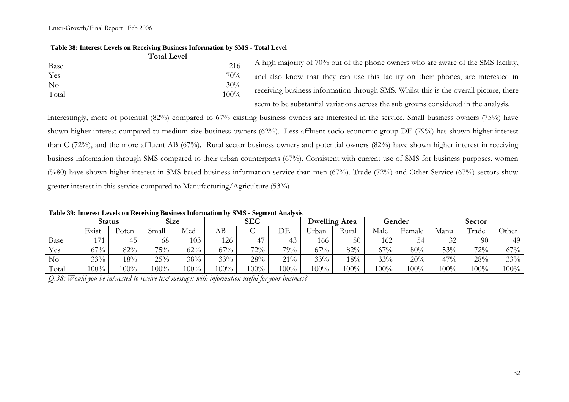|       | <b>Total Level</b> |
|-------|--------------------|
| Base  | 216                |
| Yes   | 70%                |
| No    | 30%                |
| Total | 100%               |
|       |                    |

#### **Table 38: Interest Levels on Receiving Business Information by SMS - Total Level**

A high majority of 70% out of the phone owners who are aware of the SMS facility, and also know that they can use this facility on their phones, are interested in receiving business information through SMS. Whilst this is the overall picture, there seem to be substantial variations across the sub groups considered in the analysis.

Interestingly, more of potential (82%) compared to 67% existing business owners are interested in the service. Small business owners (75%) have shown higher interest compared to medium size business owners (62%). Less affluent socio economic group DE (79%) has shown higher interest than C (72%), and the more affluent AB (67%). Rural sector business owners and potential owners (82%) have shown higher interest in receiving business information through SMS compared to their urban counterparts (67%). Consistent with current use of SMS for business purposes, women (%80) have shown higher interest in SMS based business information service than men (67%). Trade (72%) and Other Service (67%) sectors show greater interest in this service compared to Manufacturing/Agriculture (53%)

**Table 39: Interest Levels on Receiving Business Information by SMS - Segment Analysis**

|       |                       | <b>Status</b> |       | <b>Size</b> |        | <b>SEC</b> |      | <b>Dwelling Area</b> |       | Gender |        | Sector |                    |       |
|-------|-----------------------|---------------|-------|-------------|--------|------------|------|----------------------|-------|--------|--------|--------|--------------------|-------|
|       | $\mathbf{r}$<br>Exist | Poten         | Small | Med         | АB     |            | DE   | Urban                | Rural | Male   | Female | Manu   | $\sqrt{ }$<br>rade | Other |
| Base  | 171                   | 45            | 68    | 103         | 126    |            |      | 166-                 | 50    | 162    | 54     | 32     | 90                 | 49    |
| Yes   | 67%                   | 82%           | 75%   | 62%         | $67\%$ | 72%        | 79%  | 67%                  | 82%   | $67\%$ | 80%    | 53%    | 72%                | 67%   |
| No    | 33%                   | 18%           | 25%   | 38%         | 33%    | 28%        | 21%  | 33%                  | 18%   | 33%    | 20%    | 47%    | 28%                | 33%   |
| Total | 100%                  | 100%          | 100%  | $100\%$     | 100%   | $100\%$    | 100% | 100%                 | 100%  | 100%   | 100%   | 100%   | 100%               | 100%  |

*Q.38: Would you be interested to receive text messages with information useful for your business?*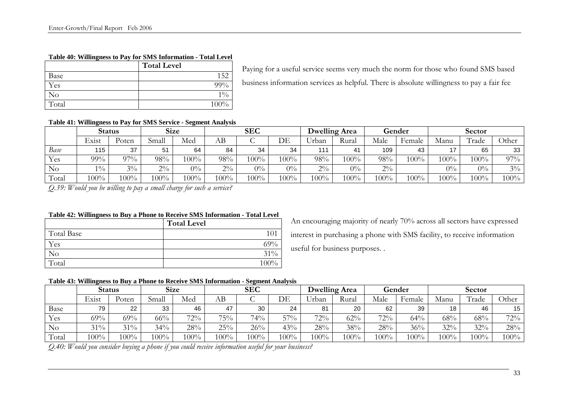#### **Table 40: Willingness to Pay for SMS Information - Total Level**

|          | <b>Total Level</b> |
|----------|--------------------|
| Base     | 152                |
| Yes      | $99\%$             |
| $\rm No$ | $1\%$              |
| Total    | 100%               |

Paying for a useful service seems very much the norm for those who found SMS based business information services as helpful. There is absolute willingness to pay a fair fee

#### **Table 41: Willingness to Pay for SMS Service - Segment Analysis**

|          |        | Status | <b>Size</b> |         |         | <b>SEC</b> |         | <b>Dwelling Area</b> |         | Gender |        | Sector  |                    |         |
|----------|--------|--------|-------------|---------|---------|------------|---------|----------------------|---------|--------|--------|---------|--------------------|---------|
|          | Exist  | 'oten  | Small       | Med     | AВ      |            | DE      | ∪rban                | Rural   | Male   | Female | Manu    | $\sqrt{ }$<br>rade | .)ther  |
| Base     | 115    | 37     | 51          | 64      | 84      | 34         | 34      | 111                  | 41      | 109    | 43     |         | 65                 | 33      |
| Yes      | $99\%$ | 97%    | 98%         | $100\%$ | 98%     | 100%       | $100\%$ | 98%                  | $100\%$ | 98%    | 100%   | $100\%$ | $100\%$            | 97%     |
| $\rm No$ | $1\%$  | $3\%$  | $2\%$       | $0\%$   | $2\%$   | $0\%$      | $0\%$   | $2\%$                | $0\%$   | $2\%$  |        | $0\%$   | $0\%$              | $3\%$   |
| Total    | 100%   | 100%   | $100\%$     | 100%    | $100\%$ | 100%       | 100%    | 100%                 | $100\%$ | $00\%$ | 100%   | $100\%$ | 100%               | $100\%$ |

*Q.39: Would you be willing to pay a small charge for such a service?* 

#### **Table 42: Willingness to Buy a Phone to Receive SMS Information - Total Level**

|                   | <b>Total Level</b> |
|-------------------|--------------------|
| <b>Total Base</b> | 101                |
| Yes               | 69%                |
| N <sub>O</sub>    | 31%                |
| Total             | $100\%$            |

An encouraging majority of nearly 70% across all sectors have expressed interest in purchasing a phone with SMS facility, to receive information useful for business purposes. .

#### **Table 43: Willingness to Buy a Phone to Receive SMS Information - Segment Analysis**

|          |       | Status  |        | <b>Size</b> |      | <b>SEC</b> |      |                  | <b>Dwelling Area</b> |      | Gender  |      | Sector  |         |
|----------|-------|---------|--------|-------------|------|------------|------|------------------|----------------------|------|---------|------|---------|---------|
|          | Exist | oten'   | Small  | Med         | AΒ   |            | DE   | $+ + +$<br>∪rban | Rural                | Male | Female  | Manu | Trade   | Other   |
| Base     | 79    | 22      | 33     | 46          | 47   | 30         | 24   | 81               | 20                   | 62   | 39      | 18   | 46      | 15      |
| Yes      | 69%   | 69%     | $66\%$ | $72\%$      | 75%  | $74\%$     | 57%  | 72%              | 62%                  | 72%  | 64%     | 68%  | 68%     | 72%     |
| $\rm No$ | 31%   | $31\%$  | 34%    | 28%         | 25%  | 26%        | 43%  | 28%              | 38%                  | 28%  | 36%     | 32%  | 32%     | 28%     |
| Total    | 100%  | $100\%$ | 100%   | $100\%$     | 100% | 100%       | 100% | 100%             | 100%                 | 100% | $100\%$ | 100% | $100\%$ | $100\%$ |

*Q.40: Would you consider buying a phone if you could receive information useful for your business?*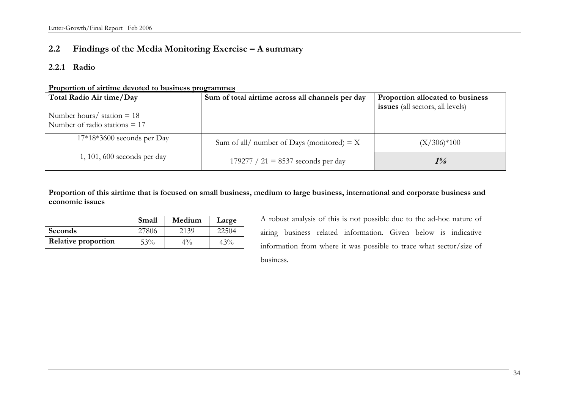# **2.2 Findings of the Media Monitoring Exercise – A summary**

#### **2.2.1 Radio**

**Proportion of airtime devoted to business programmes**

| Total Radio Air time/Day                                        | Sum of total airtime across all channels per day | Proportion allocated to business<br><b>issues</b> (all sectors, all levels) |
|-----------------------------------------------------------------|--------------------------------------------------|-----------------------------------------------------------------------------|
| Number hours/ $station = 18$<br>Number of radio stations $= 17$ |                                                  |                                                                             |
| $17*18*3600$ seconds per Day                                    | Sum of all/ number of Days (monitored) = $X$     | $(X/306)*100$                                                               |
| $1, 101, 600$ seconds per day                                   | 179277 / 21 = 8537 seconds per day               | $1\%$                                                                       |

**Proportion of this airtime that is focused on small business, medium to large business, international and corporate business and economic issues** 

|                            | Small | Medium | Large |
|----------------------------|-------|--------|-------|
| Seconds                    | 27806 | 2139   | 22504 |
| <b>Relative proportion</b> | 53%   | $4\%$  | 43%   |

A robust analysis of this is not possible due to the ad-hoc nature of airing business related information. Given below is indicative information from where it was possible to trace what sector/size of business.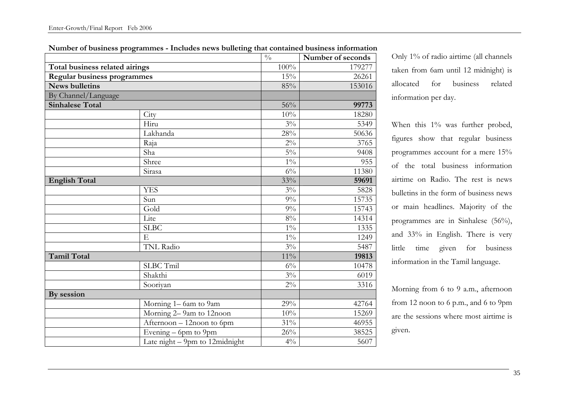|                                |                                   | $\frac{0}{0}$ | Number of seconds |
|--------------------------------|-----------------------------------|---------------|-------------------|
| Total business related airings |                                   | 100%          | 179277            |
| Regular business programmes    |                                   | 15%           | 26261             |
| <b>News bulletins</b>          |                                   | 85%           | 153016            |
| By Channel/Language            |                                   |               |                   |
| <b>Sinhalese Total</b>         |                                   | 56%           | 99773             |
|                                | City                              | 10%           | 18280             |
|                                | Hiru                              | $3\%$         | 5349              |
|                                | Lakhanda                          | 28%           | 50636             |
|                                | Raja                              | $2\%$         | 3765              |
|                                | Sha                               | $5\%$         | 9408              |
|                                | Shree                             | $1\%$         | 955               |
|                                | Sirasa                            | $6\%$         | 11380             |
| <b>English Total</b>           |                                   | 33%           | 59691             |
|                                | <b>YES</b>                        | $3\%$         | 5828              |
|                                | Sun                               | $9\%$         | 15735             |
|                                | Gold                              | $9\%$         | 15743             |
|                                | Lite                              | $8\%$         | 14314             |
|                                | SLBC                              | $1\%$         | 1335              |
|                                | ${\bf E}$                         | $1\%$         | 1249              |
|                                | TNL Radio                         | $3\%$         | 5487              |
| <b>Tamil Total</b>             |                                   | $11\%$        | 19813             |
|                                | SLBC Tmil                         | $6\%$         | 10478             |
|                                | Shakthi                           | $3\%$         | 6019              |
|                                | Sooriyan                          | $2\%$         | 3316              |
| By session                     |                                   |               |                   |
|                                | Morning 1-6am to 9am              | 29%           | 42764             |
|                                | Morning 2-9am to 12noon           | 10%           | 15269             |
|                                | Afternoon - 12noon to 6pm         | $31\%$        | 46955             |
|                                | Evening $-$ 6pm to 9pm            | $26\%$        | 38525             |
|                                | Late $night - 9pm$ to 12 midnight | $4\%$         | $\overline{5}607$ |

**Number of business programmes - Includes news bulleting that contained business information** 

Only 1% of radio airtime (all channels taken from 6am until 12 midnight) is allocated for business related information per day.

When this 1% was further probed, figures show that regular business programmes account for a mere 15% of the total business information airtime on Radio. The rest is news bulletins in the form of business news or main headlines. Majority of the programmes are in Sinhalese (56%), and 33% in English. There is very little time given for business information in the Tamil language.

Morning from 6 to 9 a.m., afternoon from 12 noon to 6 p.m., and 6 to 9pm are the sessions where most airtime is given.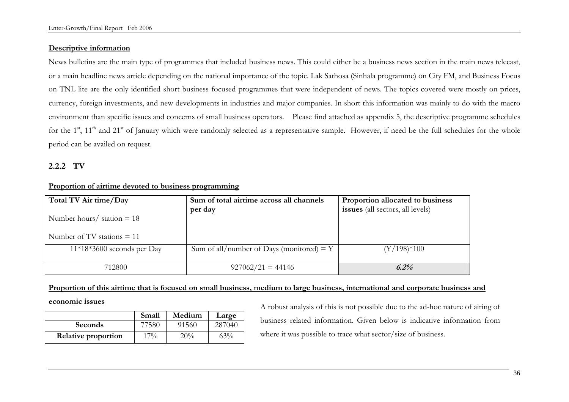## **Descriptive information**

News bulletins are the main type of programmes that included business news. This could either be a business news section in the main news telecast, or a main headline news article depending on the national importance of the topic. Lak Sathosa (Sinhala programme) on City FM, and Business Focus on TNL lite are the only identified short business focused programmes that were independent of news. The topics covered were mostly on prices, currency, foreign investments, and new developments in industries and major companies. In short this information was mainly to do with the macro environment than specific issues and concerns of small business operators. Please find attached as appendix 5, the descriptive programme schedules for the  $1<sup>st</sup>$ ,  $11<sup>th</sup>$  and  $21<sup>st</sup>$  of January which were randomly selected as a representative sample. However, if need be the full schedules for the whole period can be availed on request.

## **2.2.2 TV**

| Total TV Air time/Day<br>Number hours/ $station = 18$ | Sum of total airtime across all channels<br>per day | Proportion allocated to business<br>issues (all sectors, all levels) |
|-------------------------------------------------------|-----------------------------------------------------|----------------------------------------------------------------------|
| Number of TV stations $= 11$                          |                                                     |                                                                      |
| $11*18*3600$ seconds per Day                          | Sum of all/number of Days (monitored) = Y           | $(Y/198)*100$                                                        |
| 712800                                                | $927062/21 = 44146$                                 | 6.2%                                                                 |

## **Proportion of airtime devoted to business programming**

## **Proportion of this airtime that is focused on small business, medium to large business, international and corporate business and**

#### **economic issues**

|                            | Small | Medium | Large  |
|----------------------------|-------|--------|--------|
| Seconds                    | 77580 | 91560  | 287040 |
| <b>Relative proportion</b> | 17%   | 20%    | $63\%$ |

A robust analysis of this is not possible due to the ad-hoc nature of airing of business related information. Given below is indicative information from where it was possible to trace what sector/size of business.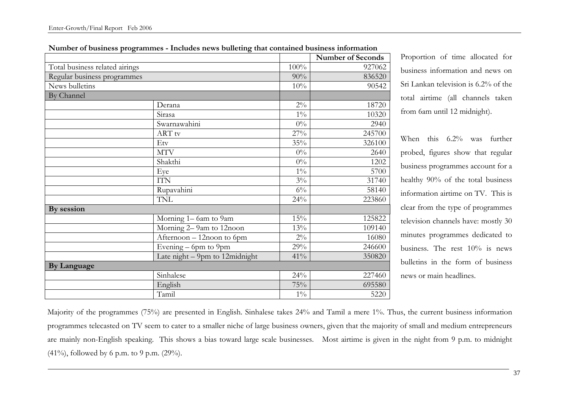|                                |                                |       | <b>Number of Seconds</b> |
|--------------------------------|--------------------------------|-------|--------------------------|
| Total business related airings |                                | 100%  | 927062                   |
| Regular business programmes    |                                | 90%   | 836520                   |
| News bulletins                 |                                | 10%   | 90542                    |
| By Channel                     |                                |       |                          |
|                                | Derana                         | $2\%$ | 18720                    |
|                                | Sirasa                         | $1\%$ | 10320                    |
|                                | Swarnawahini                   | $0\%$ | 2940                     |
|                                | ART tv                         | 27%   | 245700                   |
|                                | Etv                            | 35%   | 326100                   |
|                                | <b>MTV</b>                     | $0\%$ | 2640                     |
|                                | Shakthi                        | $0\%$ | 1202                     |
|                                | Eye                            | $1\%$ | 5700                     |
|                                | <b>ITN</b>                     | $3\%$ | 31740                    |
|                                | Rupavahini                     | $6\%$ | 58140                    |
|                                | TNL                            | 24%   | 223860                   |
| By session                     |                                |       |                          |
|                                | Morning 1-6am to 9am           | 15%   | 125822                   |
|                                | Morning 2-9am to 12noon        | 13%   | 109140                   |
|                                | Afternoon - 12noon to 6pm      | $2\%$ | 16080                    |
|                                | Evening $-$ 6pm to 9pm         | 29%   | 246600                   |
|                                | Late night - 9pm to 12midnight | 41%   | 350820                   |
| <b>By Language</b>             |                                |       |                          |
|                                | Sinhalese                      | 24%   | 227460                   |
|                                | English                        | 75%   | 695580                   |
|                                | Tamil                          | $1\%$ | 5220                     |

**Number of business programmes - Includes news bulleting that contained business information**

Proportion of time allocated for business information and news on Sri Lankan television is 6.2% of the total airtime (all channels taken from 6am until 12 midnight).

When this 6.2% was further probed, figures show that regular business programmes account for a healthy 90% of the total business information airtime on TV. This is clear from the type of programmes television channels have: mostly 30 minutes programmes dedicated to business. The rest 10% is news bulletins in the form of business news or main headlines.

Majority of the programmes (75%) are presented in English. Sinhalese takes 24% and Tamil a mere 1%. Thus, the current business information programmes telecasted on TV seem to cater to a smaller niche of large business owners, given that the majority of small and medium entrepreneurs are mainly non-English speaking. This shows a bias toward large scale businesses. Most airtime is given in the night from 9 p.m. to midnight (41%), followed by 6 p.m. to 9 p.m. (29%).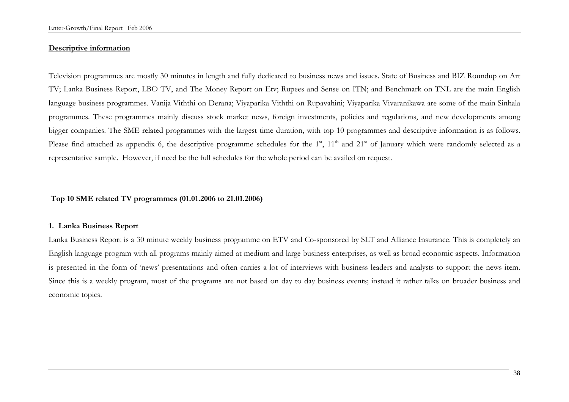#### **Descriptive information**

Television programmes are mostly 30 minutes in length and fully dedicated to business news and issues. State of Business and BIZ Roundup on Art TV; Lanka Business Report, LBO TV, and The Money Report on Etv; Rupees and Sense on ITN; and Benchmark on TNL are the main English language business programmes. Vanija Viththi on Derana; Viyaparika Viththi on Rupavahini; Viyaparika Vivaranikawa are some of the main Sinhala programmes. These programmes mainly discuss stock market news, foreign investments, policies and regulations, and new developments among bigger companies. The SME related programmes with the largest time duration, with top 10 programmes and descriptive information is as follows. Please find attached as appendix 6, the descriptive programme schedules for the 1<sup>st</sup>, 11<sup>th</sup> and 21<sup>st</sup> of January which were randomly selected as a representative sample. However, if need be the full schedules for the whole period can be availed on request.

## **Top 10 SME related TV programmes (01.01.2006 to 21.01.2006)**

#### **1. Lanka Business Report**

Lanka Business Report is a 30 minute weekly business programme on ETV and Co-sponsored by SLT and Alliance Insurance. This is completely an English language program with all programs mainly aimed at medium and large business enterprises, as well as broad economic aspects. Information is presented in the form of 'news' presentations and often carries a lot of interviews with business leaders and analysts to support the news item. Since this is a weekly program, most of the programs are not based on day to day business events; instead it rather talks on broader business and economic topics.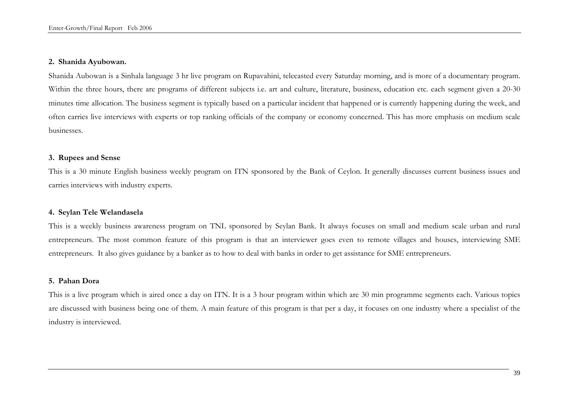#### **2. Shanida Ayubowan.**

Shanida Aubowan is a Sinhala language 3 hr live program on Rupavahini, telecasted every Saturday morning, and is more of a documentary program. Within the three hours, there are programs of different subjects i.e. art and culture, literature, business, education etc. each segment given a 20-30 minutes time allocation. The business segment is typically based on a particular incident that happened or is currently happening during the week, and often carries live interviews with experts or top ranking officials of the company or economy concerned. This has more emphasis on medium scale businesses.

## **3. Rupees and Sense**

This is a 30 minute English business weekly program on ITN sponsored by the Bank of Ceylon. It generally discusses current business issues and carries interviews with industry experts.

#### **4. Seylan Tele Welandasela**

This is a weekly business awareness program on TNL sponsored by Seylan Bank. It always focuses on small and medium scale urban and rural entrepreneurs. The most common feature of this program is that an interviewer goes even to remote villages and houses, interviewing SME entrepreneurs. It also gives guidance by a banker as to how to deal with banks in order to get assistance for SME entrepreneurs.

## **5. Pahan Dora**

This is a live program which is aired once a day on ITN. It is a 3 hour program within which are 30 min programme segments each. Various topics are discussed with business being one of them. A main feature of this program is that per a day, it focuses on one industry where a specialist of the industry is interviewed.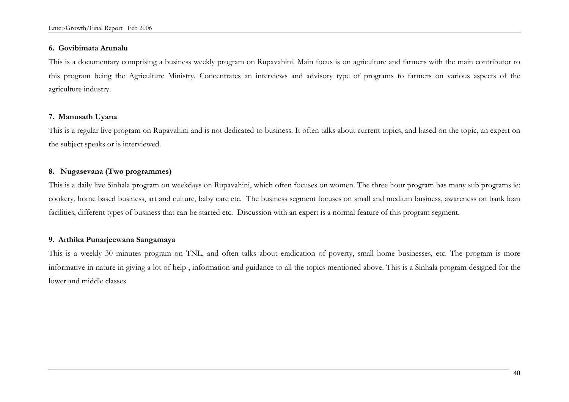#### **6. Govibimata Arunalu**

This is a documentary comprising a business weekly program on Rupavahini. Main focus is on agriculture and farmers with the main contributor to this program being the Agriculture Ministry. Concentrates an interviews and advisory type of programs to farmers on various aspects of the agriculture industry.

# **7. Manusath Uyana**

This is a regular live program on Rupavahini and is not dedicated to business. It often talks about current topics, and based on the topic, an expert on the subject speaks or is interviewed.

## **8. Nugasevana (Two programmes)**

This is a daily live Sinhala program on weekdays on Rupavahini, which often focuses on women. The three hour program has many sub programs ie: cookery, home based business, art and culture, baby care etc. The business segment focuses on small and medium business, awareness on bank loan facilities, different types of business that can be started etc. Discussion with an expert is a normal feature of this program segment.

## **9. Arthika Punarjeewana Sangamaya**

This is a weekly 30 minutes program on TNL, and often talks about eradication of poverty, small home businesses, etc. The program is more informative in nature in giving a lot of help , information and guidance to all the topics mentioned above. This is a Sinhala program designed for the lower and middle classes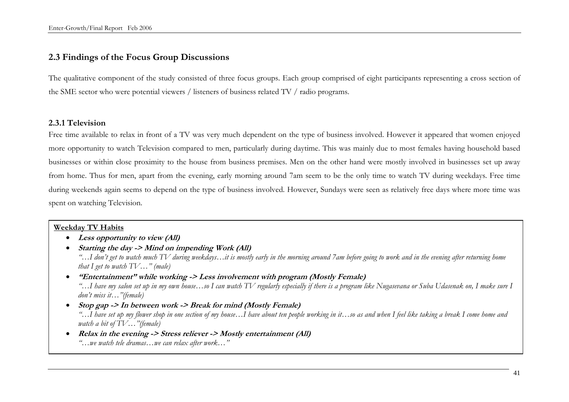# **2.3 Findings of the Focus Group Discussions**

The qualitative component of the study consisted of three focus groups. Each group comprised of eight participants representing a cross section of the SME sector who were potential viewers / listeners of business related TV / radio programs.

## **2.3.1 Television**

Free time available to relax in front of a TV was very much dependent on the type of business involved. However it appeared that women enjoyed more opportunity to watch Television compared to men, particularly during daytime. This was mainly due to most females having household based businesses or within close proximity to the house from business premises. Men on the other hand were mostly involved in businesses set up away from home. Thus for men, apart from the evening, early morning around 7am seem to be the only time to watch TV during weekdays. Free time during weekends again seems to depend on the type of business involved. However, Sundays were seen as relatively free days where more time was spent on watching Television.

## **Weekday TV Habits**

- **Less opportunity to view (All)**
- **Starting the day -> Mind on impending Work (All)**  *"…I don't get to watch much TV during weekdays…it is mostly early in the morning around 7am before going to work and in the evening after returning home that I get to watch TV…" (male)*
- **"Entertainment" while working -> Less involvement with program (Mostly Female)**  *"…I have my salon set up in my own house…so I can watch TV regularly especially if there is a program like Nugasevana or Suba Udasenak on, I make sure I don't miss it…"(female)*
- **Stop gap -> In between work -> Break for mind (Mostly Female)**  *"…I have set up my flower shop in one section of my house…I have about ten people working in it…so as and when I feel like taking a break I come home and watch a bit of TV…"(female)*
- **Relax in the evening -> Stress reliever -> Mostly entertainment (All)**  *"…we watch tele dramas…we can relax after work…"*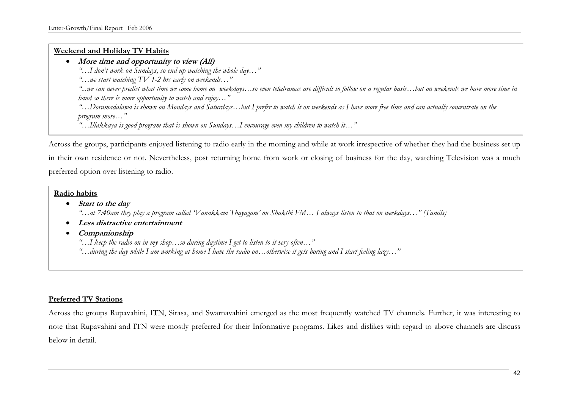#### **Weekend and Holiday TV Habits**

## • **More time and opportunity to view (All)**

*"…I don't work on Sundays, so end up watching the whole day…"* 

*"…we start watching TV 1-2 hrs early on weekends…"* 

*"...we can never predict what time we come home on weekdays…so even teledramas are difficult to follow on a regular basis…but on weekends we have more time in hand so there is more opportunity to watch and enjoy…"* 

*"…Doramadalawa is shown on Mondays and Saturdays…but I prefer to watch it on weekends as I have more free time and can actually concentrate on the program more…"* 

*"…Illakkaya is good program that is shown on Sundays…I encourage even my children to watch it…"* 

Across the groups, participants enjoyed listening to radio early in the morning and while at work irrespective of whether they had the business set up in their own residence or not. Nevertheless, post returning home from work or closing of business for the day, watching Television was a much preferred option over listening to radio.

## **Radio habits**

# • **Start to the day**

*"…at 7:40am they play a program called 'Vanakkam Thayagam' on Shakthi FM… I always listen to that on weekdays…" (Tamils)* 

- **Less distractive entertainment**
- **Companionship**

 *"…I keep the radio on in my shop…so during daytime I get to listen to it very often…" "…during the day while I am working at home I have the radio on…otherwise it gets boring and I start feeling lazy…"* 

## **Preferred TV Stations**

Across the groups Rupavahini, ITN, Sirasa, and Swarnavahini emerged as the most frequently watched TV channels. Further, it was interesting to note that Rupavahini and ITN were mostly preferred for their Informative programs. Likes and dislikes with regard to above channels are discuss below in detail.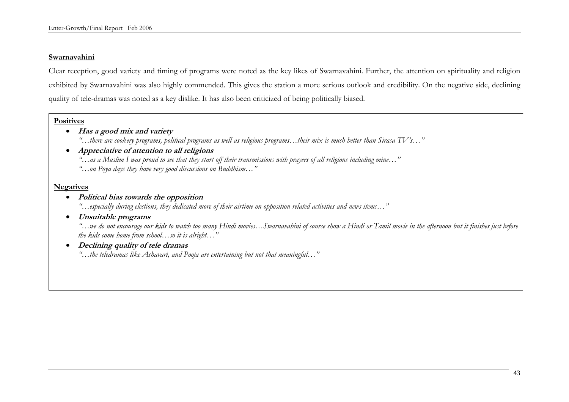#### **Swarnavahini**

Clear reception, good variety and timing of programs were noted as the key likes of Swarnavahini. Further, the attention on spirituality and religion exhibited by Swarnavahini was also highly commended. This gives the station a more serious outlook and credibility. On the negative side, declining quality of tele-dramas was noted as a key dislike. It has also been criticized of being politically biased.

#### **Positives**

- **Has a good mix and variety**
	- *"…there are cookery programs, political programs as well as religious programs…their mix is much better than Sirasa TV's…"*
- **Appreciative of attention to all religions**  *"…as a Muslim I was proud to see that they start off their transmissions with prayers of all religions including mine…" "…on Poya days they have very good discussions on Buddhism…"*

## **Negatives**

• **Political bias towards the opposition**

*"…especially during elections, they dedicated more of their airtime on opposition related activities and news items…"*

• **Unsuitable programs**

*"…we do not encourage our kids to watch too many Hindi movies…Swarnavahini of course show a Hindi or Tamil movie in the afternoon but it finishes just before the kids come home from school…so it is alright…"* 

• **Declining quality of tele dramas**

*"…the teledramas like Ashavari, and Pooja are entertaining but not that meaningful…"*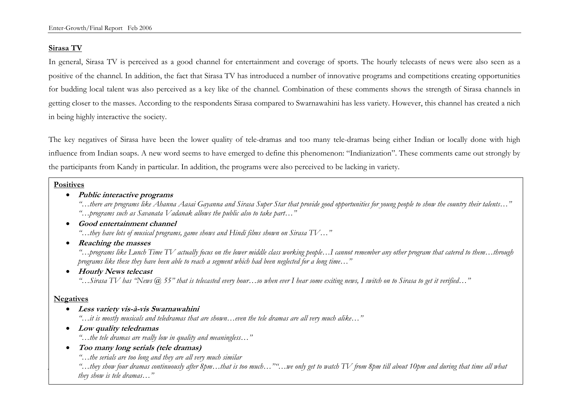## **Sirasa TV**

In general, Sirasa TV is perceived as a good channel for entertainment and coverage of sports. The hourly telecasts of news were also seen as a positive of the channel. In addition, the fact that Sirasa TV has introduced a number of innovative programs and competitions creating opportunities for budding local talent was also perceived as a key like of the channel. Combination of these comments shows the strength of Sirasa channels in getting closer to the masses. According to the respondents Sirasa compared to Swarnawahini has less variety. However, this channel has created a nich in being highly interactive the society.

The key negatives of Sirasa have been the lower quality of tele-dramas and too many tele-dramas being either Indian or locally done with high influence from Indian soaps. A new word seems to have emerged to define this phenomenon: "Indianization". These comments came out strongly by the participants from Kandy in particular. In addition, the programs were also perceived to be lacking in variety.

#### **Positives**

## • **Public interactive programs**

*"…there are programs like Ahanna Aasai Gayanna and Sirasa Super Star that provide good opportunities for young people to show the country their talents…" "…programs such as Savanata Vadanak allows the public also to take part…"* 

## • **Good entertainment channel**

*"…they have lots of musical programs, game shows and Hindi films shown on Sirasa TV…"* 

• **Reaching the masses** 

*"…programs like Lunch Time TV actually focus on the lower middle class working people…I cannot remember any other program that catered to them…through programs like these they have been able to reach a segment which had been neglected for a long time…"* 

• **Hourly News telecast** 

*"…Sirasa TV has "News @ 55" that is telecasted every hour…so when ever I hear some exiting news, I switch on to Sirasa to get it verified…"* 

## **Negatives**

• **Less variety vis-à-vis Swarnawahini** 

*"…it is mostly musicals and teledramas that are shown…even the tele dramas are all very much alike…"* 

• **Low quality teledramas** 

*"…the tele dramas are really low in quality and meaningless…"* 

• **Too many long serials (tele dramas)** 

*"…the serials are too long and they are all very much similar* 

*"…they show four dramas continuously after 8pm…that is too much…""…we only get to watch TV from 8pm till about 10pm and during that time all what they show is tele dramas…"*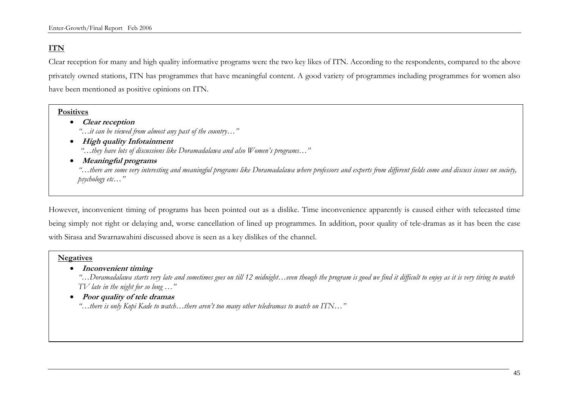# **ITN**

Clear reception for many and high quality informative programs were the two key likes of ITN. According to the respondents, compared to the above privately owned stations, ITN has programmes that have meaningful content. A good variety of programmes including programmes for women also have been mentioned as positive opinions on ITN.

## **Positives**

- **Clear reception**  *"…it can be viewed from almost any past of the country…"*
- **High quality Infotainment**   *"…they have lots of discussions like Doramadalawa and also Women's programs…"*
- **Meaningful programs**

*"…there are some very interesting and meaningful programs like Doramadalawa where professors and experts from different fields come and discuss issues on society, psychology etc…"* 

However, inconvenient timing of programs has been pointed out as a dislike. Time inconvenience apparently is caused either with telecasted time being simply not right or delaying and, worse cancellation of lined up programmes. In addition, poor quality of tele-dramas as it has been the case with Sirasa and Swarnawahini discussed above is seen as a key dislikes of the channel.

## **Negatives**

• **Inconvenient timing**

*"…Doramadalawa starts very late and sometimes goes on till 12 midnight…even though the program is good we find it difficult to enjoy as it is very tiring to watch TV late in the night for so long …"* 

• **Poor quality of tele dramas** 

*"…there is only Kopi Kade to watch…there aren't too many other teledramas to watch on ITN…"*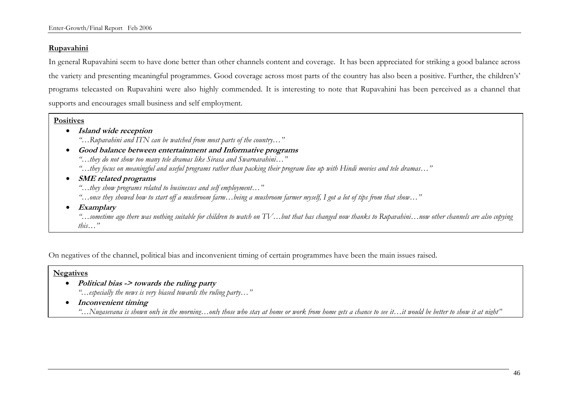## **Rupavahini**

In general Rupavahini seem to have done better than other channels content and coverage. It has been appreciated for striking a good balance across the variety and presenting meaningful programmes. Good coverage across most parts of the country has also been a positive. Further, the children's' programs telecasted on Rupavahini were also highly commended. It is interesting to note that Rupavahini has been perceived as a channel that supports and encourages small business and self employment.

#### **Positives**

- **Island wide reception** 
	- *"…Rupavahini and ITN can be watched from most parts of the country…"*
- **Good balance between entertainment and Informative programs**   *"…they do not show too many tele dramas like Sirasa and Swarnavahini…" "…they focus on meaningful and useful programs rather than packing their program line up with Hindi movies and tele dramas…"*
- **SME related programs** 
	- *"…they show programs related to businesses and self employment…"*
	- *"…once they showed how to start off a mushroom farm…being a mushroom farmer myself, I got a lot of tips from that show…"*
- **Examplary**

*"…sometime ago there was nothing suitable for children to watch on TV…but that has changed now thanks to Rupavahini…now other channels are also copying this…"*

On negatives of the channel, political bias and inconvenient timing of certain programmes have been the main issues raised.

## **Negatives**

- **Political bias -> towards the ruling party**  *"…especially the news is very biased towards the ruling party…"*
- **Inconvenient timing** 
	- *"…Nugasevana is shown only in the morning…only those who stay at home or work from home gets a chance to see it…it would be better to show it at night"*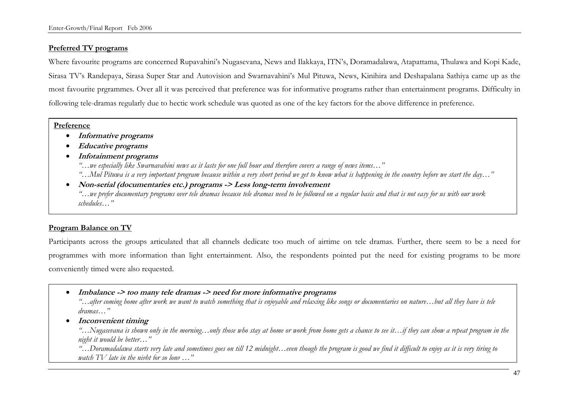# **Preferred TV programs**

Where favourite programs are concerned Rupavahini's Nugasevana, News and Ilakkaya, ITN's, Doramadalawa, Atapattama, Thulawa and Kopi Kade, Sirasa TV's Randepaya, Sirasa Super Star and Autovision and Swarnavahini's Mul Pituwa, News, Kinihira and Deshapalana Sathiya came up as the most favourite prgrammes. Over all it was perceived that preference was for informative programs rather than entertainment programs. Difficulty in following tele-dramas regularly due to hectic work schedule was quoted as one of the key factors for the above difference in preference.

### **Preference**

- **Informative programs**
- **Educative programs**
- **Infotainment programs** 
	- *"…we especially like Swarnavahini news as it lasts for one full hour and therefore covers a range of news items…"*
	- *"…Mul Pituwa is a very important program because within a very short period we get to know what is happening in the country before we start the day…"*
- **Non-serial (documentaries etc.) programs -> Less long-term involvement**  *"…we prefer documentary programs over tele dramas because tele dramas need to be followed on a regular basis and that is not easy for us with our work schedules…"*

# **Program Balance on TV**

Participants across the groups articulated that all channels dedicate too much of airtime on tele dramas. Further, there seem to be a need for programmes with more information than light entertainment. Also, the respondents pointed put the need for existing programs to be more conveniently timed were also requested.

• **Imbalance -> too many tele dramas -> need for more informative programs** 

*"…after coming home after work we want to watch something that is enjoyable and relaxing like songs or documentaries on nature…but all they have is tele dramas…"* 

• **Inconvenient timing** 

*"…Nugasevana is shown only in the morning…only those who stay at home or work from home gets a chance to see it…if they can show a repeat program in the night it would be better…"* 

*"…Doramadalawa starts very late and sometimes goes on till 12 midnight…even though the program is good we find it difficult to enjoy as it is very tiring to watch TV late in the night for so long …"*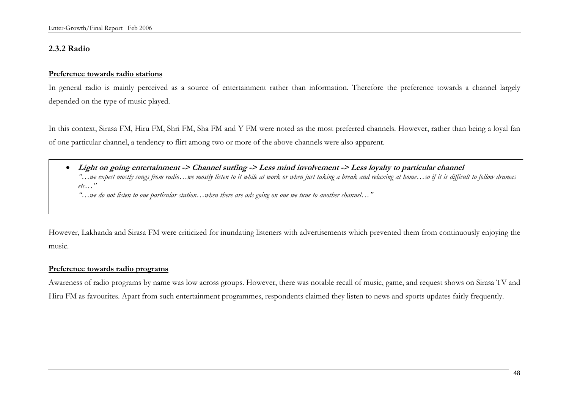# **2.3.2 Radio**

## **Preference towards radio stations**

In general radio is mainly perceived as a source of entertainment rather than information. Therefore the preference towards a channel largely depended on the type of music played.

In this context, Sirasa FM, Hiru FM, Shri FM, Sha FM and Y FM were noted as the most preferred channels. However, rather than being a loyal fan of one particular channel, a tendency to flirt among two or more of the above channels were also apparent.

• **Light on going entertainment -> Channel surfing -> Less mind involvement -> Less loyalty to particular channel**  *"…we expect mostly songs from radio…we mostly listen to it while at work or when just taking a break and relaxing at home…so if it is difficult to follow dramas*   $etc<sup>1</sup>$ *"…we do not listen to one particular station…when there are ads going on one we tune to another channel…"* 

However, Lakhanda and Sirasa FM were criticized for inundating listeners with advertisements which prevented them from continuously enjoying the music.

## **Preference towards radio programs**

Awareness of radio programs by name was low across groups. However, there was notable recall of music, game, and request shows on Sirasa TV and Hiru FM as favourites. Apart from such entertainment programmes, respondents claimed they listen to news and sports updates fairly frequently.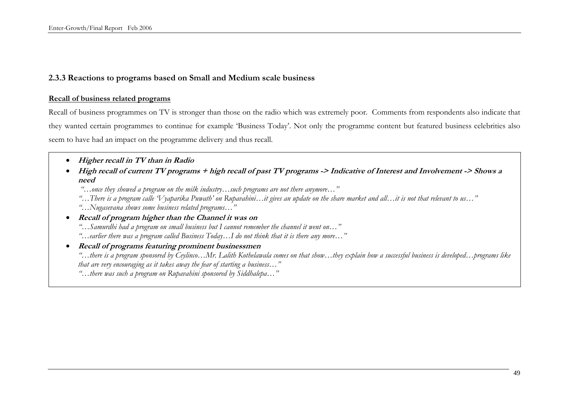## **2.3.3 Reactions to programs based on Small and Medium scale business**

#### **Recall of business related programs**

Recall of business programmes on TV is stronger than those on the radio which was extremely poor. Comments from respondents also indicate that they wanted certain programmes to continue for example 'Business Today'. Not only the programme content but featured business celebrities also seem to have had an impact on the programme delivery and thus recall.

- **Higher recall in TV than in Radio**
- High recall of current TV programs + high recall of past TV programs -> Indicative of Interest and Involvement -> Shows a **need** 
	- *"…once they showed a program on the milk industry…such programs are not there anymore…"*
	- *"…There is a program calle 'Vyaparika Puwath' on Rupavahini…it gives an update on the share market and all…it is not that relevant to us…"*
	- *"…Nugasevana shows some business related programs…"*
- **Recall of program higher than the Channel it was on**  *"…Samurdhi had a program on small business but I cannot remember the channel it went on…" "…earlier there was a program called Business Today…I do not think that it is there any more…"*
- **Recall of programs featuring prominent businessmen**  *"…there is a program sponsored by Ceylinco…Mr. Lalith Kothelawala comes on that show…they explain how a successful business is developed…programs like that are very encouraging as it takes away the fear of starting a business…" "…there was such a program on Rupavahini sponsored by Siddhalepa…"*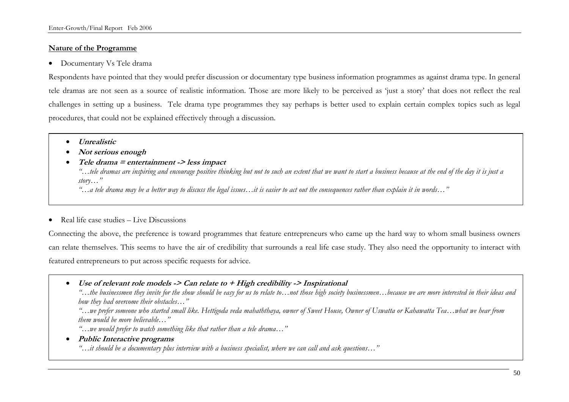## **Nature of the Programme**

• Documentary Vs Tele drama

Respondents have pointed that they would prefer discussion or documentary type business information programmes as against drama type. In general tele dramas are not seen as a source of realistic information. Those are more likely to be perceived as 'just a story' that does not reflect the real challenges in setting up a business. Tele drama type programmes they say perhaps is better used to explain certain complex topics such as legal procedures, that could not be explained effectively through a discussion.

- **Unrealistic**
- **Not serious enough**
- **Tele drama = entertainment -> less impact**

*"…tele dramas are inspiring and encourage positive thinking but not to such an extent that we want to start a business because at the end of the day it is just a story…"* 

*"…a tele drama may be a better way to discuss the legal issues…it is easier to act out the consequences rather than explain it in words…"* 

• Real life case studies – Live Discussions

Connecting the above, the preference is toward programmes that feature entrepreneurs who came up the hard way to whom small business owners can relate themselves. This seems to have the air of credibility that surrounds a real life case study. They also need the opportunity to interact with featured entrepreneurs to put across specific requests for advice.

• **Use of relevant role models -> Can relate to + High credibility -> Inspirational** 

*"…the businessmen they invite for the show should be easy for us to relate to…not those high society businessmen…because we are more interested in their ideas and how they had overcome their obstacles…"* 

*"…we prefer someone who started small like. Hettigoda veda mahaththaya, owner of Sweet House, Owner of Uswatta or Kahawatta Tea…what we hear from them would be more believable…"* 

*"…we would prefer to watch something like that rather than a tele drama…"* 

• **Public Interactive programs** 

*"…it should be a documentary plus interview with a business specialist, where we can call and ask questions…"*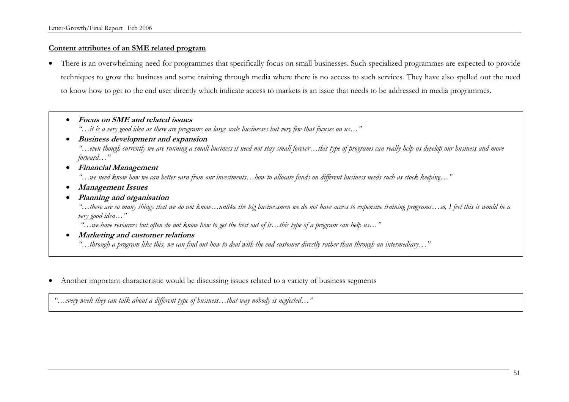## **Content attributes of an SME related program**

• There is an overwhelming need for programmes that specifically focus on small businesses. Such specialized programmes are expected to provide techniques to grow the business and some training through media where there is no access to such services. They have also spelled out the need to know how to get to the end user directly which indicate access to markets is an issue that needs to be addressed in media programmes.

• **Focus on SME and related issues** 

*"…it is a very good idea as there are programs on large scale businesses but very few that focuses on us…"* 

## • **Business development and expansion**

*"…even though currently we are running a small business it need not stay small forever…this type of programs can really help us develop our business and move forward…"* 

## • **Financial Management**

*"…we need know how we can better earn from our investments…how to allocate funds on different business needs such as stock keeping…"* 

• **Management Issues** 

## • **Planning and organisation**

*"…there are so many things that we do not know…unlike the big businessmen we do not have access to expensive training programs…so, I feel this is would be a very good idea…"* 

 *"…we have resources but often do not know how to get the best out of it…this type of a program can help us…"* 

• **Marketing and customer relations** 

*"…through a program like this, we can find out how to deal with the end customer directly rather than through an intermediary…"*

• Another important characteristic would be discussing issues related to a variety of business segments

*"…every week they can talk about a different type of business…that way nobody is neglected…"*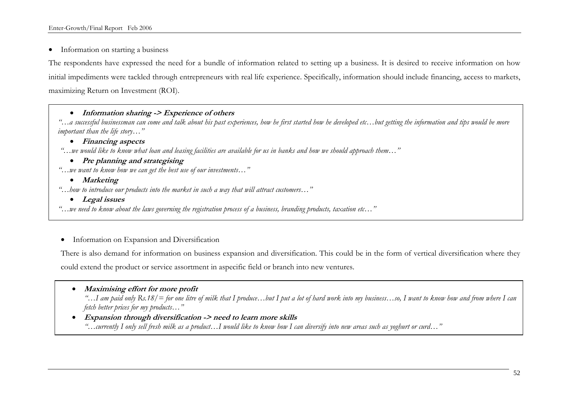Enter-Growth/Final Report Feb 2006

• Information on starting a business

The respondents have expressed the need for a bundle of information related to setting up a business. It is desired to receive information on how initial impediments were tackled through entrepreneurs with real life experience. Specifically, information should include financing, access to markets, maximizing Return on Investment (ROI).

## • **Information sharing -> Experience of others**

*"…a successful businessman can come and talk about his past experiences, how he first started how he developed etc…but getting the information and tips would be more important than the life story…"* 

# • **Financing aspects**

 *"…we would like to know what loan and leasing facilities are available for us in banks and how we should approach them…"* 

- **Pre planning and strategising**
- *"…we want to know how we can get the best use of our investments…"*

## • **Marketing**

- *"…how to introduce our products into the market in such a way that will attract customers…"* 
	- **Legal issues**

*"…we need to know about the laws governing the registration process of a business, branding products, taxation etc…"* 

• Information on Expansion and Diversification

There is also demand for information on business expansion and diversification. This could be in the form of vertical diversification where they could extend the product or service assortment in aspecific field or branch into new ventures.

• **Maximising effort for more profit** 

*"…I am paid only Rs.18/= for one litre of milk that I produce…but I put a lot of hard work into my business…so, I want to know how and from where I can fetch better prices for my products…"* 

• **Expansion through diversification -> need to learn more skills**  *"…currently I only sell fresh milk as a product…I would like to know how I can diversify into new areas such as yoghurt or curd…"*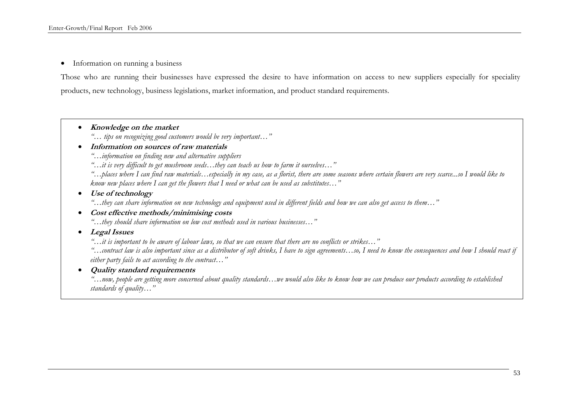• Information on running a business

Those who are running their businesses have expressed the desire to have information on access to new suppliers especially for speciality products, new technology, business legislations, market information, and product standard requirements.

- **Knowledge on the market** 
	- *"… tips on recognizing good customers would be very important…"*

#### • **Information on sources of raw materials**

*"…information on finding new and alternative suppliers* 

*"…it is very difficult to get mushroom seeds…they can teach us how to farm it ourselves…"* 

*"…places where I can find raw materials…especially in my case, as a florist, there are some seasons where certain flowers are very scarce...so I would like to know new places where I can get the flowers that I need or what can be used as substitutes…"* 

• **Use of technology** 

*"…they can share information on new technology and equipment used in different fields and how we can also get access to them…"* 

• **Cost effective methods/minimising costs** 

*"…they should share information on low cost methods used in various businesses…"* 

• **Legal Issues** 

*"…it is important to be aware of labour laws, so that we can ensure that there are no conflicts or strikes…"* 

*"…contract law is also important since as a distributor of soft drinks, I have to sign agreements…so, I need to know the consequences and how I should react if either party fails to act according to the contract…"* 

• **Quality standard requirements** 

*"…now, people are getting more concerned about quality standards…we would also like to know how we can produce our products according to established standards of quality…"*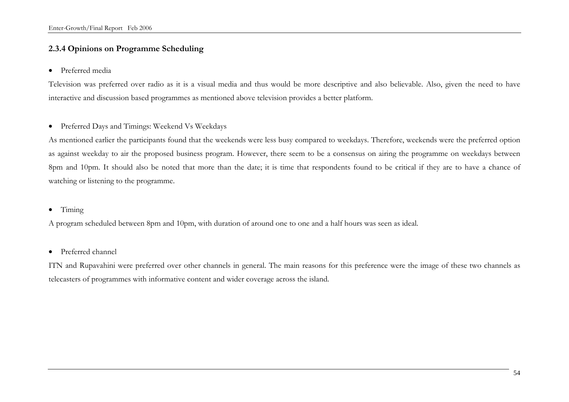# **2.3.4 Opinions on Programme Scheduling**

• Preferred media

Television was preferred over radio as it is a visual media and thus would be more descriptive and also believable. Also, given the need to have interactive and discussion based programmes as mentioned above television provides a better platform.

• Preferred Days and Timings: Weekend Vs Weekdays

As mentioned earlier the participants found that the weekends were less busy compared to weekdays. Therefore, weekends were the preferred option as against weekday to air the proposed business program. However, there seem to be a consensus on airing the programme on weekdays between 8pm and 10pm. It should also be noted that more than the date; it is time that respondents found to be critical if they are to have a chance of watching or listening to the programme.

• Timing

A program scheduled between 8pm and 10pm, with duration of around one to one and a half hours was seen as ideal.

• Preferred channel

ITN and Rupavahini were preferred over other channels in general. The main reasons for this preference were the image of these two channels as telecasters of programmes with informative content and wider coverage across the island.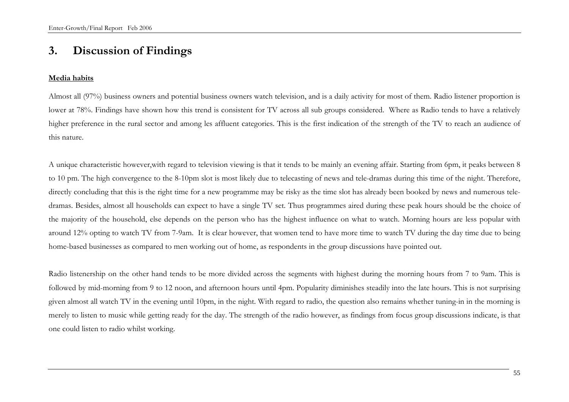# **3. Discussion of Findings**

#### **Media habits**

Almost all (97%) business owners and potential business owners watch television, and is a daily activity for most of them. Radio listener proportion is lower at 78%. Findings have shown how this trend is consistent for TV across all sub groups considered. Where as Radio tends to have a relatively higher preference in the rural sector and among les affluent categories. This is the first indication of the strength of the TV to reach an audience of this nature.

A unique characteristic however,with regard to television viewing is that it tends to be mainly an evening affair. Starting from 6pm, it peaks between 8 to 10 pm. The high convergence to the 8-10pm slot is most likely due to telecasting of news and tele-dramas during this time of the night. Therefore, directly concluding that this is the right time for a new programme may be risky as the time slot has already been booked by news and numerous teledramas. Besides, almost all households can expect to have a single TV set. Thus programmes aired during these peak hours should be the choice of the majority of the household, else depends on the person who has the highest influence on what to watch. Morning hours are less popular with around 12% opting to watch TV from 7-9am. It is clear however, that women tend to have more time to watch TV during the day time due to being home-based businesses as compared to men working out of home, as respondents in the group discussions have pointed out.

Radio listenership on the other hand tends to be more divided across the segments with highest during the morning hours from 7 to 9am. This is followed by mid-morning from 9 to 12 noon, and afternoon hours until 4pm. Popularity diminishes steadily into the late hours. This is not surprising given almost all watch TV in the evening until 10pm, in the night. With regard to radio, the question also remains whether tuning-in in the morning is merely to listen to music while getting ready for the day. The strength of the radio however, as findings from focus group discussions indicate, is that one could listen to radio whilst working.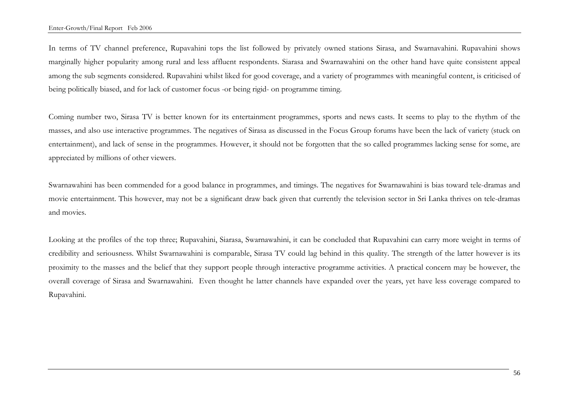In terms of TV channel preference, Rupavahini tops the list followed by privately owned stations Sirasa, and Swarnavahini. Rupavahini shows marginally higher popularity among rural and less affluent respondents. Siarasa and Swarnawahini on the other hand have quite consistent appeal among the sub segments considered. Rupavahini whilst liked for good coverage, and a variety of programmes with meaningful content, is criticised of being politically biased, and for lack of customer focus -or being rigid- on programme timing.

Coming number two, Sirasa TV is better known for its entertainment programmes, sports and news casts. It seems to play to the rhythm of the masses, and also use interactive programmes. The negatives of Sirasa as discussed in the Focus Group forums have been the lack of variety (stuck on entertainment), and lack of sense in the programmes. However, it should not be forgotten that the so called programmes lacking sense for some, are appreciated by millions of other viewers.

Swarnawahini has been commended for a good balance in programmes, and timings. The negatives for Swarnawahini is bias toward tele-dramas and movie entertainment. This however, may not be a significant draw back given that currently the television sector in Sri Lanka thrives on tele-dramas and movies.

Looking at the profiles of the top three; Rupavahini, Siarasa, Swarnawahini, it can be concluded that Rupavahini can carry more weight in terms of credibility and seriousness. Whilst Swarnawahini is comparable, Sirasa TV could lag behind in this quality. The strength of the latter however is its proximity to the masses and the belief that they support people through interactive programme activities. A practical concern may be however, the overall coverage of Sirasa and Swarnawahini. Even thought he latter channels have expanded over the years, yet have less coverage compared to Rupavahini.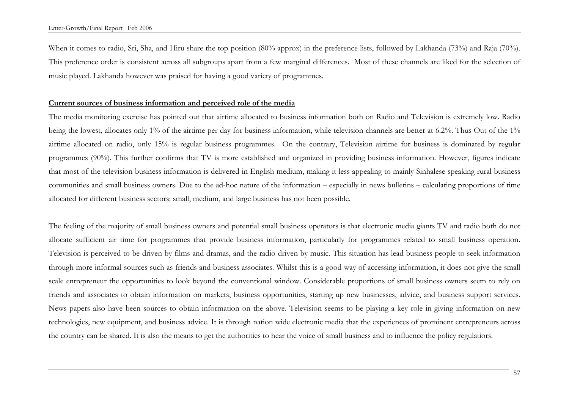When it comes to radio, Sri, Sha, and Hiru share the top position (80% approx) in the preference lists, followed by Lakhanda (73%) and Raja (70%). This preference order is consistent across all subgroups apart from a few marginal differences. Most of these channels are liked for the selection of music played. Lakhanda however was praised for having a good variety of programmes.

#### **Current sources of business information and perceived role of the media**

The media monitoring exercise has pointed out that airtime allocated to business information both on Radio and Television is extremely low. Radio being the lowest, allocates only 1% of the airtime per day for business information, while television channels are better at 6.2%. Thus Out of the 1% airtime allocated on radio, only 15% is regular business programmes. On the contrary, Television airtime for business is dominated by regular programmes (90%). This further confirms that TV is more established and organized in providing business information. However, figures indicate that most of the television business information is delivered in English medium, making it less appealing to mainly Sinhalese speaking rural business communities and small business owners. Due to the ad-hoc nature of the information – especially in news bulletins – calculating proportions of time allocated for different business sectors: small, medium, and large business has not been possible.

The feeling of the majority of small business owners and potential small business operators is that electronic media giants TV and radio both do not allocate sufficient air time for programmes that provide business information, particularly for programmes related to small business operation. Television is perceived to be driven by films and dramas, and the radio driven by music. This situation has lead business people to seek information through more informal sources such as friends and business associates. Whilst this is a good way of accessing information, it does not give the small scale entrepreneur the opportunities to look beyond the conventional window. Considerable proportions of small business owners seem to rely on friends and associates to obtain information on markets, business opportunities, starting up new businesses, advice, and business support services. News papers also have been sources to obtain information on the above. Television seems to be playing a key role in giving information on new technologies, new equipment, and business advice. It is through nation wide electronic media that the experiences of prominent entrepreneurs across the country can be shared. It is also the means to get the authorities to hear the voice of small business and to influence the policy regulatiors.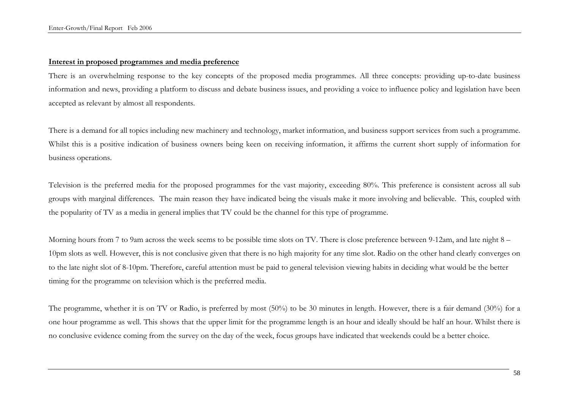### **Interest in proposed programmes and media preference**

There is an overwhelming response to the key concepts of the proposed media programmes. All three concepts: providing up-to-date business information and news, providing a platform to discuss and debate business issues, and providing a voice to influence policy and legislation have been accepted as relevant by almost all respondents.

There is a demand for all topics including new machinery and technology, market information, and business support services from such a programme. Whilst this is a positive indication of business owners being keen on receiving information, it affirms the current short supply of information for business operations.

Television is the preferred media for the proposed programmes for the vast majority, exceeding 80%. This preference is consistent across all sub groups with marginal differences. The main reason they have indicated being the visuals make it more involving and believable. This, coupled with the popularity of TV as a media in general implies that TV could be the channel for this type of programme.

Morning hours from 7 to 9am across the week seems to be possible time slots on TV. There is close preference between 9-12am, and late night 8 – 10pm slots as well. However, this is not conclusive given that there is no high majority for any time slot. Radio on the other hand clearly converges on to the late night slot of 8-10pm. Therefore, careful attention must be paid to general television viewing habits in deciding what would be the better timing for the programme on television which is the preferred media.

The programme, whether it is on TV or Radio, is preferred by most (50%) to be 30 minutes in length. However, there is a fair demand (30%) for a one hour programme as well. This shows that the upper limit for the programme length is an hour and ideally should be half an hour. Whilst there is no conclusive evidence coming from the survey on the day of the week, focus groups have indicated that weekends could be a better choice.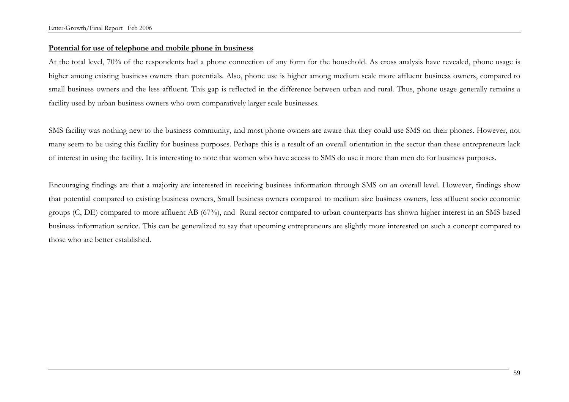#### **Potential for use of telephone and mobile phone in business**

At the total level, 70% of the respondents had a phone connection of any form for the household. As cross analysis have revealed, phone usage is higher among existing business owners than potentials. Also, phone use is higher among medium scale more affluent business owners, compared to small business owners and the less affluent. This gap is reflected in the difference between urban and rural. Thus, phone usage generally remains a facility used by urban business owners who own comparatively larger scale businesses.

SMS facility was nothing new to the business community, and most phone owners are aware that they could use SMS on their phones. However, not many seem to be using this facility for business purposes. Perhaps this is a result of an overall orientation in the sector than these entrepreneurs lack of interest in using the facility. It is interesting to note that women who have access to SMS do use it more than men do for business purposes.

Encouraging findings are that a majority are interested in receiving business information through SMS on an overall level. However, findings show that potential compared to existing business owners, Small business owners compared to medium size business owners, less affluent socio economic groups (C, DE) compared to more affluent AB (67%), and Rural sector compared to urban counterparts has shown higher interest in an SMS based business information service. This can be generalized to say that upcoming entrepreneurs are slightly more interested on such a concept compared to those who are better established.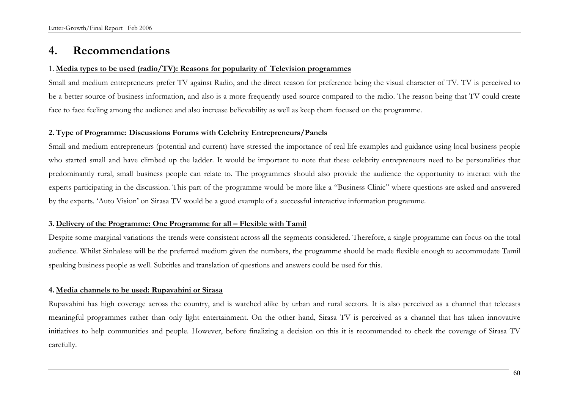# **4. Recommendations**

#### 1. **Media types to be used (radio/TV): Reasons for popularity of Television programmes**

Small and medium entrepreneurs prefer TV against Radio, and the direct reason for preference being the visual character of TV. TV is perceived to be a better source of business information, and also is a more frequently used source compared to the radio. The reason being that TV could create face to face feeling among the audience and also increase believability as well as keep them focused on the programme.

#### **2. Type of Programme: Discussions Forums with Celebrity Entrepreneurs/Panels**

Small and medium entrepreneurs (potential and current) have stressed the importance of real life examples and guidance using local business people who started small and have climbed up the ladder. It would be important to note that these celebrity entrepreneurs need to be personalities that predominantly rural, small business people can relate to. The programmes should also provide the audience the opportunity to interact with the experts participating in the discussion. This part of the programme would be more like a "Business Clinic" where questions are asked and answered by the experts. 'Auto Vision' on Sirasa TV would be a good example of a successful interactive information programme.

#### **3. Delivery of the Programme: One Programme for all – Flexible with Tamil**

Despite some marginal variations the trends were consistent across all the segments considered. Therefore, a single programme can focus on the total audience. Whilst Sinhalese will be the preferred medium given the numbers, the programme should be made flexible enough to accommodate Tamil speaking business people as well. Subtitles and translation of questions and answers could be used for this.

### **4. Media channels to be used: Rupavahini or Sirasa**

Rupavahini has high coverage across the country, and is watched alike by urban and rural sectors. It is also perceived as a channel that telecasts meaningful programmes rather than only light entertainment. On the other hand, Sirasa TV is perceived as a channel that has taken innovative initiatives to help communities and people. However, before finalizing a decision on this it is recommended to check the coverage of Sirasa TV carefully.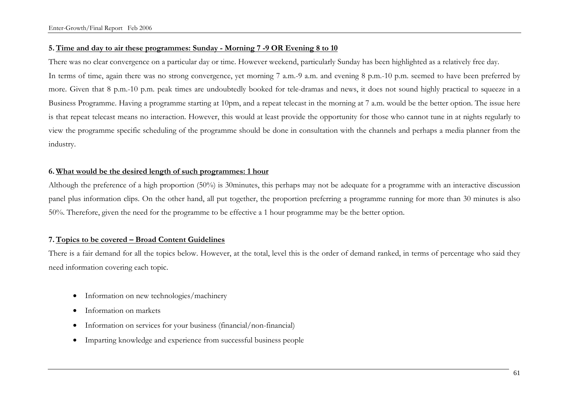## **5. Time and day to air these programmes: Sunday - Morning 7 -9 OR Evening 8 to 10**

There was no clear convergence on a particular day or time. However weekend, particularly Sunday has been highlighted as a relatively free day. In terms of time, again there was no strong convergence, yet morning 7 a.m.-9 a.m. and evening 8 p.m.-10 p.m. seemed to have been preferred by more. Given that 8 p.m.-10 p.m. peak times are undoubtedly booked for tele-dramas and news, it does not sound highly practical to squeeze in a Business Programme. Having a programme starting at 10pm, and a repeat telecast in the morning at 7 a.m. would be the better option. The issue here is that repeat telecast means no interaction. However, this would at least provide the opportunity for those who cannot tune in at nights regularly to view the programme specific scheduling of the programme should be done in consultation with the channels and perhaps a media planner from the industry.

## **6. What would be the desired length of such programmes: 1 hour**

Although the preference of a high proportion (50%) is 30minutes, this perhaps may not be adequate for a programme with an interactive discussion panel plus information clips. On the other hand, all put together, the proportion preferring a programme running for more than 30 minutes is also 50%. Therefore, given the need for the programme to be effective a 1 hour programme may be the better option.

## **7. Topics to be covered – Broad Content Guidelines**

There is a fair demand for all the topics below. However, at the total, level this is the order of demand ranked, in terms of percentage who said they need information covering each topic.

- Information on new technologies/machinery
- Information on markets
- Information on services for your business (financial/non-financial)
- Imparting knowledge and experience from successful business people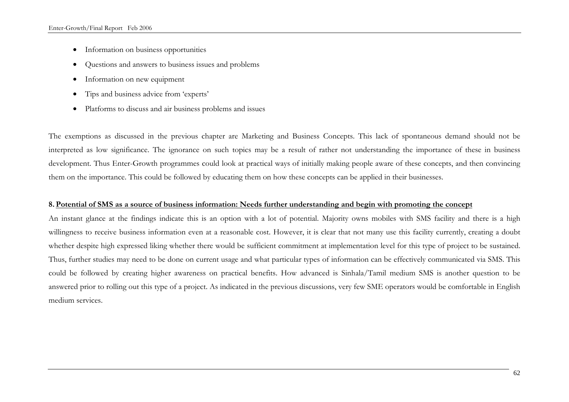- Information on business opportunities
- Questions and answers to business issues and problems
- Information on new equipment
- Tips and business advice from 'experts'
- Platforms to discuss and air business problems and issues

The exemptions as discussed in the previous chapter are Marketing and Business Concepts. This lack of spontaneous demand should not be interpreted as low significance. The ignorance on such topics may be a result of rather not understanding the importance of these in business development. Thus Enter-Growth programmes could look at practical ways of initially making people aware of these concepts, and then convincing them on the importance. This could be followed by educating them on how these concepts can be applied in their businesses.

## **8. Potential of SMS as a source of business information: Needs further understanding and begin with promoting the concept**

An instant glance at the findings indicate this is an option with a lot of potential. Majority owns mobiles with SMS facility and there is a high willingness to receive business information even at a reasonable cost. However, it is clear that not many use this facility currently, creating a doubt whether despite high expressed liking whether there would be sufficient commitment at implementation level for this type of project to be sustained. Thus, further studies may need to be done on current usage and what particular types of information can be effectively communicated via SMS. This could be followed by creating higher awareness on practical benefits. How advanced is Sinhala/Tamil medium SMS is another question to be answered prior to rolling out this type of a project. As indicated in the previous discussions, very few SME operators would be comfortable in English medium services.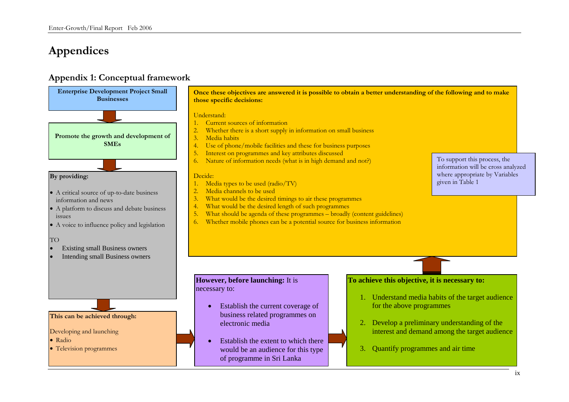# **Appendices**

# **Appendix 1: Conceptual framework**

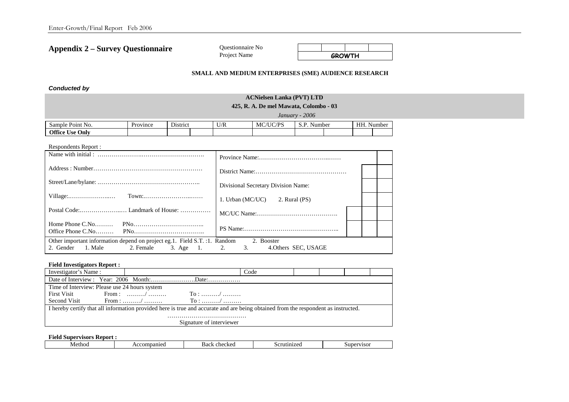**Appendix 2 – Survey Questionnaire** 

Questionnaire No **Project Name** 

|  | <b>GROWTH</b> |  |
|--|---------------|--|

#### **SMALL AND MEDIUM ENTERPRISES (SME) AUDIENCE RESEARCH**

*Conducted by* 

### **ACNielsen Lanka (PVT) LTD 425, R. A. De mel Mawata, Colombo - 03**  *January - 2006*  Sample Point No. Province District U/R MC/UC/PS S.P. Number HH. Number **Office Use Only**

| Respondents Report :                                                                                                     |                                     |  |
|--------------------------------------------------------------------------------------------------------------------------|-------------------------------------|--|
|                                                                                                                          |                                     |  |
|                                                                                                                          |                                     |  |
|                                                                                                                          | Divisional Secretary Division Name: |  |
|                                                                                                                          | 1. Urban (MC/UC)<br>2. Rural (PS)   |  |
|                                                                                                                          |                                     |  |
|                                                                                                                          |                                     |  |
| Other important information depend on project eg.1. Field S.T. :1. Random<br>2. Gender 1. Male 2. Female 3. Age 1. 2. 3. | 2. Booster<br>4. Others SEC, USAGE  |  |

#### **Field Investigators Report :**

| Investigator's Name:                                                                                                               | Code                                                                          |  |  |  |  |  |  |  |
|------------------------------------------------------------------------------------------------------------------------------------|-------------------------------------------------------------------------------|--|--|--|--|--|--|--|
|                                                                                                                                    |                                                                               |  |  |  |  |  |  |  |
|                                                                                                                                    | Time of Interview: Please use 24 hours system                                 |  |  |  |  |  |  |  |
| <b>First Visit</b>                                                                                                                 | From : /<br>$\Gamma$ o : /                                                    |  |  |  |  |  |  |  |
|                                                                                                                                    | Second Visit From : $\ldots \ldots \ldots \ldots$ To : $\ldots \ldots \ldots$ |  |  |  |  |  |  |  |
| I hereby certify that all information provided here is true and accurate and are being obtained from the respondent as instructed. |                                                                               |  |  |  |  |  |  |  |
|                                                                                                                                    |                                                                               |  |  |  |  |  |  |  |
| Signature of interviewer                                                                                                           |                                                                               |  |  |  |  |  |  |  |

#### **Field Supervisors Report :**

| 0.0111000<br>chockoc<br>Metho<br>opaniec <sup>.</sup><br>21700<br>$\sim$<br>.sur<br>. .<br>3ac'<br>٠m<br>$\sim$<br><b>/1501</b><br>CHUCNU |  |
|-------------------------------------------------------------------------------------------------------------------------------------------|--|
|-------------------------------------------------------------------------------------------------------------------------------------------|--|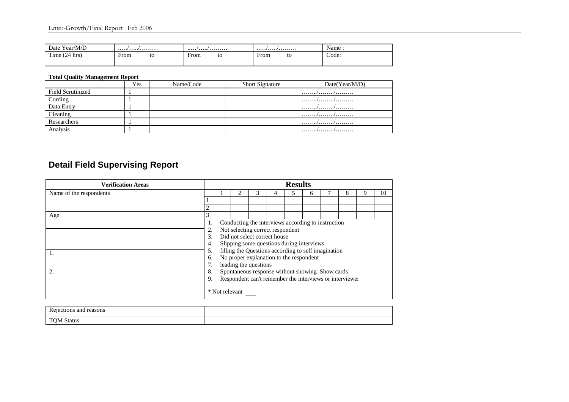| $ -$<br>Year/M/D<br>Date             |                          |                                                         |                                       | Name  |
|--------------------------------------|--------------------------|---------------------------------------------------------|---------------------------------------|-------|
| m.<br>$\sim$<br>$1 \text{me}$<br>hrs | ∽<br>From<br>U<br>$\sim$ | $\overline{\phantom{0}}$<br>From<br>to<br>$\sim$ $\sim$ | $\blacksquare$<br>From<br>U<br>$\sim$ | Code: |
|                                      |                          |                                                         |                                       |       |

### **Total Quality Management Report**

|                          | Yes | Name/Code | <b>Short Signature</b> | Date(Year/M/D) |
|--------------------------|-----|-----------|------------------------|----------------|
| <b>Field Scrutinized</b> |     |           |                        |                |
| Cording                  |     |           |                        |                |
| Data Entry               |     |           |                        |                |
| Cleaning                 |     |           |                        | .//            |
| Researchers              |     |           |                        |                |
| Analysis                 |     |           |                        | .//            |

# **Detail Field Supervising Report**

| <b>Verification Areas</b> |                                                               | <b>Results</b> |  |  |  |  |  |    |  |  |  |
|---------------------------|---------------------------------------------------------------|----------------|--|--|--|--|--|----|--|--|--|
| Name of the respondents   | 8<br>ς                                                        |                |  |  |  |  |  | 10 |  |  |  |
|                           |                                                               |                |  |  |  |  |  |    |  |  |  |
|                           | $\overline{2}$                                                |                |  |  |  |  |  |    |  |  |  |
| Age                       | 3                                                             |                |  |  |  |  |  |    |  |  |  |
|                           | Conducting the interviews according to instruction<br>1.      |                |  |  |  |  |  |    |  |  |  |
|                           | Not selecting correct respondent<br>2.                        |                |  |  |  |  |  |    |  |  |  |
|                           | Did not select correct house<br>3.                            |                |  |  |  |  |  |    |  |  |  |
|                           | Slipping some questions during interviews<br>4.               |                |  |  |  |  |  |    |  |  |  |
| 1.                        | filling the Questions according to self imagination<br>5.     |                |  |  |  |  |  |    |  |  |  |
|                           | No proper explanation to the respondent<br>6.                 |                |  |  |  |  |  |    |  |  |  |
|                           | leading the questions<br>7.                                   |                |  |  |  |  |  |    |  |  |  |
| 2.                        | Spontaneous response without showing Show cards<br>8.         |                |  |  |  |  |  |    |  |  |  |
|                           | Respondent can't remember the interviews or interviewer<br>9. |                |  |  |  |  |  |    |  |  |  |
|                           | * Not relevant                                                |                |  |  |  |  |  |    |  |  |  |

| $\overline{\phantom{a}}$<br>reasons<br>anc<br>.10NS<br>.                      |  |
|-------------------------------------------------------------------------------|--|
| $\mathbf{m}$<br>N<br>Statu <sup>r</sup><br>$\overline{\phantom{a}}$<br>.<br>∼ |  |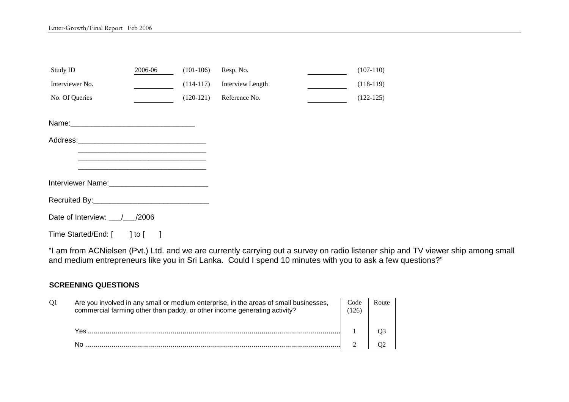| Study ID                       | 2006-06    | $(101-106)$ | Resp. No.        | $(107-110)$ |
|--------------------------------|------------|-------------|------------------|-------------|
| Interviewer No.                |            | $(114-117)$ | Interview Length | $(118-119)$ |
| No. Of Queries                 |            | $(120-121)$ | Reference No.    | $(122-125)$ |
|                                |            |             |                  |             |
|                                |            |             |                  |             |
|                                |            |             |                  |             |
|                                |            |             |                  |             |
|                                |            |             |                  |             |
|                                |            |             |                  |             |
| Date of Interview: 1 / / /2006 |            |             |                  |             |
| Time Started/End: [            | $ $ to $ $ |             |                  |             |

"I am from ACNielsen (Pvt.) Ltd. and we are currently carrying out a survey on radio listener ship and TV viewer ship among small and medium entrepreneurs like you in Sri Lanka. Could I spend 10 minutes with you to ask a few questions?"

## **SCREENING QUESTIONS**

| $\Omega$ | Are you involved in any small or medium enterprise, in the areas of small businesses,<br>commercial farming other than paddy, or other income generating activity? | Code<br>(126) | Route |
|----------|--------------------------------------------------------------------------------------------------------------------------------------------------------------------|---------------|-------|
|          |                                                                                                                                                                    |               |       |
|          |                                                                                                                                                                    |               |       |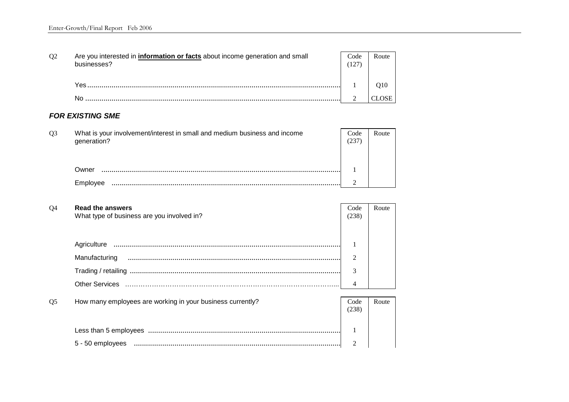| O <sub>2</sub> | Are you interested in <i>information or facts</i> about income generation and small<br>businesses? | Code | Route |
|----------------|----------------------------------------------------------------------------------------------------|------|-------|
|                | Yes                                                                                                |      | O10   |
|                | Nr                                                                                                 |      |       |

### *FOR EXISTING SME*

| O <sub>3</sub> | What is your involvement/interest in small and medium business and income<br>generation? | Code | Route |
|----------------|------------------------------------------------------------------------------------------|------|-------|
|                |                                                                                          |      |       |
|                | Owner                                                                                    |      |       |
|                | <b>Employ</b>                                                                            |      |       |

| Read the answers<br>What type of business are you involved in? | Code<br>(238 | Route |
|----------------------------------------------------------------|--------------|-------|
|                                                                |              |       |
| Agriculture                                                    |              |       |
| Manufacturing                                                  | ◠            |       |
|                                                                | 3            |       |
| Other Services                                                 |              |       |
|                                                                |              |       |

| O <sub>5</sub> | How many employees are working in your business currently? | Code<br>238 | Route |
|----------------|------------------------------------------------------------|-------------|-------|
|                |                                                            |             |       |
|                | 5 - 50 employees                                           |             |       |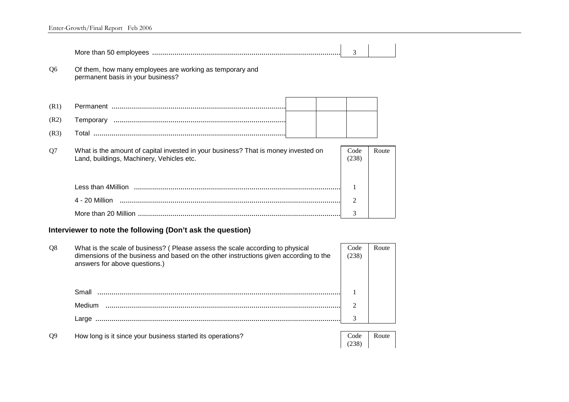|      |                                                                                                                                 | 3             |       |  |
|------|---------------------------------------------------------------------------------------------------------------------------------|---------------|-------|--|
| Q6   | Of them, how many employees are working as temporary and<br>permanent basis in your business?                                   |               |       |  |
| (R1) |                                                                                                                                 |               |       |  |
| (R2) |                                                                                                                                 |               |       |  |
| (R3) |                                                                                                                                 |               |       |  |
| Q7   | What is the amount of capital invested in your business? That is money invested on<br>Land, buildings, Machinery, Vehicles etc. | Code<br>(238) | Route |  |
|      |                                                                                                                                 |               |       |  |

| 4 - 20 Million       |  |
|----------------------|--|
| More than 20 Million |  |

# **Interviewer to note the following (Don't ask the question)**

| Q <sub>8</sub> | What is the scale of business? (Please assess the scale according to physical<br>dimensions of the business and based on the other instructions given according to the<br>answers for above questions.) | Code<br>(238) | Route |
|----------------|---------------------------------------------------------------------------------------------------------------------------------------------------------------------------------------------------------|---------------|-------|
|                | Small                                                                                                                                                                                                   |               |       |
|                | Medium                                                                                                                                                                                                  | ↑             |       |
|                | Large                                                                                                                                                                                                   | 3             |       |
|                |                                                                                                                                                                                                         |               |       |
| O <sub>9</sub> | How long is it since your business started its operations?                                                                                                                                              | Code          | Route |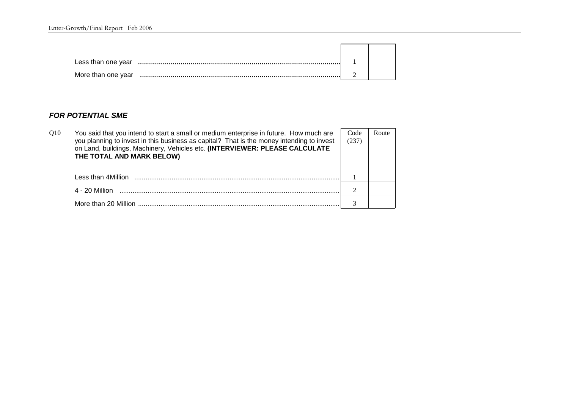| Less than one year |  |
|--------------------|--|
| More than one year |  |

## *FOR POTENTIAL SME*

| O <sub>10</sub> | You said that you intend to start a small or medium enterprise in future. How much are<br>you planning to invest in this business as capital? That is the money intending to invest<br>on Land, buildings, Machinery, Vehicles etc. (INTERVIEWER: PLEASE CALCULATE<br>THE TOTAL AND MARK BELOW) | Code<br>(237) | Route |
|-----------------|-------------------------------------------------------------------------------------------------------------------------------------------------------------------------------------------------------------------------------------------------------------------------------------------------|---------------|-------|
|                 | Less than 4Million                                                                                                                                                                                                                                                                              |               |       |
|                 | 4 - 20 Million                                                                                                                                                                                                                                                                                  |               |       |
|                 | More than 20 Million                                                                                                                                                                                                                                                                            |               |       |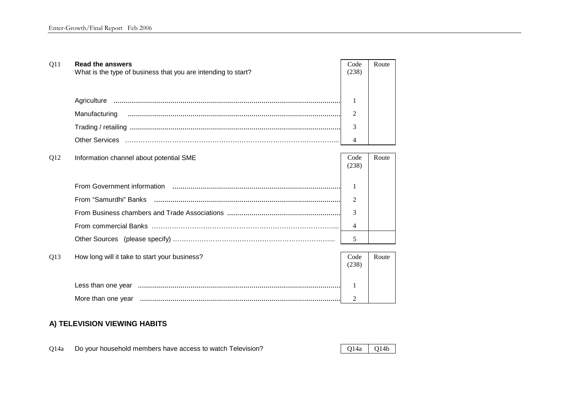| Q11 | <b>Read the answers</b><br>What is the type of business that you are intending to start? | Code<br>(238)  | Route |
|-----|------------------------------------------------------------------------------------------|----------------|-------|
|     |                                                                                          |                |       |
|     |                                                                                          | 1              |       |
|     | Manufacturing                                                                            | 2              |       |
|     |                                                                                          | 3              |       |
|     |                                                                                          | 4              |       |
|     |                                                                                          |                |       |
| Q12 | Information channel about potential SME                                                  | Code<br>(238)  | Route |
|     |                                                                                          |                |       |
|     |                                                                                          | 1              |       |
|     | From "Samurdhi" Banks                                                                    | 2              |       |
|     |                                                                                          | 3              |       |
|     |                                                                                          | 4              |       |
|     |                                                                                          | 5              |       |
|     |                                                                                          |                |       |
| Q13 | How long will it take to start your business?                                            | Code<br>(238)  | Route |
|     |                                                                                          |                |       |
|     |                                                                                          | 1              |       |
|     |                                                                                          | $\mathfrak{D}$ |       |

## **A) TELEVISION VIEWING HABITS**

Q14a Do your household members have access to watch Television?  $Q14a$  Q14a Q14b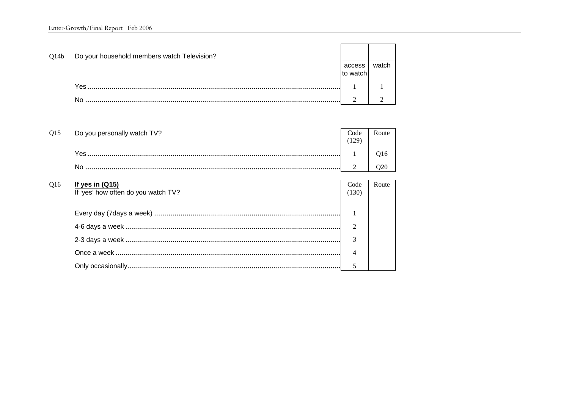| Q14b            | Do your household members watch Television? | access<br>to watch | watch                       |
|-----------------|---------------------------------------------|--------------------|-----------------------------|
|                 |                                             |                    |                             |
|                 | No.                                         | 2                  | $\mathcal{D}_{\mathcal{A}}$ |
|                 |                                             |                    |                             |
| O <sub>15</sub> | Do you personally watch TV?                 | Code<br>(129)      | Route                       |
|                 |                                             |                    | O <sub>16</sub>             |
|                 | No.                                         | $\overline{2}$     | Q <sub>20</sub>             |
|                 |                                             |                    |                             |

Route

 $\mathbf{1}$ 

2

 $\mathfrak{Z}$ 

 $\overline{4}$ 

5

## $Q16$ If yes in  $(Q15)$ Code If 'yes' how often do you watch TV?  $(130)$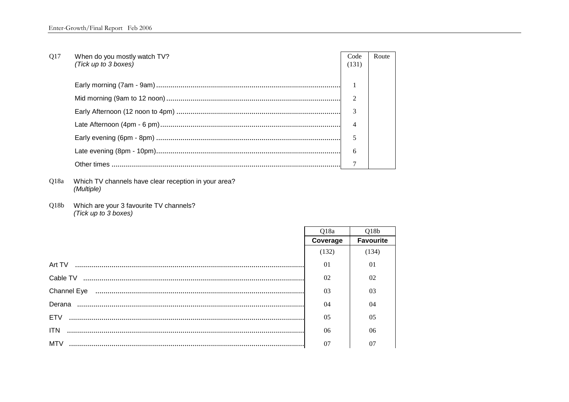| Q17 | When do you mostly watch TV?<br>(Tick up to 3 boxes) | Code<br>(131)  | Route |  |
|-----|------------------------------------------------------|----------------|-------|--|
|     |                                                      |                |       |  |
|     |                                                      |                |       |  |
|     |                                                      |                |       |  |
|     |                                                      | $\overline{4}$ |       |  |
|     |                                                      | 5              |       |  |
|     |                                                      | 6              |       |  |
|     |                                                      |                |       |  |

Q18a Which TV channels have clear reception in your area? (Multiple)

Q18b Which are your 3 favourite TV channels? (Tick up to 3 boxes)

|            | Q18a           | O18 <sub>b</sub> |
|------------|----------------|------------------|
|            | Coverage       | <b>Favourite</b> |
|            | (132)          | (134)            |
|            | $\Omega$       | 01               |
|            | 02             | 02               |
|            | 0 <sub>3</sub> | 03               |
|            | 04             | 04               |
| ETV        | 0 <sub>5</sub> | 0 <sub>5</sub>   |
| <b>ITN</b> | 06             | 06               |
| MTV        | 07             | 07               |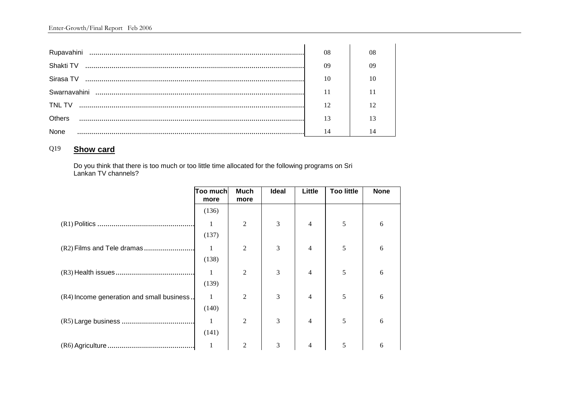| Rupavahini | 08 |  |
|------------|----|--|
| Shakti TV  | 09 |  |
| Sirasa TV  | 10 |  |
|            |    |  |
| TNL TV     |    |  |
| Others     |    |  |
|            |    |  |

## Q19 **Show card**

Do you think that there is too much or too little time allocated for the following programs on Sri Lankan TV channels?

|                                            | Too much<br>more | <b>Much</b><br>more | <b>Ideal</b> | Little         | <b>Too little</b> | <b>None</b> |
|--------------------------------------------|------------------|---------------------|--------------|----------------|-------------------|-------------|
|                                            | (136)            |                     |              |                |                   |             |
|                                            |                  | $\overline{2}$      | 3            | $\overline{4}$ | 5                 | 6           |
|                                            | (137)            |                     |              |                |                   |             |
| (R2) Films and Tele dramas                 | 1                | $\overline{2}$      | 3            | $\overline{4}$ | 5                 | 6           |
|                                            | (138)            |                     |              |                |                   |             |
|                                            |                  | $\overline{2}$      | 3            | 4              | 5                 | 6           |
|                                            | (139)            |                     |              |                |                   |             |
| (R4) Income generation and small business. | 1                | $\overline{2}$      | 3            | $\overline{4}$ | 5                 | 6           |
|                                            | (140)            |                     |              |                |                   |             |
|                                            |                  | 2                   | 3            | 4              | 5                 | 6           |
|                                            | (141)            |                     |              |                |                   |             |
|                                            | 1                | 2                   | 3            | 4              | 5                 | 6           |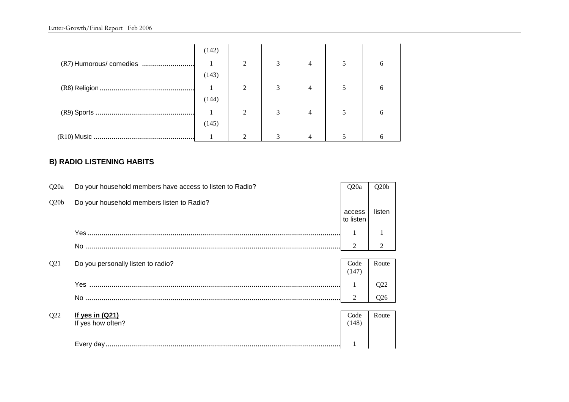|                         | (142) |                |               |   |   |
|-------------------------|-------|----------------|---------------|---|---|
| (R7) Humorous/ comedies |       | $\mathfrak{D}$ | 3             |   | h |
|                         | (143) |                |               |   |   |
|                         |       | $\overline{2}$ | 3             |   |   |
|                         | (144) |                |               |   |   |
|                         |       | $\mathfrak{D}$ | 3             | 4 | h |
|                         | (145) |                |               |   |   |
|                         |       |                | $\mathcal{R}$ |   |   |

## **B) RADIO LISTENING HABITS**

| Q <sub>20</sub> a | Do your household members have access to listen to Radio? | Q <sub>20</sub> a   | Q20 <sub>b</sub> |
|-------------------|-----------------------------------------------------------|---------------------|------------------|
| Q20b              | Do your household members listen to Radio?                |                     |                  |
|                   |                                                           | access<br>to listen | listen           |
|                   |                                                           |                     |                  |
|                   |                                                           | $\mathfrak{D}$      | 2                |
|                   |                                                           |                     |                  |
| Q <sub>21</sub>   | Do you personally listen to radio?                        | Code<br>(147)       | Route            |
|                   |                                                           |                     | Q22              |
|                   |                                                           | $\overline{2}$      | Q26              |
|                   |                                                           |                     |                  |
| Q22               | If yes in $(Q21)$                                         | Code                | Route            |
|                   | If yes how often?                                         | (148)               |                  |
|                   |                                                           |                     |                  |
|                   |                                                           |                     |                  |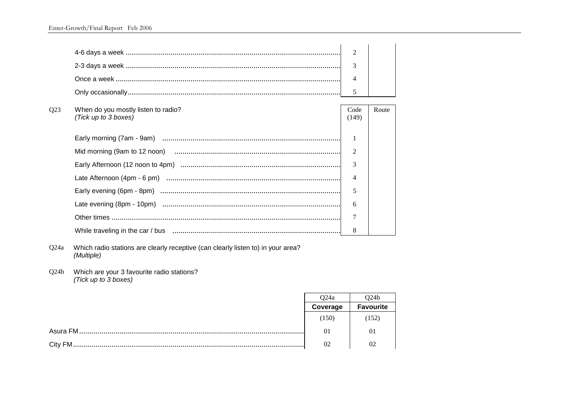|     |                                                             | $\overline{2}$ |       |
|-----|-------------------------------------------------------------|----------------|-------|
|     |                                                             | 3              |       |
|     |                                                             | 4              |       |
|     |                                                             | 5              |       |
| Q23 | When do you mostly listen to radio?<br>(Tick up to 3 boxes) | Code<br>(149)  | Route |
|     |                                                             |                |       |
|     |                                                             | $\overline{2}$ |       |
|     |                                                             | $\mathcal{E}$  |       |
|     |                                                             | 4              |       |
|     |                                                             | 5              |       |
|     |                                                             | 6              |       |
|     |                                                             | 7              |       |
|     |                                                             | 8              |       |

Q24a Which radio stations are clearly receptive (can clearly listen to) in your area? (Multiple)

Q24b Which are your 3 favourite radio stations?<br>(Tick up to 3 boxes)

| O24a     | D24b             |
|----------|------------------|
| Coverage | <b>Favourite</b> |
| (150)    | (152)            |
| 01       | 01               |
| 02       | 02               |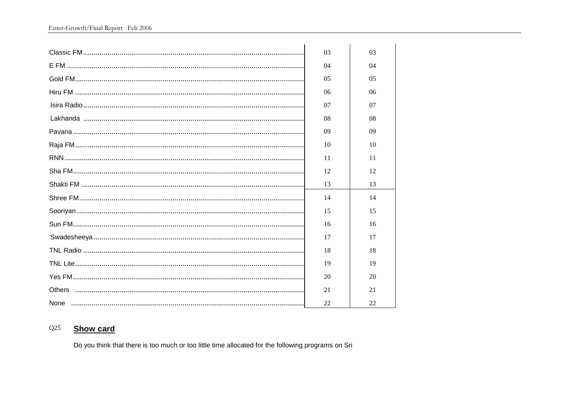| 03 | 03 |
|----|----|
| 04 | 04 |
| 05 | 05 |
| 06 | 06 |
| 07 | 07 |
| 08 | 08 |
| 09 | 09 |
| 10 | 10 |
| 11 | 11 |
| 12 | 12 |
| 13 | 13 |
| 14 | 14 |
| 15 | 15 |
| 16 | 16 |
| 17 | 17 |
| 18 | 18 |
| 19 | 19 |
| 20 | 20 |
| 21 | 21 |
| 22 | 22 |

#### **Show card**  $Q25$

Do you think that there is too much or too little time allocated for the following programs on Sri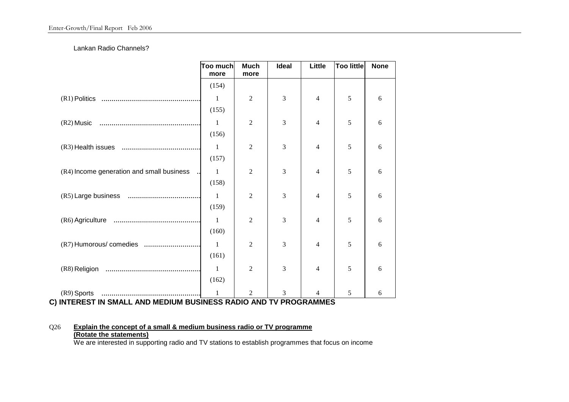### Lankan Radio Channels?

|                                                                                | <b>Too much</b><br>more | <b>Much</b><br>more | <b>Ideal</b> | Little         | <b>Too little</b> | <b>None</b> |
|--------------------------------------------------------------------------------|-------------------------|---------------------|--------------|----------------|-------------------|-------------|
|                                                                                | (154)                   |                     |              |                |                   |             |
|                                                                                | 1                       | $\overline{2}$      | 3            | 4              | 5                 | 6           |
|                                                                                | (155)                   |                     |              |                |                   |             |
|                                                                                | 1                       | $\overline{2}$      | 3            | 4              | 5                 | 6           |
|                                                                                | (156)                   |                     |              |                |                   |             |
|                                                                                | $\mathbf{1}$            | $\overline{2}$      | 3            | 4              | 5                 | 6           |
|                                                                                | (157)                   |                     |              |                |                   |             |
| (R4) Income generation and small business                                      | $\mathbf{1}$            | $\overline{2}$      | 3            | 4              | 5                 | 6           |
|                                                                                | (158)                   |                     |              |                |                   |             |
|                                                                                | $\mathbf{1}$            | $\mathfrak{2}$      | 3            | 4              | 5                 | 6           |
|                                                                                | (159)                   |                     |              |                |                   |             |
|                                                                                | 1                       | $\overline{2}$      | 3            | 4              | 5                 | 6           |
|                                                                                | (160)                   |                     |              |                |                   |             |
| (R7) Humorous/ comedies                                                        | 1                       | $\overline{2}$      | 3            | $\overline{4}$ | 5                 | 6           |
|                                                                                | (161)                   |                     |              |                |                   |             |
|                                                                                | $\mathbf{1}$<br>(162)   | $\overline{2}$      | 3            | 4              | 5                 | 6           |
|                                                                                |                         |                     |              |                |                   |             |
| (R9) Sports<br>INTEDECT IN CMALL, AND MEDILIM DUCINECC DADIO AND TV DDOCDAMMEC | 1                       | 2                   | 3            |                | 5                 | 6           |

**C) INTEREST IN SMALL AND MEDIUM BUSINESS RADIO AND TV PROGRAMMES** 

## Q26 **Explain the concept of a small & medium business radio or TV programme (Rotate the statements)**

We are interested in supporting radio and TV stations to establish programmes that focus on income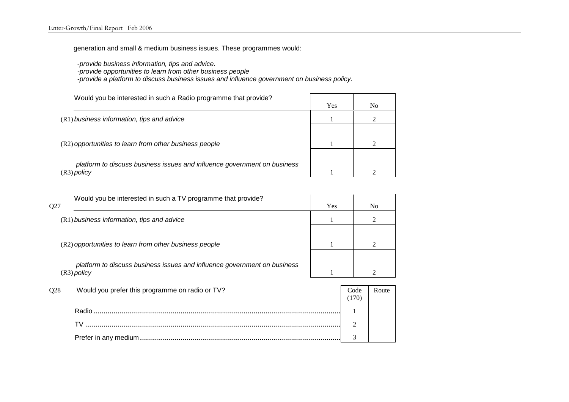generation and small & medium business issues. These programmes would:

-*provide business information, tips and advice.* 

 *-provide opportunities to learn from other business people* 

 *-provide a platform to discuss business issues and influence government on business policy.* 

| Would you be interested in such a Radio programme that provide?                           | Yes | N <sub>0</sub> |
|-------------------------------------------------------------------------------------------|-----|----------------|
| (R1) business information, tips and advice                                                |     |                |
| (R2) opportunities to learn from other business people                                    |     |                |
| platform to discuss business issues and influence government on business<br>$(R3)$ policy |     | ◠              |
|                                                                                           |     |                |

|     | Would you be interested in such a TV programme that provide?             |     |                |                |
|-----|--------------------------------------------------------------------------|-----|----------------|----------------|
| Q27 |                                                                          | Yes |                | N <sub>0</sub> |
|     | (R1) business information, tips and advice                               |     |                | 2              |
|     |                                                                          |     |                |                |
|     | (R2) opportunities to learn from other business people                   |     |                |                |
|     | platform to discuss business issues and influence government on business |     |                |                |
|     | $(R3)$ policy                                                            |     |                |                |
| Q28 | Would you prefer this programme on radio or TV?                          |     | Code<br>(170)  | Route          |
|     |                                                                          |     |                |                |
|     |                                                                          |     | $\mathfrak{D}$ |                |
|     |                                                                          |     | 3              |                |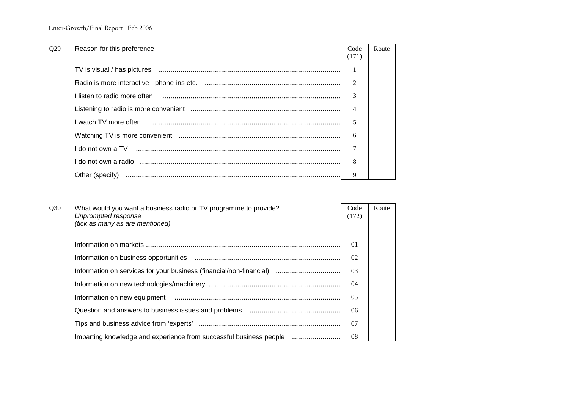| Q29 | Reason for this preference                            | Code                        | Route |
|-----|-------------------------------------------------------|-----------------------------|-------|
|     |                                                       | (171)                       |       |
|     |                                                       |                             |       |
|     |                                                       | $\mathcal{D}_{\mathcal{A}}$ |       |
|     |                                                       | $\mathcal{R}$               |       |
|     |                                                       | 4                           |       |
|     |                                                       | 5                           |       |
|     |                                                       | 6                           |       |
|     |                                                       | 7                           |       |
|     | l do not own a radio …………………………………………………………………………………… | 8                           |       |
|     |                                                       | 9                           |       |

| Q30 | What would you want a business radio or TV programme to provide?<br>Unprompted response<br>(tick as many as are mentioned) | Code<br>(172) | Route |
|-----|----------------------------------------------------------------------------------------------------------------------------|---------------|-------|
|     |                                                                                                                            | 01            |       |
|     |                                                                                                                            | 02            |       |
|     | Information on services for your business (financial/non-financial)                                                        | 03            |       |
|     |                                                                                                                            | 04            |       |
|     |                                                                                                                            | 05            |       |
|     |                                                                                                                            | 06            |       |
|     |                                                                                                                            | 07            |       |
|     | Imparting knowledge and experience from successful business people                                                         | 08            |       |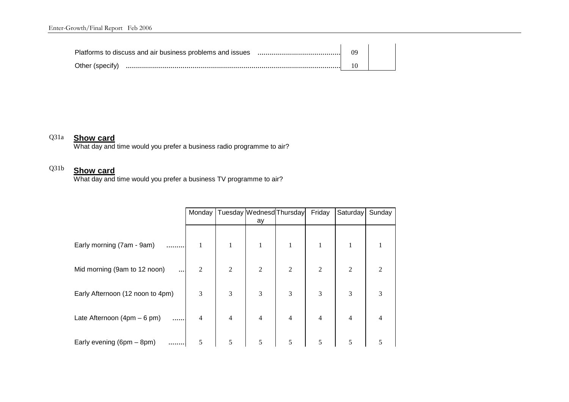| Other (specify) |  |
|-----------------|--|

## Q31a **Show card**

What day and time would you prefer a business radio programme to air?

## Q31b

**Show card** What day and time would you prefer a business TV programme to air?

|                                          |                |                |                | Monday   Tuesday   Wednesd   Thursday | Friday         | Saturday       | Sunday         |
|------------------------------------------|----------------|----------------|----------------|---------------------------------------|----------------|----------------|----------------|
|                                          |                |                | ay             |                                       |                |                |                |
|                                          |                |                |                |                                       |                |                |                |
| Early morning (7am - 9am)                |                | $\mathbf{1}$   | $\mathbf{1}$   |                                       | 1              |                |                |
|                                          |                |                |                |                                       |                |                |                |
| Mid morning (9am to 12 noon)<br>$\cdots$ | $\overline{2}$ | $\overline{2}$ | 2              | $\overline{2}$                        | $\overline{2}$ | $\overline{2}$ | $\mathfrak{D}$ |
|                                          |                |                |                |                                       |                |                |                |
| Early Afternoon (12 noon to 4pm)         | 3              | 3              | 3              | 3                                     | 3              | 3              | 3              |
|                                          |                |                |                |                                       |                |                |                |
| Late Afternoon $(4pm - 6pm)$<br>         | 4              | $\overline{4}$ | $\overline{4}$ | $\overline{4}$                        | 4              | 4              | 4              |
|                                          | 5              | 5              | 5              | 5                                     | 5              | 5              | 5              |
| Early evening (6pm - 8pm)                |                |                |                |                                       |                |                |                |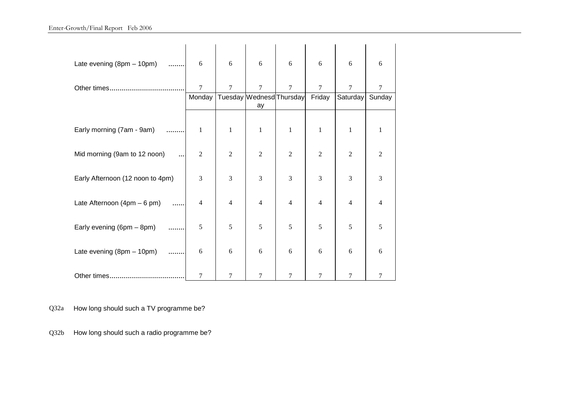## Enter-Growth/Final Report Feb 2006

| Late evening (8pm - 10pm)<br>.           | 6              | 6              | 6                              | 6              | 6              | 6              | 6              |
|------------------------------------------|----------------|----------------|--------------------------------|----------------|----------------|----------------|----------------|
|                                          | $\overline{7}$ | 7              | 7                              | 7              | 7              | 7              | 7              |
|                                          | Monday         |                | Tuesday Wednesd Thursday<br>ay |                | Friday         | Saturday       | Sunday         |
|                                          |                |                |                                |                |                |                |                |
| Early morning (7am - 9am)<br>.           | 1              | $\mathbf{1}$   | $\mathbf{1}$                   | $\mathbf{1}$   | $\mathbf{1}$   | $\mathbf{1}$   | 1              |
| Mid morning (9am to 12 noon)<br>$\cdots$ | $\mathbf{2}$   | $\overline{2}$ | $\overline{2}$                 | $\overline{2}$ | $\overline{2}$ | $\overline{2}$ | $\overline{2}$ |
| Early Afternoon (12 noon to 4pm)         | 3              | 3              | 3                              | 3              | 3              | 3              | 3              |
| Late Afternoon $(4pm - 6pm)$<br>.        | $\overline{4}$ | $\overline{4}$ | $\overline{4}$                 | $\overline{4}$ | $\overline{4}$ | $\overline{4}$ | $\overline{4}$ |
| Early evening (6pm - 8pm)                | 5              | 5              | 5                              | 5              | 5              | 5              | 5              |
| Late evening $(8pm - 10pm)$<br>.         | 6              | 6              | 6                              | 6              | 6              | 6              | 6              |
|                                          | 7              | 7              | 7                              | 7              | 7              | 7              | 7              |

Q32a How long should such a TV programme be?

Q32b How long should such a radio programme be?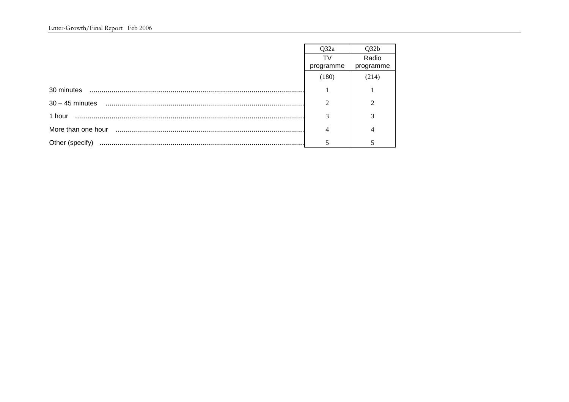|                 | Q32a      | Q32b           |
|-----------------|-----------|----------------|
|                 | T٧        | Radio          |
|                 | programme | programme      |
|                 | (180)     | (214)          |
|                 |           |                |
|                 | ↑         | $\mathfrak{D}$ |
| 1 hour          | 3         | 3              |
|                 |           |                |
| Other (specify) |           |                |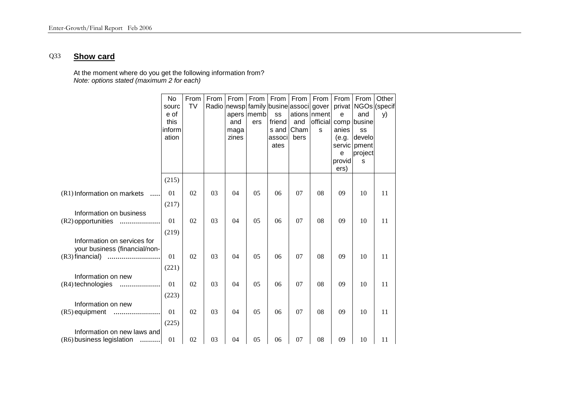### Q33 **Show card**

At the moment where do you get the following information from? *Note: options stated (maximum 2 for each)* 

|                                | No     | From      | From | From  | From | From   | From                                   | From         | From   | From                | Other |
|--------------------------------|--------|-----------|------|-------|------|--------|----------------------------------------|--------------|--------|---------------------|-------|
|                                | sourc  | <b>TV</b> |      |       |      |        | Radio newsp family busine associ gover |              |        | privat NGOs (specif |       |
|                                | e of   |           |      | apers | memb | SS     |                                        | ations nment | e      | and                 | y)    |
|                                | this   |           |      | and   | ers  | friend | and                                    | official     |        | comp busine         |       |
|                                | inform |           |      | maga  |      | s and  | Cham                                   | s            | anies  | SS                  |       |
|                                | ation  |           |      | zines |      | associ | bers                                   |              | (e.g.  | develo              |       |
|                                |        |           |      |       |      | ates   |                                        |              |        | servic pment        |       |
|                                |        |           |      |       |      |        |                                        |              | e      | project             |       |
|                                |        |           |      |       |      |        |                                        |              | provid | S                   |       |
|                                |        |           |      |       |      |        |                                        |              | ers)   |                     |       |
|                                | (215)  |           |      |       |      |        |                                        |              |        |                     |       |
| (R1) Information on markets    | 01     | 02        | 03   | 04    | 05   | 06     | 07                                     | 08           | 09     | 10                  | 11    |
|                                | (217)  |           |      |       |      |        |                                        |              |        |                     |       |
| Information on business        |        |           |      |       |      |        |                                        |              |        |                     |       |
| (R2) opportunities<br>.        | 01     | 02        | 03   | 04    | 05   | 06     | 07                                     | 08           | 09     | 10                  | 11    |
|                                | (219)  |           |      |       |      |        |                                        |              |        |                     |       |
| Information on services for    |        |           |      |       |      |        |                                        |              |        |                     |       |
| your business (financial/non-  |        |           |      |       |      |        |                                        |              |        |                     |       |
| $(R3)$ financial)              | 01     | 02        | 03   | 04    | 05   | 06     | 07                                     | 08           | 09     | 10                  | 11    |
|                                | (221)  |           |      |       |      |        |                                        |              |        |                     |       |
| Information on new             |        |           |      |       |      |        |                                        |              |        |                     |       |
| (R4) technologies<br>.         | 01     | 02        | 03   | 04    | 05   | 06     | 07                                     | 08           | 09     | 10                  | 11    |
|                                | (223)  |           |      |       |      |        |                                        |              |        |                     |       |
| Information on new             |        |           |      |       |      |        |                                        |              |        |                     |       |
| $(R5)$ equipment               | 01     | 02        | 03   | 04    | 05   | 06     | 07                                     | 08           | 09     | 10                  | 11    |
|                                | (225)  |           |      |       |      |        |                                        |              |        |                     |       |
| Information on new laws and    |        |           |      |       |      |        |                                        |              |        |                     |       |
| (R6) business legislation<br>. | 01     | 02        | 03   | 04    | 05   | 06     | 07                                     | 08           | 09     | 10                  | 11    |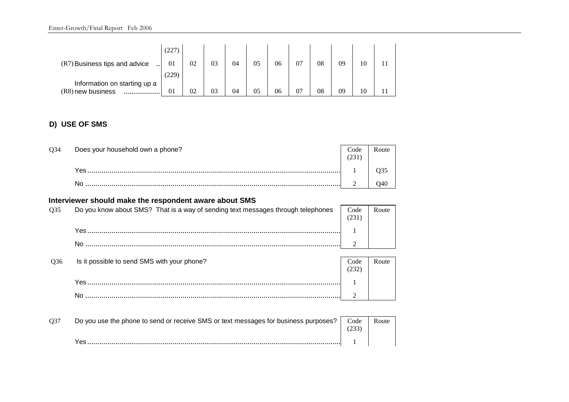| (R7) Business tips and advice | (227<br>01 | 02 | 03 | 04 | 05 | 06 | 07 | 08 | 09 | 10 |  |
|-------------------------------|------------|----|----|----|----|----|----|----|----|----|--|
|                               | (229)      |    |    |    |    |    |    |    |    |    |  |
| Information on starting up a  |            |    |    |    |    |    |    |    |    |    |  |
| (R8) new business<br>         | 01         | 02 | 03 | 04 | 05 | 06 | 07 | 08 | 09 | 10 |  |

## **D) USE OF SMS**

| Q34 | Does your household own a phone? | Code |  |
|-----|----------------------------------|------|--|
|     | Yes                              |      |  |
|     |                                  |      |  |

## **Interviewer should make the respondent aware about SMS**

|     | <b>THIS MOVED SHOULD HIGHE LITE I CONVILUENT AWAITE ANOUL OINIO</b>              |      |       |
|-----|----------------------------------------------------------------------------------|------|-------|
| O35 | Do you know about SMS? That is a way of sending text messages through telephones | Code | Route |
|     | Yes                                                                              |      |       |
|     |                                                                                  |      |       |

| Q36 | Is it possible to send SMS with your phone? | Code | Route |  |
|-----|---------------------------------------------|------|-------|--|
|     | ء⊿/                                         |      |       |  |
|     |                                             |      |       |  |

| O37 | Do you use the phone to send or receive SMS or text messages for business purposes? | Code | Route |
|-----|-------------------------------------------------------------------------------------|------|-------|
|     | Y≏s                                                                                 |      |       |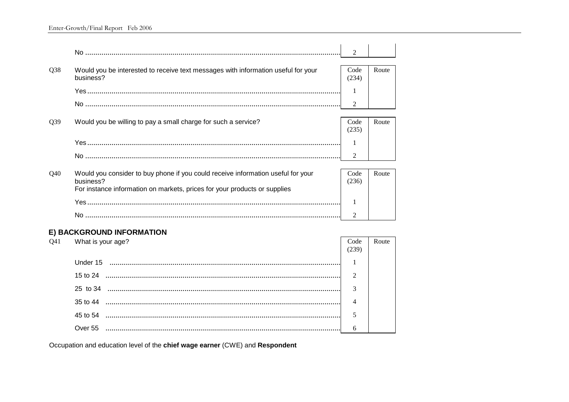|                 |                                                                                                | $\mathfrak{D}$ |       |
|-----------------|------------------------------------------------------------------------------------------------|----------------|-------|
|                 |                                                                                                |                |       |
| Q <sub>38</sub> | Would you be interested to receive text messages with information useful for your<br>business? | Code<br>(234)  | Route |
|                 |                                                                                                |                |       |
|                 |                                                                                                |                |       |
|                 |                                                                                                | $\overline{2}$ |       |
| Q <sub>39</sub> | Would you be willing to pay a small charge for such a service?                                 | Code           | Route |
|                 |                                                                                                | (235)          |       |
|                 |                                                                                                |                |       |
|                 |                                                                                                | $\overline{2}$ |       |
|                 |                                                                                                |                |       |
| Q40             | Would you consider to buy phone if you could receive information useful for your<br>business?  | Code<br>(236)  | Route |
|                 | For instance information on markets, prices for your products or supplies                      |                |       |
|                 |                                                                                                |                |       |
|                 |                                                                                                | $\mathfrak{D}$ |       |

## E) BACKGROUND INFORMATION

| O41 | What is your age? | Code<br>239  | Route |
|-----|-------------------|--------------|-------|
|     | Under 15          |              |       |
|     | 15 to 24          | $\bigcap$    |       |
|     | 25 to 34          | $\mathbf{R}$ |       |
|     | 35 to 44          |              |       |
|     | 45 to 54          |              |       |
|     | Over 55           |              |       |

Occupation and education level of the chief wage earner (CWE) and Respondent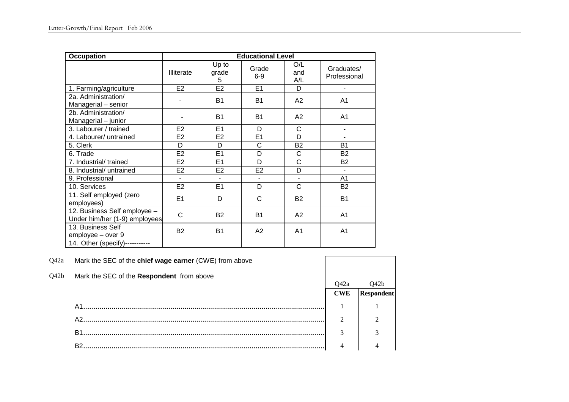| <b>Occupation</b>                                             |                   |                     | <b>Educational Level</b> |                   |                            |
|---------------------------------------------------------------|-------------------|---------------------|--------------------------|-------------------|----------------------------|
|                                                               | <b>Illiterate</b> | Up to<br>grade<br>5 | Grade<br>$6-9$           | O/L<br>and<br>A/L | Graduates/<br>Professional |
| 1. Farming/agriculture                                        | E <sub>2</sub>    | E <sub>2</sub>      | E1                       | D                 |                            |
| 2a. Administration/<br>Managerial - senior                    |                   | B <sub>1</sub>      | <b>B1</b>                | A2                | A <sub>1</sub>             |
| 2b. Administration/<br>Managerial - junior                    |                   | <b>B1</b>           | <b>B1</b>                | A2                | A1                         |
| 3. Labourer / trained                                         | E <sub>2</sub>    | E <sub>1</sub>      | D                        | C                 |                            |
| 4. Labourer/ untrained                                        | E <sub>2</sub>    | E <sub>2</sub>      | E <sub>1</sub>           | D                 |                            |
| 5. Clerk                                                      | D                 | D                   | C                        | <b>B2</b>         | <b>B1</b>                  |
| 6. Trade                                                      | E <sub>2</sub>    | E <sub>1</sub>      | D                        | C                 | <b>B2</b>                  |
| 7. Industrial/ trained                                        | E <sub>2</sub>    | E1                  | D                        | C                 | <b>B2</b>                  |
| 8. Industrial/ untrained                                      | E <sub>2</sub>    | E <sub>2</sub>      | E <sub>2</sub>           | D                 | $\blacksquare$             |
| 9. Professional                                               |                   |                     | $\blacksquare$           | ÷,                | A1                         |
| 10. Services                                                  | E <sub>2</sub>    | E <sub>1</sub>      | D                        | C                 | <b>B2</b>                  |
| 11. Self employed (zero<br>employees)                         | E1                | D                   | C                        | <b>B2</b>         | <b>B1</b>                  |
| 12. Business Self employee -<br>Under him/her (1-9) employees | C                 | <b>B2</b>           | <b>B1</b>                | A2                | A <sub>1</sub>             |
| 13. Business Self<br>employee - over 9                        | <b>B2</b>         | <b>B1</b>           | A2                       | A1                | A <sub>1</sub>             |
| 14. Other (specify)--                                         |                   |                     |                          |                   |                            |

| Q42a | Mark the SEC of the chief wage earner (CWE) from above |                    |                   |
|------|--------------------------------------------------------|--------------------|-------------------|
| Q42b | Mark the SEC of the Respondent from above              |                    |                   |
|      |                                                        | O42a<br><b>CWE</b> | <b>Respondent</b> |
|      | A1.                                                    |                    |                   |
|      | A2                                                     | $\mathfrak{D}$     |                   |
|      | B1                                                     | 3                  | $\sim$            |
|      |                                                        |                    |                   |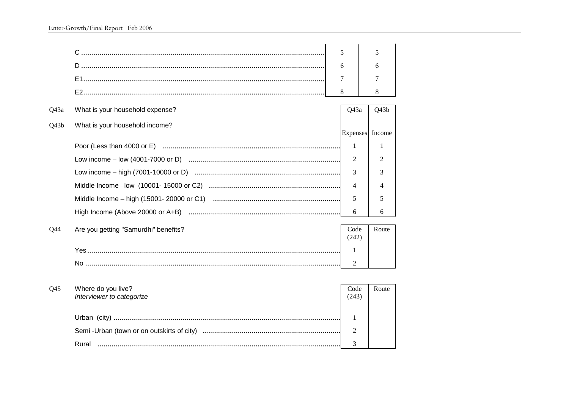|      |                                                 | 5               | 5      |
|------|-------------------------------------------------|-----------------|--------|
|      |                                                 | 6               | 6      |
|      |                                                 | 7               | 7      |
|      |                                                 | 8               | 8      |
| Q43a | What is your household expense?                 | Q43a            | Q43b   |
| Q43b | What is your household income?                  | <b>Expenses</b> | Income |
|      |                                                 | 1               | 1      |
|      |                                                 | $\overline{2}$  | 2      |
|      |                                                 | 3               | 3      |
|      |                                                 | $\overline{4}$  | 4      |
|      |                                                 | 5               | 5      |
|      |                                                 | 6               | 6      |
| Q44  | Are you getting "Samurdhi" benefits?            | Code<br>(242)   | Route  |
|      |                                                 | 1               |        |
|      |                                                 | $\overline{2}$  |        |
|      |                                                 |                 |        |
| Q45  | Where do you live?<br>Interviewer to categorize | Code<br>(243)   | Route  |
|      |                                                 | 1               |        |
|      |                                                 | $\overline{2}$  |        |
|      |                                                 | 3               |        |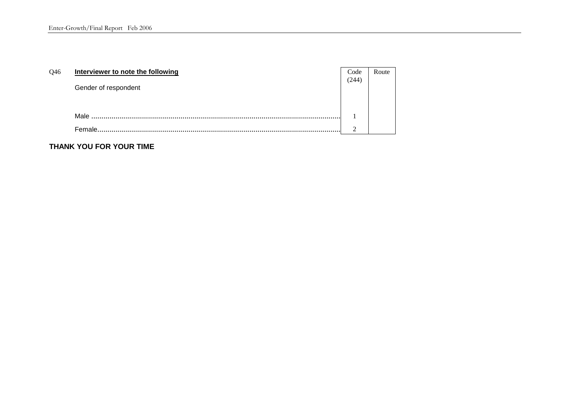| Q46 | Interviewer to note the following | Code<br>(244) | Route |
|-----|-----------------------------------|---------------|-------|
|     | Gender of respondent              |               |       |
|     | Male                              |               |       |
|     | Female.                           | ◠             |       |

**THANK YOU FOR YOUR TIME**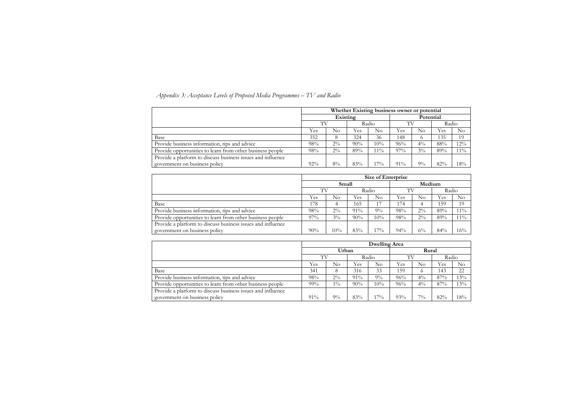| Appendix 3: Acceptance Levels of Proposed Media Programmes – $TV$ and Radio |  |
|-----------------------------------------------------------------------------|--|
|-----------------------------------------------------------------------------|--|

|                                                             | Whether Existing business owner or potential |          |       |        |        |           |       |          |  |  |
|-------------------------------------------------------------|----------------------------------------------|----------|-------|--------|--------|-----------|-------|----------|--|--|
|                                                             |                                              | Existing |       |        |        | Potential |       |          |  |  |
|                                                             | TV                                           |          | Radio |        | TV     |           | Radio |          |  |  |
|                                                             | Yes                                          | No       | Yes   | No     | Yes    | $\rm No$  | Yes   | $\rm No$ |  |  |
| Base                                                        | 352                                          | 8        | 324   | 36     | 148    |           | 135   | 19       |  |  |
| Provide business information, tips and advice               | 98%                                          | $2\%$    | 90%   | $10\%$ | 96%    | $4\%$     | 88%   | 12%      |  |  |
| Provide opportunities to learn from other business people   | 98%                                          | $2\%$    | 89%   | $1\%$  | $97\%$ | $3\%$     | 89%   | $11\%$   |  |  |
| Provide a platform to discuss business issues and influence |                                              |          |       |        |        |           |       |          |  |  |
| government on business policy                               | 92%                                          | 8%       | 83%   | $.7\%$ | 91%    | $9\%$     | 82%   | 18%      |  |  |

|                                                             | Size of Enterprise |       |       |     |     |       |       |        |  |
|-------------------------------------------------------------|--------------------|-------|-------|-----|-----|-------|-------|--------|--|
|                                                             | Medium<br>Small    |       |       |     |     |       |       |        |  |
|                                                             |                    |       | Radio |     | TV  |       | Radio |        |  |
|                                                             | Yes                | No    | Yes   | No  | Yes | No    | Yes   | No     |  |
| Base                                                        | 178                |       | 165   | 17  | 174 |       | 159   | 19     |  |
| Provide business information, tips and advice               | 98%                | $2\%$ | 91%   | 9%  | 98% | $2\%$ | 89%   | $11\%$ |  |
| Provide opportunities to learn from other business people   | $97\%$             | $3\%$ | 90%   | 10% | 98% | $2\%$ | 89%   | $11\%$ |  |
| Provide a platform to discuss business issues and influence |                    |       |       |     |     |       |       |        |  |
| government on business policy                               | 90%                | 10%   | 83%   | 17% | 94% | $6\%$ | 84%   | $16\%$ |  |

| rise        |             |     |          |  |  |  |  |
|-------------|-------------|-----|----------|--|--|--|--|
|             | Medium      |     |          |  |  |  |  |
|             | TV<br>Radio |     |          |  |  |  |  |
| <i>Y</i> es | $\rm No$    | Yes | $\rm No$ |  |  |  |  |
| !74         | 4           | 159 | 19       |  |  |  |  |
| 8%          | $2\%$       | 89% | 11%      |  |  |  |  |
| 8%          | $2\%$       | 89% | $11\%$   |  |  |  |  |
|             |             |     |          |  |  |  |  |
| $4\%$       | $6\%$       | 84% | 16%      |  |  |  |  |
|             |             |     |          |  |  |  |  |

|                                                             | Dwelling Area  |             |     |          |     |          |       |          |  |  |
|-------------------------------------------------------------|----------------|-------------|-----|----------|-----|----------|-------|----------|--|--|
|                                                             | Urban<br>Rural |             |     |          |     |          |       |          |  |  |
|                                                             |                | TV<br>Radio |     |          | ТV  |          | Radio |          |  |  |
|                                                             | Yes            | No          | Yes | $\rm No$ | Yes | $\rm No$ | Yes   | $\rm No$ |  |  |
| Base                                                        | 341            |             | 316 | 33       | 159 |          | 143   | 22       |  |  |
| Provide business information, tips and advice               | 98%            | $2\%$       | 91% | $9\%$    | 96% | $4\%$    | 87%   | 13%      |  |  |
| Provide opportunities to learn from other business people   | 99%            | $1\%$       | 90% | $10\%$   | 96% | $4\%$    | 87%   | 13%      |  |  |
| Provide a platform to discuss business issues and influence |                |             |     |          |     |          |       |          |  |  |
| government on business policy                               | $91\%$         | $9\%$       | 83% | $17\%$   | 93% | $7\%$    | 82%   | 18%      |  |  |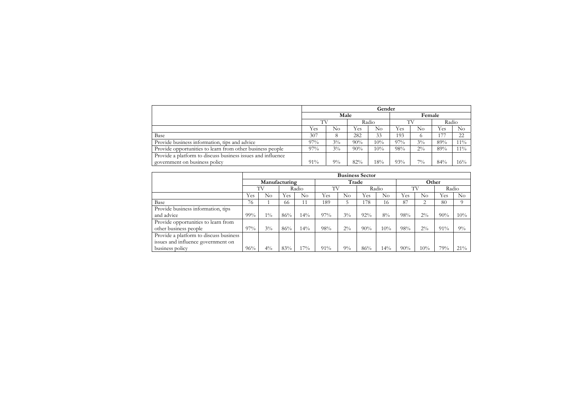|                                                             | Gender |       |       |          |     |          |       |                |  |
|-------------------------------------------------------------|--------|-------|-------|----------|-----|----------|-------|----------------|--|
|                                                             |        | Male  |       |          |     | Female   |       |                |  |
|                                                             | TV     |       | Radio |          | TТ  |          | Radio |                |  |
|                                                             | Yes    | No    | Yes   | $\rm No$ | Yes | $\rm No$ | Yes   | N <sub>o</sub> |  |
| Base                                                        | 307    | 8     | 282   | 33       | 193 | $\sigma$ | 177   | 22             |  |
| Provide business information, tips and advice               | 97%    | $3\%$ | 90%   | 10%      | 97% | $3\%$    | 89%   | $11\%$         |  |
| Provide opportunities to learn from other business people   | 97%    | $3\%$ | 90%   | 10%      | 98% | $2\%$    | 89%   | $11\%$         |  |
| Provide a platform to discuss business issues and influence |        |       |       |          |     |          |       |                |  |
| government on business policy                               | 91%    | $9\%$ | 82%   | 18%      | 93% | $7\%$    | 84%   | 16%            |  |

| Other                       |       |     |
|-----------------------------|-------|-----|
|                             | Radio |     |
| $\rm No$                    | Yes   | No  |
| $\mathcal{D}_{\mathcal{L}}$ | 80    | 9   |
|                             |       |     |
| $2\%$                       | 90%   | 10% |
|                             |       |     |
| $2\%$                       | 91%   | 9%  |
|                             |       |     |
|                             |       |     |
| 10%                         | 79%   | 21% |

|                                        |     | <b>Business Sector</b> |       |     |     |       |       |       |     |          |       |        |  |
|----------------------------------------|-----|------------------------|-------|-----|-----|-------|-------|-------|-----|----------|-------|--------|--|
|                                        |     | Manufacturing          |       |     |     | Trade |       |       |     | Other    |       |        |  |
|                                        |     | TV                     | Radio |     | TV  |       | Radio |       | TV  |          | Radio |        |  |
|                                        | Yes | $\rm No$               | Yes   | No  | Yes | No    | Yes   | No    | Yes | $\rm No$ | Yes   | No     |  |
| Base                                   | 76  |                        | 66    |     | 189 |       | 178   | 16    | 87  | 2        | 80    | 9      |  |
| Provide business information, tips     |     |                        |       |     |     |       |       |       |     |          |       |        |  |
| and advice                             | 99% | $1\%$                  | 86%   | 14% | 97% | $3\%$ | 92%   | $8\%$ | 98% | $2\%$    | 90%   | 10%    |  |
| Provide opportunities to learn from    |     |                        |       |     |     |       |       |       |     |          |       |        |  |
| other business people                  | 97% | $3\%$                  | 86%   | 14% | 98% | $2\%$ | 90%   | 10%   | 98% | $2\%$    | 91%   | $9\%$  |  |
| Provide a platform to discuss business |     |                        |       |     |     |       |       |       |     |          |       |        |  |
| issues and influence government on     |     |                        |       |     |     |       |       |       |     |          |       |        |  |
| business policy                        | 96% | $4\%$                  | 83%   | 17% | 91% | $9\%$ | 86%   | 14%   | 90% | 10%      | 79%   | $21\%$ |  |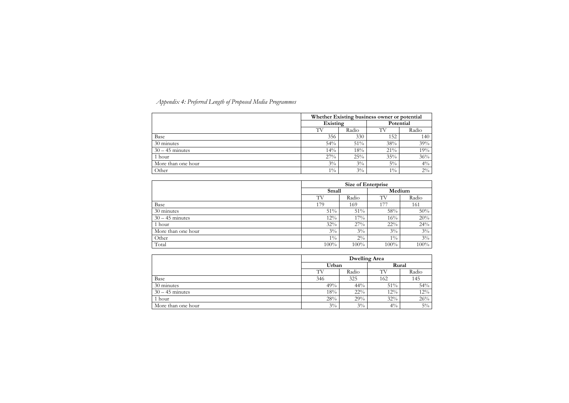| Appendix 4: Preferred Length of Proposed Media Programmes |  |
|-----------------------------------------------------------|--|
|-----------------------------------------------------------|--|

|                    |          | Whether Existing business owner or potential |        |           |  |  |  |  |  |
|--------------------|----------|----------------------------------------------|--------|-----------|--|--|--|--|--|
|                    | Existing |                                              |        | Potential |  |  |  |  |  |
|                    | TV       | Radio                                        | TV     | Radio     |  |  |  |  |  |
| Base               | 356      | 330                                          | 152    | 140       |  |  |  |  |  |
| 30 minutes         | 54%      | 51%                                          | 38%    | 39%       |  |  |  |  |  |
| $30 - 45$ minutes  | 14%      | 18%                                          | $21\%$ | 19%       |  |  |  |  |  |
| 1 hour             | 27%      | 25%                                          | 35%    | 36%       |  |  |  |  |  |
| More than one hour | $3\%$    | $3\%$                                        | $5\%$  | $4\%$     |  |  |  |  |  |
| Other              | $1\%$    | $3\%$                                        | $1\%$  | $2\%$     |  |  |  |  |  |

|                    | <b>Size of Enterprise</b> |       |        |       |  |  |  |
|--------------------|---------------------------|-------|--------|-------|--|--|--|
|                    | Small                     |       | Medium |       |  |  |  |
|                    | TV                        | Radio | TV     | Radio |  |  |  |
| Base               | 179                       | 169   | 177    | 161   |  |  |  |
| 30 minutes         | 51%                       | 51%   | 58%    | 50%   |  |  |  |
| $30 - 45$ minutes  | 12%                       | 17%   | 16%    | 20%   |  |  |  |
| 1 hour             | 32%                       | 27%   | $22\%$ | 24%   |  |  |  |
| More than one hour | $3\%$                     | $3\%$ | $3\%$  | $3\%$ |  |  |  |
| Other              | $1\%$                     | $2\%$ | $1\%$  | $3\%$ |  |  |  |
| Total              | 100%                      | 100%  | 100%   | 100%  |  |  |  |

|                    | <b>Dwelling Area</b> |        |       |       |  |  |  |
|--------------------|----------------------|--------|-------|-------|--|--|--|
|                    | Urban                |        | Rural |       |  |  |  |
|                    | TV                   | Radio  | TV    | Radio |  |  |  |
| Base               | 346                  | 325    | 162   | 145   |  |  |  |
| 30 minutes         | 49%                  | 44%    | 51%   | 54%   |  |  |  |
| $30 - 45$ minutes  | 18%                  | $22\%$ | 12%   | 12%   |  |  |  |
| 1 hour             | 28%                  | 29%    | 32%   | 26%   |  |  |  |
| More than one hour | $3\%$                | $3\%$  | $4\%$ | $5\%$ |  |  |  |